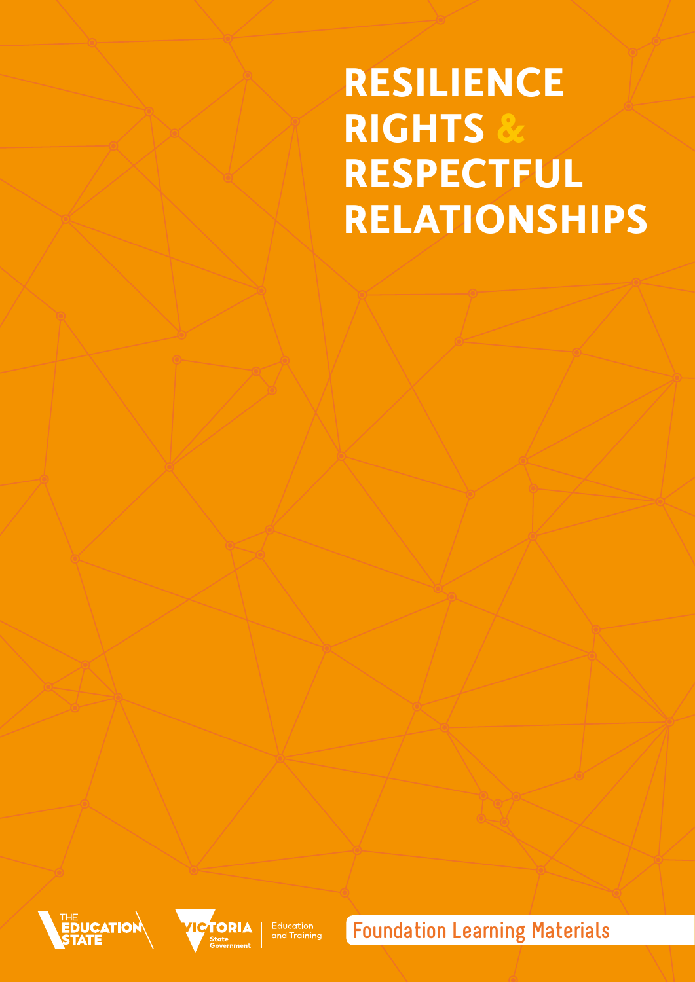## **RESILIENCE RIGHTS & RESPECTFUL RELATIONSHIPS**





| Education<br>| and Training

**Foundation Learning Materials**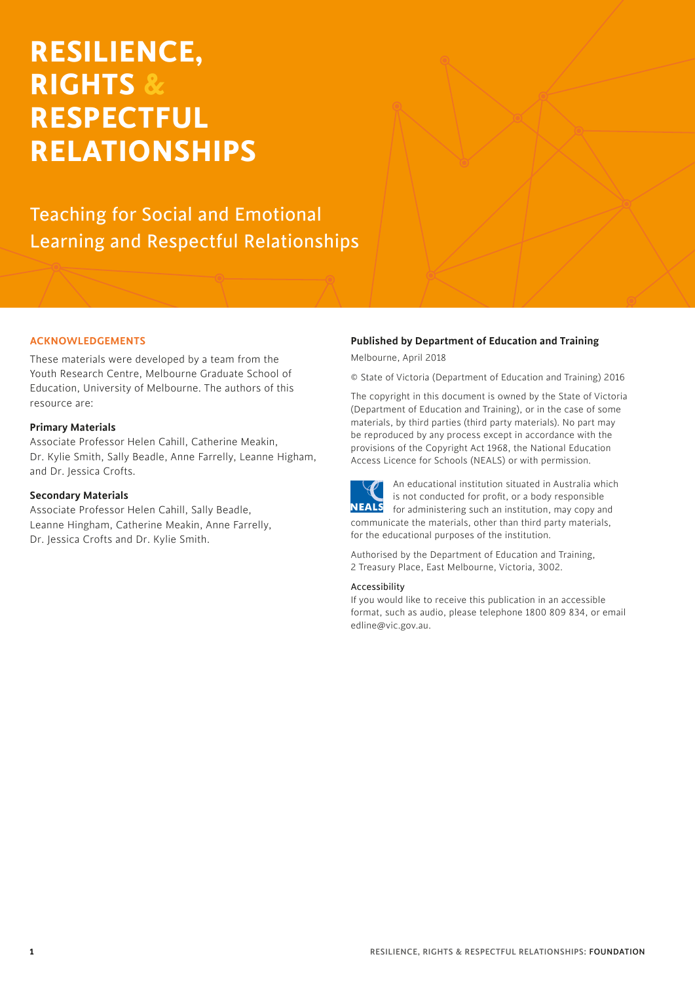## **RESILIENCE, RIGHTS & RESPECTFUL RELATIONSHIPS**

Teaching for Social and Emotional Learning and Respectful Relationships

#### **ACKNOWLEDGEMENTS**

These materials were developed by a team from the Youth Research Centre, Melbourne Graduate School of Education, University of Melbourne. The authors of this resource are:

#### **Primary Materials**

Associate Professor Helen Cahill, Catherine Meakin, Dr. Kylie Smith, Sally Beadle, Anne Farrelly, Leanne Higham, and Dr. Jessica Crofts.

#### **Secondary Materials**

Associate Professor Helen Cahill, Sally Beadle, Leanne Hingham, Catherine Meakin, Anne Farrelly, Dr. Jessica Crofts and Dr. Kylie Smith.

#### **Published by Department of Education and Training**

Melbourne, April 2018

© State of Victoria (Department of Education and Training) 2016

The copyright in this document is owned by the State of Victoria (Department of Education and Training), or in the case of some materials, by third parties (third party materials). No part may be reproduced by any process except in accordance with the provisions of the Copyright Act 1968, the National Education Access Licence for Schools (NEALS) or with permission.



An educational institution situated in Australia which is not conducted for profit, or a body responsible **NEALS** for administering such an institution, may copy and communicate the materials, other than third party materials, for the educational purposes of the institution.

Authorised by the Department of Education and Training, 2 Treasury Place, East Melbourne, Victoria, 3002.

#### Accessibility

If you would like to receive this publication in an accessible format, such as audio, please telephone 1800 809 834, or email [edline@vic.gov.au.](mailto:edline@vic.gov.au)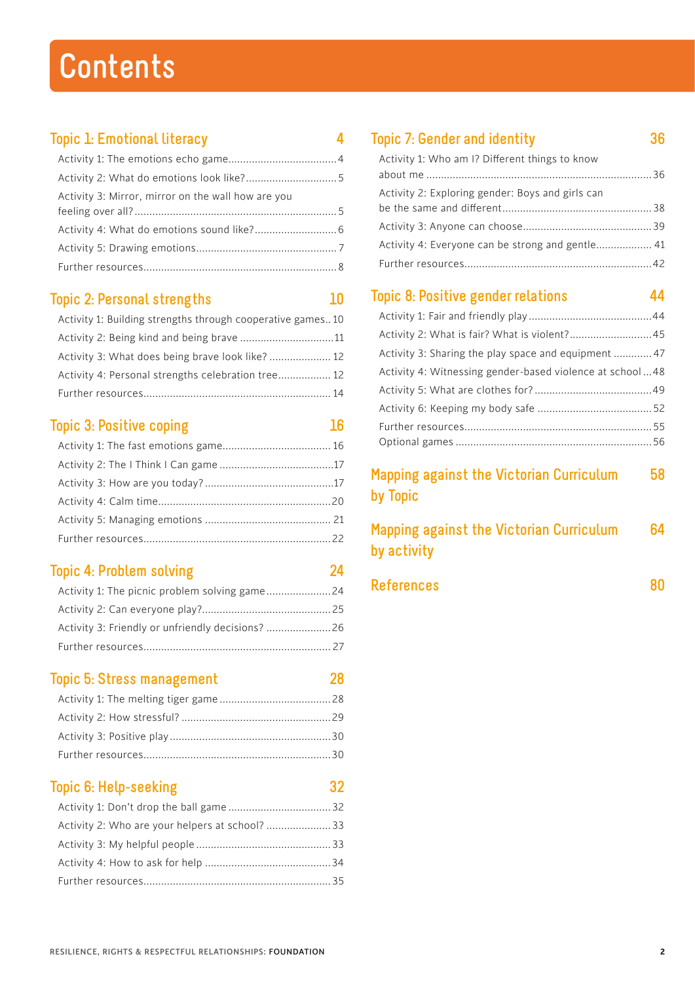## **Contents**

### **Topic 1: Emotional literacy 4**

| Activity 3: Mirror, mirror on the wall how are you |  |
|----------------------------------------------------|--|
|                                                    |  |
|                                                    |  |
|                                                    |  |
|                                                    |  |

### **Topic 2: Personal strengths 10**

| Activity 1: Building strengths through cooperative games10 |  |
|------------------------------------------------------------|--|
| Activity 2: Being kind and being brave 11                  |  |
| Activity 3: What does being brave look like?  12           |  |
| Activity 4: Personal strengths celebration tree 12         |  |
|                                                            |  |

### **Topic 3: Positive coping 16**

### **Topic 4: Problem solving 24**

| Activity 3: Friendly or unfriendly decisions? 26 |  |
|--------------------------------------------------|--|
|                                                  |  |

## **Topic 5: Stress management 28**

### **Topic 6: Help-seeking 32**

### **Topic 7: Gender and identity 36**

| Activity 1: Who am I? Different things to know   |  |
|--------------------------------------------------|--|
| Activity 2: Exploring gender: Boys and girls can |  |
|                                                  |  |
| Activity 4: Everyone can be strong and gentle 41 |  |
|                                                  |  |
|                                                  |  |

### **Topic 8: Positive gender relations 44**

| Activity 2: What is fair? What is violent? 45            |  |
|----------------------------------------------------------|--|
| Activity 3: Sharing the play space and equipment  47     |  |
| Activity 4: Witnessing gender-based violence at school48 |  |
|                                                          |  |
|                                                          |  |
|                                                          |  |
|                                                          |  |
|                                                          |  |

### **Mapping against the Victorian Curriculum 58 by Topic**

| <b>Mapping against the Victorian Curriculum</b> | 64 |
|-------------------------------------------------|----|
| by activity                                     |    |

| <b>References</b> |  |
|-------------------|--|
|-------------------|--|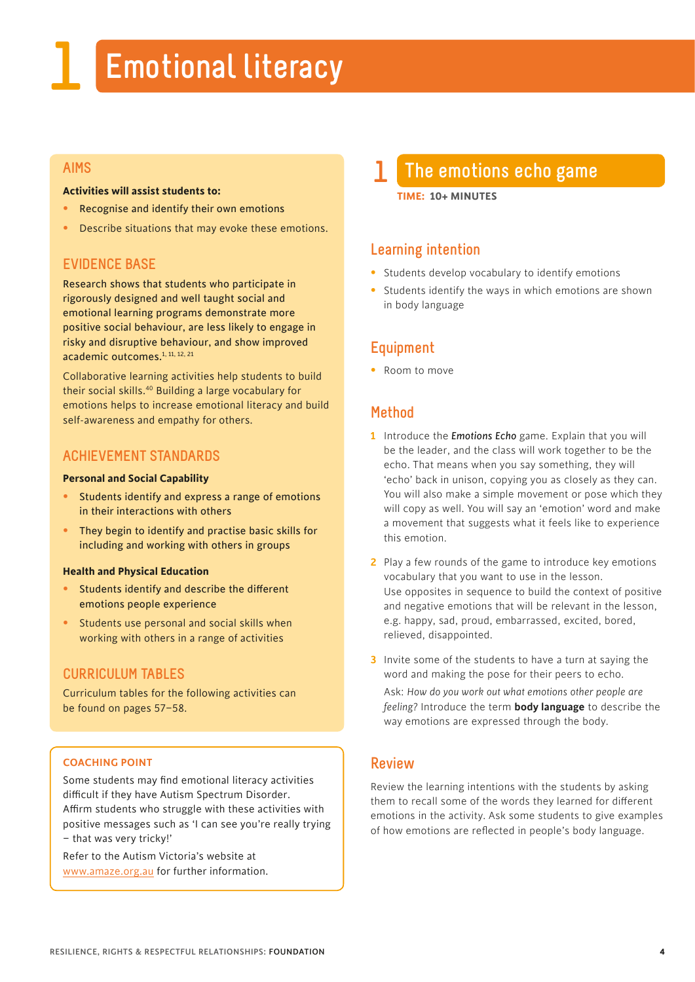## **1 Emotional literacy**

#### **AIMS**

#### **Activities will assist students to:**

- Recognise and identify their own emotions
- Describe situations that may evoke these emotions.

#### **EVIDENCE BASE**

Research shows that students who participate in rigorously designed and well taught social and emotional learning programs demonstrate more positive social behaviour, are less likely to engage in risky and disruptive behaviour, and show improved academic outcomes.<sup>1, 11, 12, 21</sup>

Collaborative learning activities help students to build their social skills.<sup>40</sup> Building a large vocabulary for emotions helps to increase emotional literacy and build self-awareness and empathy for others.

#### **ACHIEVEMENT STANDARDS**

#### **Personal and Social Capability**

- Students identify and express a range of emotions in their interactions with others
- They begin to identify and practise basic skills for including and working with others in groups

#### **Health and Physical Education**

- Students identify and describe the different emotions people experience
- Students use personal and social skills when working with others in a range of activities

#### **CURRICULUM TABLES**

Curriculum tables for the following activities can be found on pages 57–58.

#### **COACHING POINT**

Some students may find emotional literacy activities difficult if they have Autism Spectrum Disorder. Affirm students who struggle with these activities with positive messages such as 'I can see you're really trying – that was very tricky!'

Refer to the Autism Victoria's website at [www.amaze.org.au fo](http://www.amaze.org.au)r further information.

## **1 The emotions echo game**

**TIME: 10+ MINUTES**

#### **Learning intention**

- Students develop vocabulary to identify emotions
- Students identify the ways in which emotions are shown in body language

#### **Equipment**

• Room to move

#### **Method**

- **1** Introduce the *Emotions Echo* game. Explain that you will be the leader, and the class will work together to be the echo. That means when you say something, they will 'echo' back in unison, copying you as closely as they can. You will also make a simple movement or pose which they will copy as well. You will say an 'emotion' word and make a movement that suggests what it feels like to experience this emotion.
- **2** Play a few rounds of the game to introduce key emotions vocabulary that you want to use in the lesson. Use opposites in sequence to build the context of positive and negative emotions that will be relevant in the lesson, e.g. happy, sad, proud, embarrassed, excited, bored, relieved, disappointed.
- **3** Invite some of the students to have a turn at saying the word and making the pose for their peers to echo.

 Ask: *How do you work out what emotions other people are feeling?* Introduce the term **body language** to describe the way emotions are expressed through the body.

#### **Review**

Review the learning intentions with the students by asking them to recall some of the words they learned for different emotions in the activity. Ask some students to give examples of how emotions are reflected in people's body language.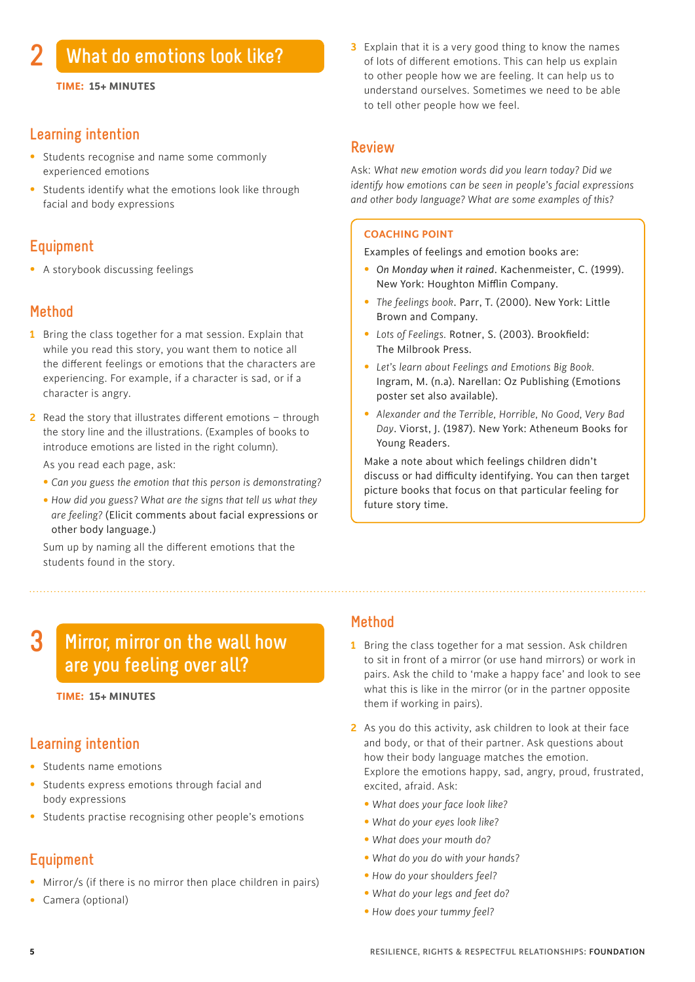#### **Learning intention**

- Students recognise and name some commonly experienced emotions
- Students identify what the emotions look like through facial and body expressions

#### **Equipment**

• A storybook discussing feelings

#### **Method**

- **1** Bring the class together for a mat session. Explain that while you read this story, you want them to notice all the different feelings or emotions that the characters are experiencing. For example, if a character is sad, or if a character is angry.
- **2** Read the story that illustrates different emotions through the story line and the illustrations. (Examples of books to introduce emotions are listed in the right column).

As you read each page, ask:

- *Can you guess the emotion that this person is demonstrating?*
- *How did you guess? What are the signs that tell us what they are feeling?* (Elicit comments about facial expressions or other body language.)

Sum up by naming all the different emotions that the students found in the story.

**3** Explain that it is a very good thing to know the names of lots of different emotions. This can help us explain to other people how we are feeling. It can help us to understand ourselves. Sometimes we need to be able to tell other people how we feel.

#### **Review**

Ask: *What new emotion words did you learn today? Did we identify how emotions can be seen in people's facial expressions and other body language? What are some examples of this?* 

#### **COACHING POINT**

Examples of feelings and emotion books are:

- *On Monday when it rained*. Kachenmeister, C. (1999). New York: Houghton Mifflin Company.
- *The feelings book*. Parr, T. (2000). New York: Little Brown and Company.
- *Lots of Feelings.* Rotner, S. (2003). Brookfield: The Milbrook Press.
- *Let's learn about Feelings and Emotions Big Book.* Ingram, M. (n.a). Narellan: Oz Publishing (Emotions poster set also available).
- *Alexander and the Terrible, Horrible, No Good, Very Bad Day*. Viorst, J. (1987). New York: Atheneum Books for Young Readers.

Make a note about which feelings children didn't discuss or had difficulty identifying. You can then target picture books that focus on that particular feeling for future story time.

#### **Mirror, mirror on the wall how are you feeling over all? 3**

#### **TIME: 15+ MINUTES**

#### **Learning intention**

- Students name emotions
- Students express emotions through facial and body expressions
- Students practise recognising other people's emotions

### **Equipment**

- Mirror/s (if there is no mirror then place children in pairs)
- Camera (optional)

#### **Method**

- **1** Bring the class together for a mat session. Ask children to sit in front of a mirror (or use hand mirrors) or work in pairs. Ask the child to 'make a happy face' and look to see what this is like in the mirror (or in the partner opposite them if working in pairs).
- **2** As you do this activity, ask children to look at their face and body, or that of their partner. Ask questions about how their body language matches the emotion. Explore the emotions happy, sad, angry, proud, frustrated, excited, afraid. Ask:
	- *What does your face look like?*
	- *What do your eyes look like?*
	- *What does your mouth do?*
	- *What do you do with your hands?*
	- *How do your shoulders feel?*
	- *What do your legs and feet do?*
	- *How does your tummy feel?*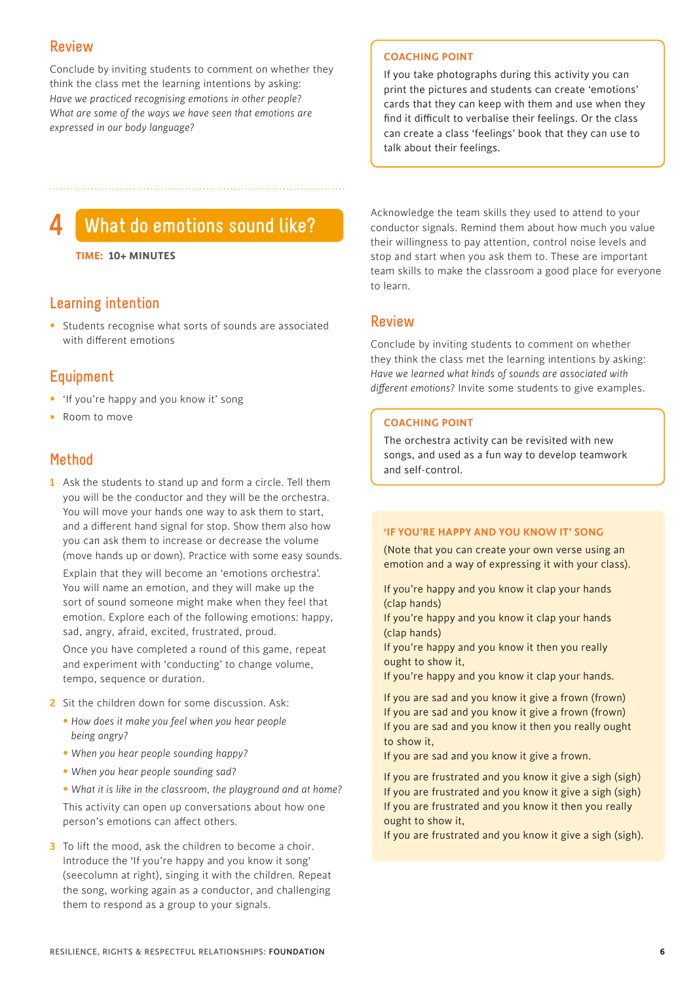#### **Review**

Conclude by inviting students to comment on whether they think the class met the learning intentions by asking: *Have we practiced recognising emotions in other people? What are some of the ways we have seen that emotions are expressed in our body language?*

#### **COACHING POINT**

If you take photographs during this activity you can print the pictures and students can create 'emotions' cards that they can keep with them and use when they find it difficult to verbalise their feelings. Or the class can create a class 'feelings' book that they can use to talk about their feelings.

## **4 What do emotions sound like?**

**TIME: 10+ MINUTES**

#### **Learning intention**

• Students recognise what sorts of sounds are associated with different emotions

#### **Equipment**

- 'If you're happy and you know it' song
- Room to move

#### **Method**

**1** Ask the students to stand up and form a circle. Tell them you will be the conductor and they will be the orchestra. You will move your hands one way to ask them to start, and a different hand signal for stop. Show them also how you can ask them to increase or decrease the volume (move hands up or down). Practice with some easy sounds.

 Explain that they will become an 'emotions orchestra'. You will name an emotion, and they will make up the sort of sound someone might make when they feel that emotion. Explore each of the following emotions: happy, sad, angry, afraid, excited, frustrated, proud.

 Once you have completed a round of this game, repeat and experiment with 'conducting' to change volume, tempo, sequence or duration.

- **2** Sit the children down for some discussion. Ask:
	- *How does it make you feel when you hear people being angry?*
	- *When you hear people sounding happy?*
	- *When you hear people sounding sad?*
	- *What it is like in the classroom, the playground and at home?*

 This activity can open up conversations about how one person's emotions can affect others.

**3** To lift the mood, ask the children to become a choir. Introduce the 'If you're happy and you know it song' (seecolumn at right), singing it with the children. Repeat the song, working again as a conductor, and challenging them to respond as a group to your signals.

Acknowledge the team skills they used to attend to your conductor signals. Remind them about how much you value their willingness to pay attention, control noise levels and stop and start when you ask them to. These are important team skills to make the classroom a good place for everyone to learn.

#### **Review**

Conclude by inviting students to comment on whether they think the class met the learning intentions by asking: *Have we learned what kinds of sounds are associated with different emotions?* Invite some students to give examples.

#### **COACHING POINT**

The orchestra activity can be revisited with new songs, and used as a fun way to develop teamwork and self-control.

#### **'IF YOU'RE HAPPY AND YOU KNOW IT' SONG**

(Note that you can create your own verse using an emotion and a way of expressing it with your class).

If you're happy and you know it clap your hands (clap hands)

If you're happy and you know it clap your hands (clap hands)

If you're happy and you know it then you really ought to show it,

If you're happy and you know it clap your hands.

If you are sad and you know it give a frown (frown) If you are sad and you know it give a frown (frown) If you are sad and you know it then you really ought to show it,

If you are sad and you know it give a frown.

If you are frustrated and you know it give a sigh (sigh) If you are frustrated and you know it give a sigh (sigh) If you are frustrated and you know it then you really ought to show it,

If you are frustrated and you know it give a sigh (sigh).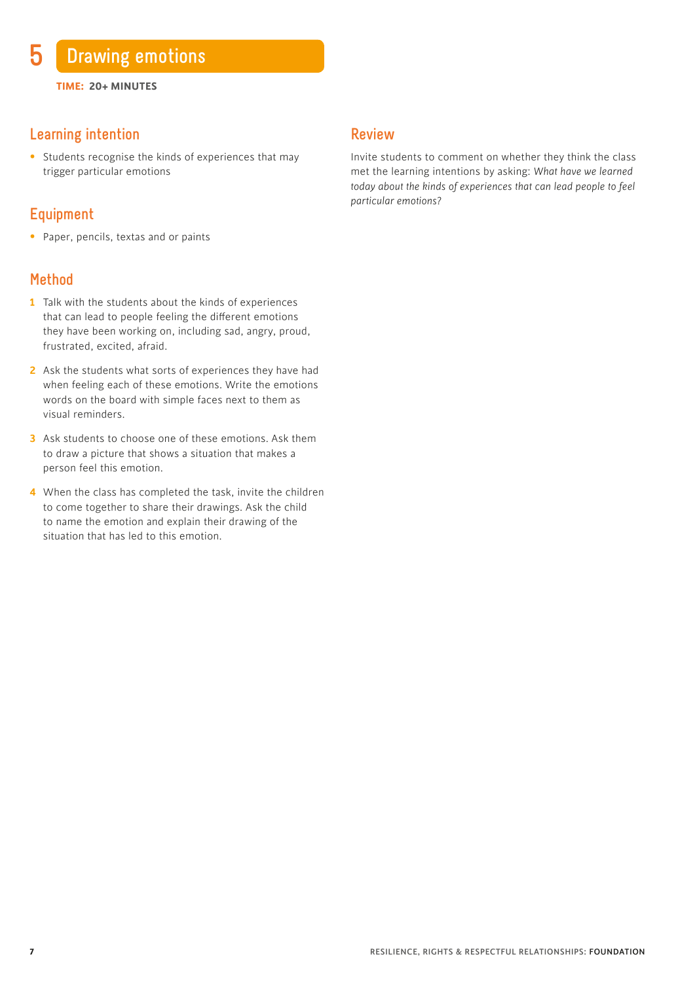#### **Learning intention**

• Students recognise the kinds of experiences that may trigger particular emotions

#### **Equipment**

• Paper, pencils, textas and or paints

#### **Method**

- **1** Talk with the students about the kinds of experiences that can lead to people feeling the different emotions they have been working on, including sad, angry, proud, frustrated, excited, afraid.
- **2** Ask the students what sorts of experiences they have had when feeling each of these emotions. Write the emotions words on the board with simple faces next to them as visual reminders.
- **3** Ask students to choose one of these emotions. Ask them to draw a picture that shows a situation that makes a person feel this emotion.
- **4** When the class has completed the task, invite the children to come together to share their drawings. Ask the child to name the emotion and explain their drawing of the situation that has led to this emotion.

#### **Review**

Invite students to comment on whether they think the class met the learning intentions by asking: *What have we learned today about the kinds of experiences that can lead people to feel particular emotions?*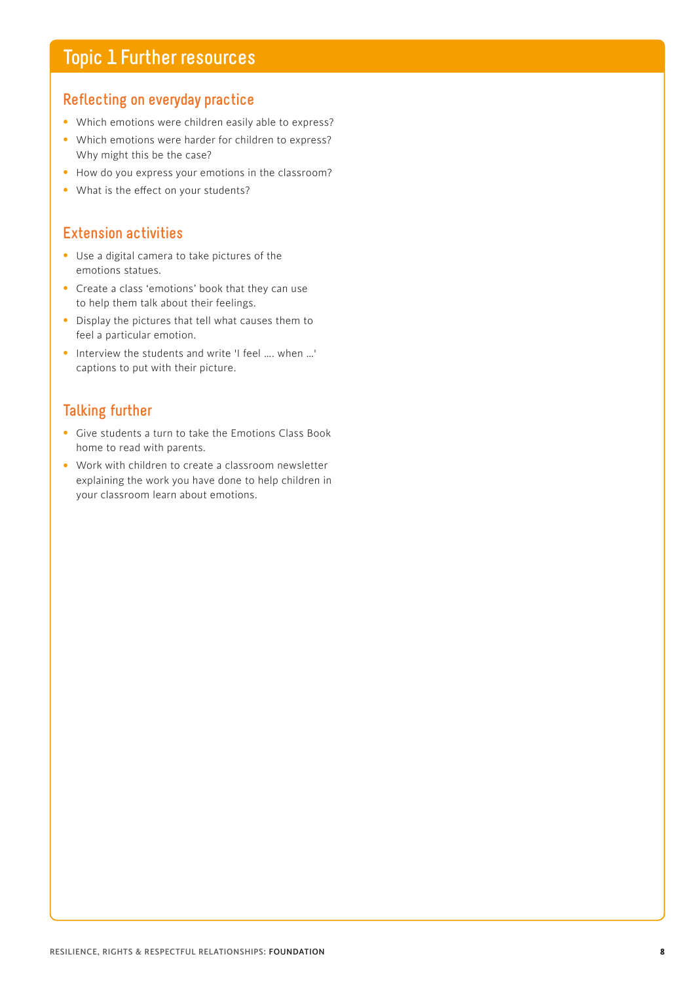## **Topic 1 Further resources**

#### **Reflecting on everyday practice**

- Which emotions were children easily able to express?
- Which emotions were harder for children to express? Why might this be the case?
- How do you express your emotions in the classroom?
- What is the effect on your students?

#### **Extension activities**

- Use a digital camera to take pictures of the emotions statues.
- Create a class 'emotions' book that they can use to help them talk about their feelings.
- Display the pictures that tell what causes them to feel a particular emotion.
- Interview the students and write 'I feel …. when …' captions to put with their picture.

#### **Talking further**

- Give students a turn to take the Emotions Class Book home to read with parents.
- Work with children to create a classroom newsletter explaining the work you have done to help children in your classroom learn about emotions.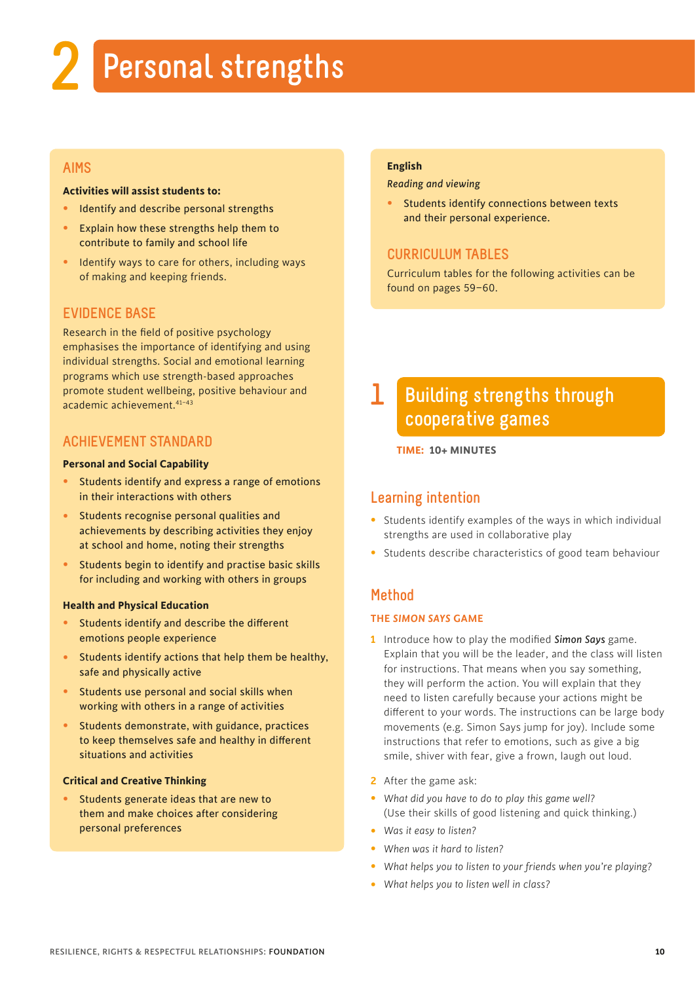## **2 Personal strengths**

#### **AIMS**

#### **Activities will assist students to:**

- Identify and describe personal strengths
- Explain how these strengths help them to contribute to family and school life
- Identify ways to care for others, including ways of making and keeping friends.

#### **EVIDENCE BASE**

Research in the field of positive psychology emphasises the importance of identifying and using individual strengths. Social and emotional learning programs which use strength-based approaches promote student wellbeing, positive behaviour and academic achievement.41–43

#### **ACHIEVEMENT STANDARD**

#### **Personal and Social Capability**

- Students identify and express a range of emotions in their interactions with others
- Students recognise personal qualities and achievements by describing activities they enjoy at school and home, noting their strengths
- Students begin to identify and practise basic skills for including and working with others in groups

#### **Health and Physical Education**

- Students identify and describe the different emotions people experience
- Students identify actions that help them be healthy, safe and physically active
- Students use personal and social skills when working with others in a range of activities
- Students demonstrate, with guidance, practices to keep themselves safe and healthy in different situations and activities

#### **Critical and Creative Thinking**

• Students generate ideas that are new to them and make choices after considering personal preferences

#### **English**

*Reading and viewing*

Students identify connections between texts and their personal experience.

#### **CURRICULUM TABLES**

Curriculum tables for the following activities can be found on pages 59–60.

#### **Building strengths through cooperative games 1**

**TIME: 10+ MINUTES**

#### **Learning intention**

- Students identify examples of the ways in which individual strengths are used in collaborative play
- Students describe characteristics of good team behaviour

#### **Method**

#### **THE** *SIMON SAYS* **GAME**

- **1** Introduce how to play the modified *Simon Says* game. Explain that you will be the leader, and the class will listen for instructions. That means when you say something, they will perform the action. You will explain that they need to listen carefully because your actions might be different to your words. The instructions can be large body movements (e.g. Simon Says jump for joy). Include some instructions that refer to emotions, such as give a big smile, shiver with fear, give a frown, laugh out loud.
- **2** After the game ask:
- • *What did you have to do to play this game well?*  (Use their skills of good listening and quick thinking.)
- *Was it easy to listen?*
- *When was it hard to listen?*
- • *What helps you to listen to your friends when you're playing?*
- *What helps you to listen well in class?*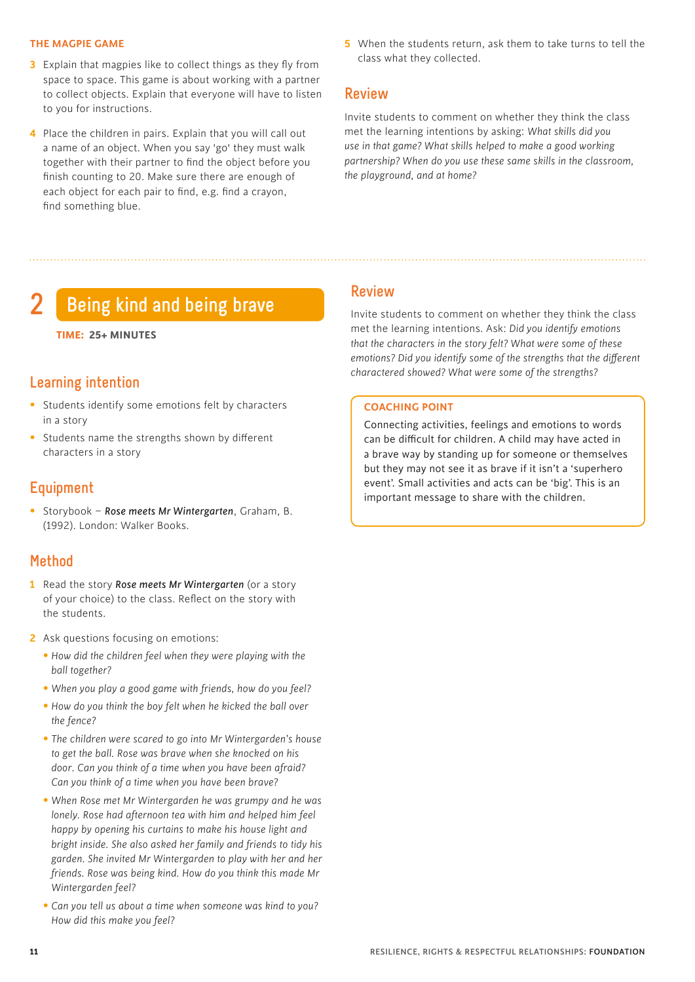#### **THE MAGPIE GAME**

- **3** Explain that magpies like to collect things as they fly from space to space. This game is about working with a partner to collect objects. Explain that everyone will have to listen to you for instructions.
- **4** Place the children in pairs. Explain that you will call out a name of an object. When you say 'go' they must walk together with their partner to find the object before you finish counting to 20. Make sure there are enough of each object for each pair to find, e.g. find a crayon, find something blue.
- **5** When the students return, ask them to take turns to tell the class what they collected.

#### **Review**

Invite students to comment on whether they think the class met the learning intentions by asking: *What skills did you use in that game? What skills helped to make a good working partnership? When do you use these same skills in the classroom, the playground, and at home?*

## **2 Being kind and being brave**

#### **TIME: 25+ MINUTES**

#### **Learning intention**

- Students identify some emotions felt by characters in a story
- Students name the strengths shown by different characters in a story

#### **Equipment**

• Storybook – *Rose meets Mr Wintergarten*, Graham, B. (1992). London: Walker Books.

#### **Method**

- **1** Read the story *Rose meets Mr Wintergarten* (or a story of your choice) to the class. Reflect on the story with the students.
- **2** Ask questions focusing on emotions:
	- • *How did the children feel when they were playing with the ball together?*
	- • *When you play a good game with friends, how do you feel?*
	- • *How do you think the boy felt when he kicked the ball over the fence?*
	- • *The children were scared to go into Mr Wintergarden's house to get the ball. Rose was brave when she knocked on his door. Can you think of a time when you have been afraid? Can you think of a time when you have been brave?*
	- • *When Rose met Mr Wintergarden he was grumpy and he was lonely. Rose had afternoon tea with him and helped him feel happy by opening his curtains to make his house light and bright inside. She also asked her family and friends to tidy his garden. She invited Mr Wintergarden to play with her and her friends. Rose was being kind. How do you think this made Mr Wintergarden feel?*
	- • *Can you tell us about a time when someone was kind to you? How did this make you feel?*

#### **Review**

Invite students to comment on whether they think the class met the learning intentions. Ask: *Did you identify emotions that the characters in the story felt? What were some of these emotions? Did you identify some of the strengths that the different charactered showed? What were some of the strengths?*

#### **COACHING POINT**

Connecting activities, feelings and emotions to words can be difficult for children. A child may have acted in a brave way by standing up for someone or themselves but they may not see it as brave if it isn't a 'superhero event'. Small activities and acts can be 'big'. This is an important message to share with the children.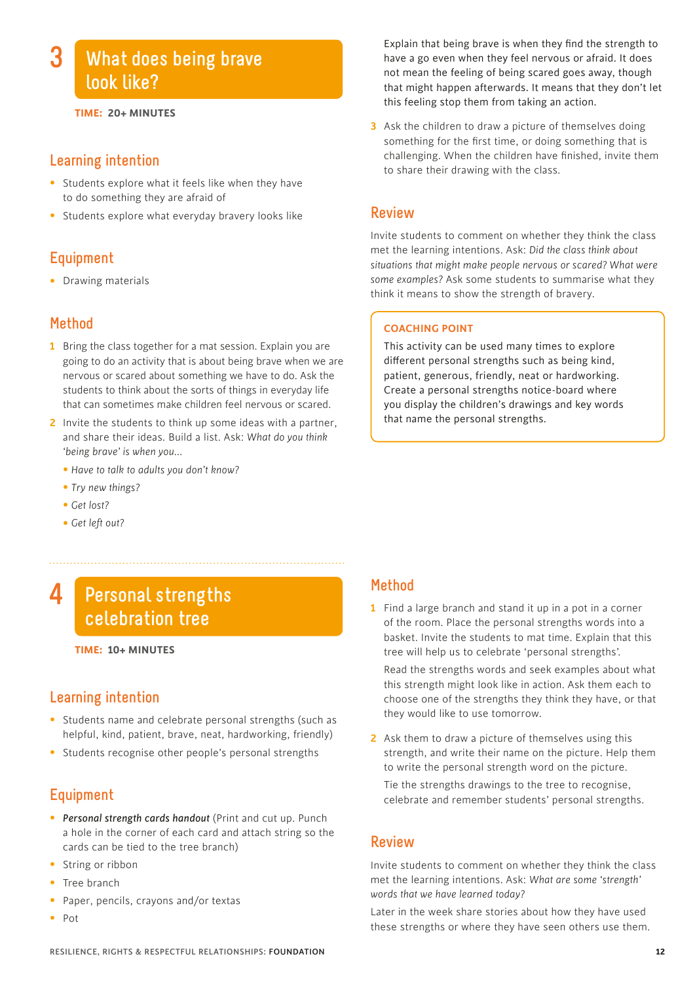## **What does being brave look like?**

#### **TIME: 20+ MINUTES**

#### **Learning intention**

- Students explore what it feels like when they have to do something they are afraid of
- Students explore what everyday bravery looks like

#### **Equipment**

• Drawing materials

#### **Method**

- **1** Bring the class together for a mat session. Explain you are going to do an activity that is about being brave when we are nervous or scared about something we have to do. Ask the students to think about the sorts of things in everyday life that can sometimes make children feel nervous or scared.
- **2** Invite the students to think up some ideas with a partner, and share their ideas. Build a list. Ask: *What do you think 'being brave' is when you...*
	- *Have to talk to adults you don't know?*
	- *Try new things?*
	- *Get lost?*
	- *Get left out?*

#### **Personal strengths celebration tree 4**

#### **TIME: 10+ MINUTES**

#### **Learning intention**

- Students name and celebrate personal strengths (such as helpful, kind, patient, brave, neat, hardworking, friendly)
- Students recognise other people's personal strengths

#### **Equipment**

- *Personal strength cards handout* (Print and cut up. Punch a hole in the corner of each card and attach string so the cards can be tied to the tree branch)
- String or ribbon
- Tree branch
- Paper, pencils, crayons and/or textas
- Pot

Explain that being brave is when they find the strength to have a go even when they feel nervous or afraid. It does not mean the feeling of being scared goes away, though that might happen afterwards. It means that they don't let this feeling stop them from taking an action.

**3** Ask the children to draw a picture of themselves doing something for the first time, or doing something that is challenging. When the children have finished, invite them to share their drawing with the class.

#### **Review**

Invite students to comment on whether they think the class met the learning intentions. Ask: *Did the class think about situations that might make people nervous or scared? What were some examples?* Ask some students to summarise what they think it means to show the strength of bravery.

#### **COACHING POINT**

This activity can be used many times to explore different personal strengths such as being kind, patient, generous, friendly, neat or hardworking. Create a personal strengths notice-board where you display the children's drawings and key words that name the personal strengths.

#### **Method**

- **1** Find a large branch and stand it up in a pot in a corner of the room. Place the personal strengths words into a basket. Invite the students to mat time. Explain that this tree will help us to celebrate 'personal strengths'. Read the strengths words and seek examples about what this strength might look like in action. Ask them each to choose one of the strengths they think they have, or that they would like to use tomorrow.
- **2** Ask them to draw a picture of themselves using this strength, and write their name on the picture. Help them to write the personal strength word on the picture.

 Tie the strengths drawings to the tree to recognise, celebrate and remember students' personal strengths.

#### **Review**

Invite students to comment on whether they think the class met the learning intentions. Ask: *What are some 'strength' words that we have learned today?* 

Later in the week share stories about how they have used these strengths or where they have seen others use them.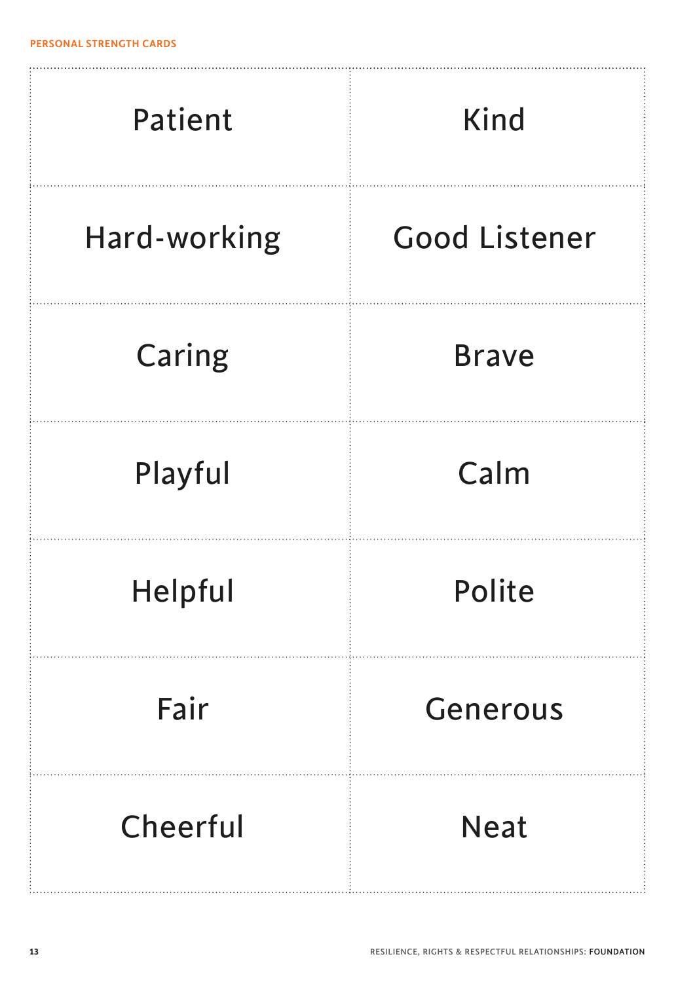| Patient      | <b>Kind</b>          |
|--------------|----------------------|
| Hard-working | <b>Good Listener</b> |
| Caring       | <b>Brave</b>         |
| Playful      | Calm                 |
| Helpful      | Polite               |
| Fair         | Generous             |
| Cheerful     | <b>Neat</b>          |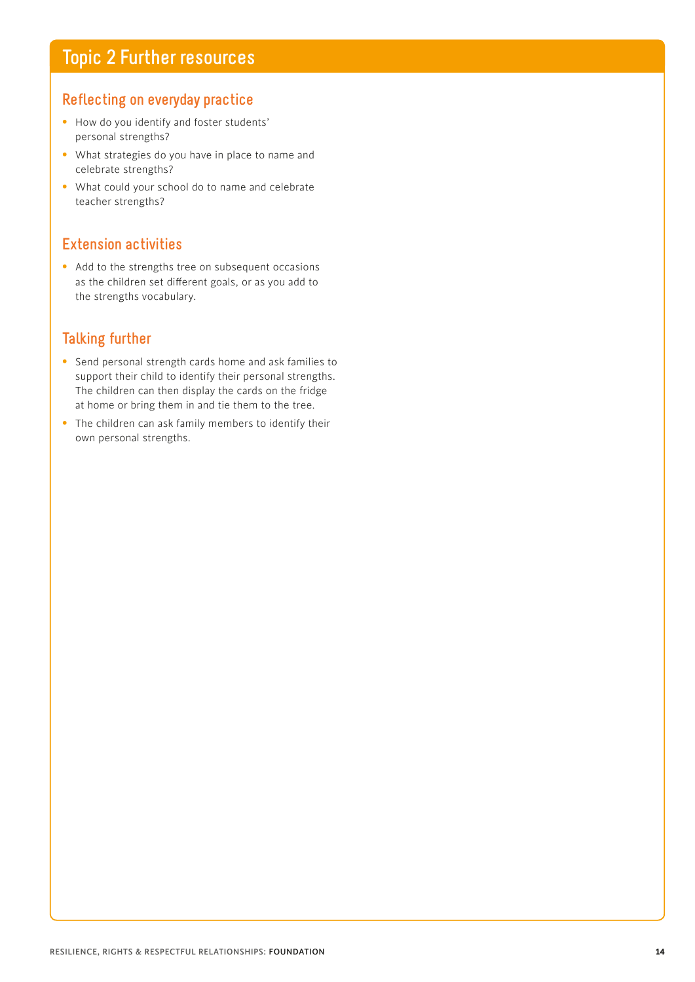#### **Reflecting on everyday practice**

- How do you identify and foster students' personal strengths?
- What strategies do you have in place to name and celebrate strengths?
- What could your school do to name and celebrate teacher strengths?

#### **Extension activities**

• Add to the strengths tree on subsequent occasions as the children set different goals, or as you add to the strengths vocabulary.

#### **Talking further**

- Send personal strength cards home and ask families to support their child to identify their personal strengths. The children can then display the cards on the fridge at home or bring them in and tie them to the tree.
- The children can ask family members to identify their own personal strengths.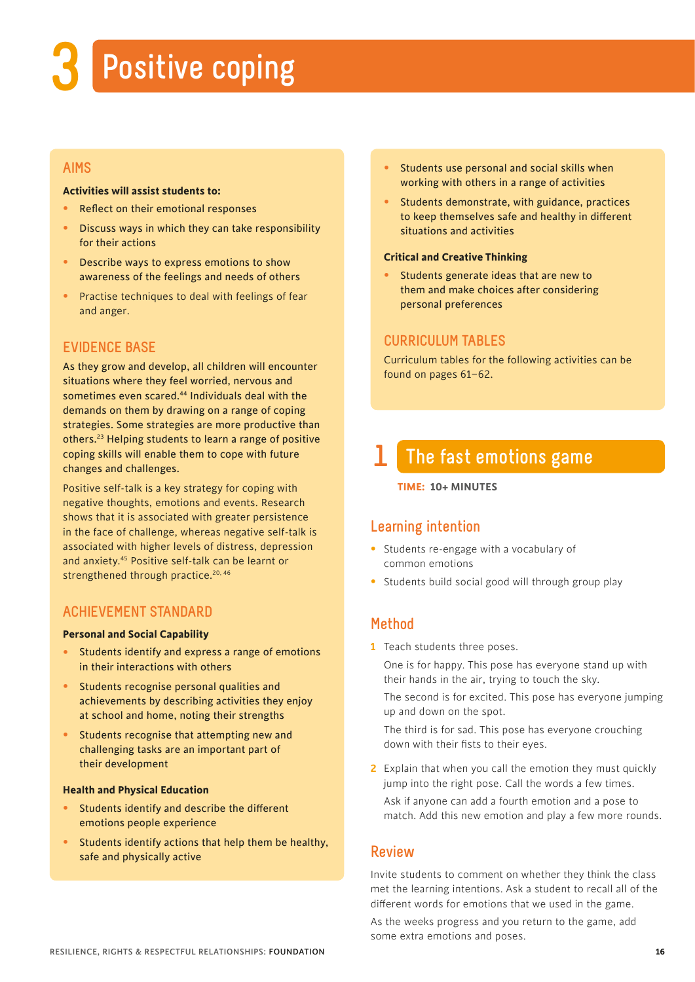# **3 Positive coping**

#### **AIMS**

#### **Activities will assist students to:**

- Reflect on their emotional responses
- Discuss ways in which they can take responsibility for their actions
- Describe ways to express emotions to show awareness of the feelings and needs of others
- Practise techniques to deal with feelings of fear and anger.

#### **EVIDENCE BASE**

As they grow and develop, all children will encounter situations where they feel worried, nervous and sometimes even scared.44 Individuals deal with the demands on them by drawing on a range of coping strategies. Some strategies are more productive than others.23 Helping students to learn a range of positive coping skills will enable them to cope with future changes and challenges.

Positive self-talk is a key strategy for coping with negative thoughts, emotions and events. Research shows that it is associated with greater persistence in the face of challenge, whereas negative self-talk is associated with higher levels of distress, depression and anxiety.45 Positive self-talk can be learnt or strengthened through practice.<sup>20, 46</sup>

#### **ACHIEVEMENT STANDARD**

#### **Personal and Social Capability**

- Students identify and express a range of emotions in their interactions with others
- Students recognise personal qualities and achievements by describing activities they enjoy at school and home, noting their strengths
- Students recognise that attempting new and challenging tasks are an important part of their development

#### **Health and Physical Education**

- Students identify and describe the different emotions people experience
- Students identify actions that help them be healthy, safe and physically active
- Students use personal and social skills when working with others in a range of activities
- Students demonstrate, with guidance, practices to keep themselves safe and healthy in different situations and activities

#### **Critical and Creative Thinking**

Students generate ideas that are new to them and make choices after considering personal preferences

#### **CURRICULUM TABLES**

Curriculum tables for the following activities can be found on pages 61–62.

## **1 The fast emotions game**

#### **TIME: 10+ MINUTES**

#### **Learning intention**

- Students re-engage with a vocabulary of common emotions
- Students build social good will through group play

#### **Method**

**1** Teach students three poses.

 One is for happy. This pose has everyone stand up with their hands in the air, trying to touch the sky.

 The second is for excited. This pose has everyone jumping up and down on the spot.

 The third is for sad. This pose has everyone crouching down with their fists to their eyes.

**2** Explain that when you call the emotion they must quickly jump into the right pose. Call the words a few times.

 Ask if anyone can add a fourth emotion and a pose to match. Add this new emotion and play a few more rounds.

#### **Review**

Invite students to comment on whether they think the class met the learning intentions. Ask a student to recall all of the different words for emotions that we used in the game.

As the weeks progress and you return to the game, add some extra emotions and poses.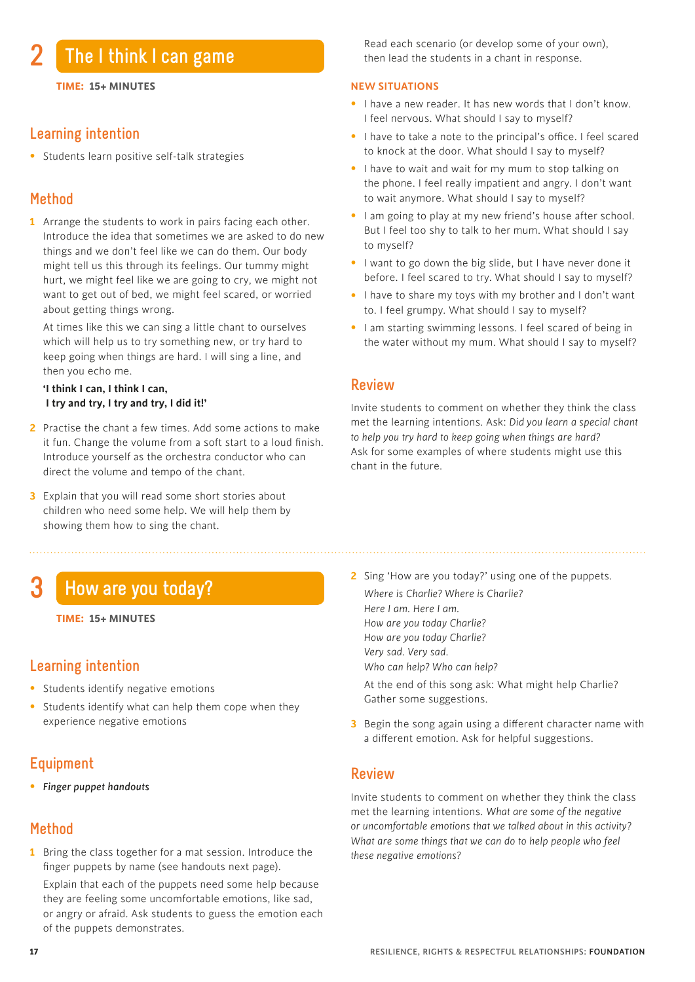## **2 The I think I can game**

**TIME: 15+ MINUTES**

#### **Learning intention**

• Students learn positive self-talk strategies

#### **Method**

**1** Arrange the students to work in pairs facing each other. Introduce the idea that sometimes we are asked to do new things and we don't feel like we can do them. Our body might tell us this through its feelings. Our tummy might hurt, we might feel like we are going to cry, we might not want to get out of bed, we might feel scared, or worried about getting things wrong.

 At times like this we can sing a little chant to ourselves which will help us to try something new, or try hard to keep going when things are hard. I will sing a line, and then you echo me.

#### **'I think I can, I think I can, I try and try, I try and try, I did it!'**

- **2** Practise the chant a few times. Add some actions to make it fun. Change the volume from a soft start to a loud finish. Introduce yourself as the orchestra conductor who can direct the volume and tempo of the chant.
- **3** Explain that you will read some short stories about children who need some help. We will help them by showing them how to sing the chant.

## **3 How are you today?**

#### **Learning intention**

- Students identify negative emotions
- Students identify what can help them cope when they experience negative emotions

### **Equipment**

• *Finger puppet handouts*

#### **Method**

**1** Bring the class together for a mat session. Introduce the finger puppets by name (see handouts next page).

 Explain that each of the puppets need some help because they are feeling some uncomfortable emotions, like sad, or angry or afraid. Ask students to guess the emotion each of the puppets demonstrates.

 Read each scenario (or develop some of your own), then lead the students in a chant in response.

#### **NEW SITUATIONS**

- I have a new reader. It has new words that I don't know. I feel nervous. What should I say to myself?
- I have to take a note to the principal's office. I feel scared to knock at the door. What should I say to myself?
- I have to wait and wait for my mum to stop talking on the phone. I feel really impatient and angry. I don't want to wait anymore. What should I say to myself?
- I am going to play at my new friend's house after school. But I feel too shy to talk to her mum. What should I say to myself?
- I want to go down the big slide, but I have never done it before. I feel scared to try. What should I say to myself?
- I have to share my toys with my brother and I don't want to. I feel grumpy. What should I say to myself?
- I am starting swimming lessons. I feel scared of being in the water without my mum. What should I say to myself?

#### **Review**

Invite students to comment on whether they think the class met the learning intentions. Ask: *Did you learn a special chant to help you try hard to keep going when things are hard?* Ask for some examples of where students might use this chant in the future.

- **2** Sing 'How are you today?' using one of the puppets. *Where is Charlie? Where is Charlie? Here I am. Here I am. How are you today Charlie? How are you today Charlie? Very sad. Very sad. Who can help? Who can help?*
	- At the end of this song ask: What might help Charlie? Gather some suggestions.
- **3** Begin the song again using a different character name with a different emotion. Ask for helpful suggestions.

#### **Review**

Invite students to comment on whether they think the class met the learning intentions. *What are some of the negative or uncomfortable emotions that we talked about in this activity? What are some things that we can do to help people who feel these negative emotions?*

**TIME: 15+ MINUTES**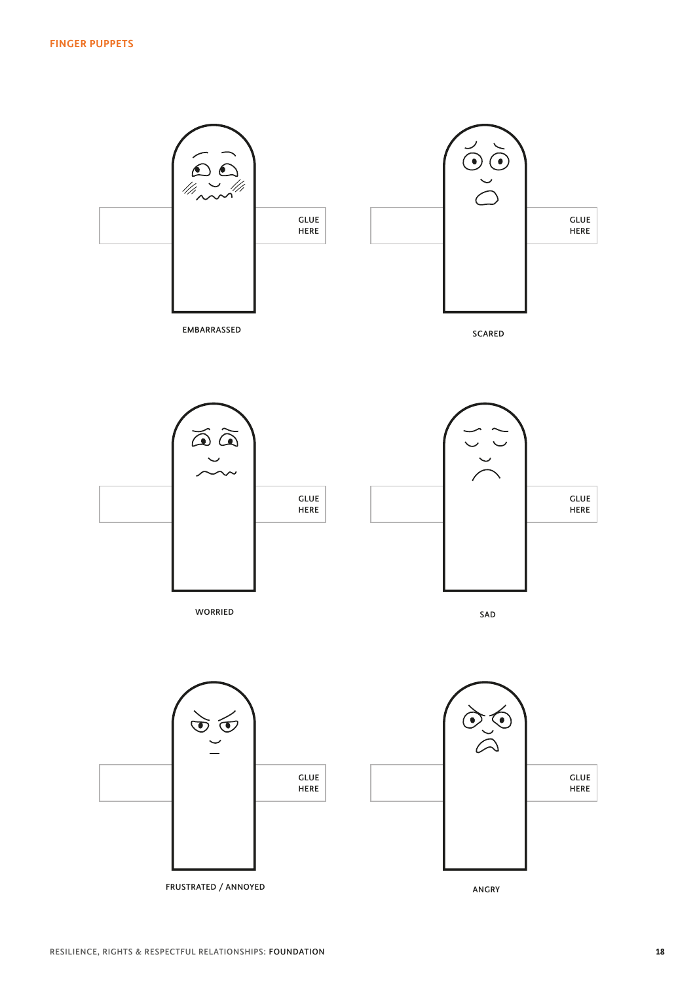

FRUSTRATED / ANNOYED ANGRY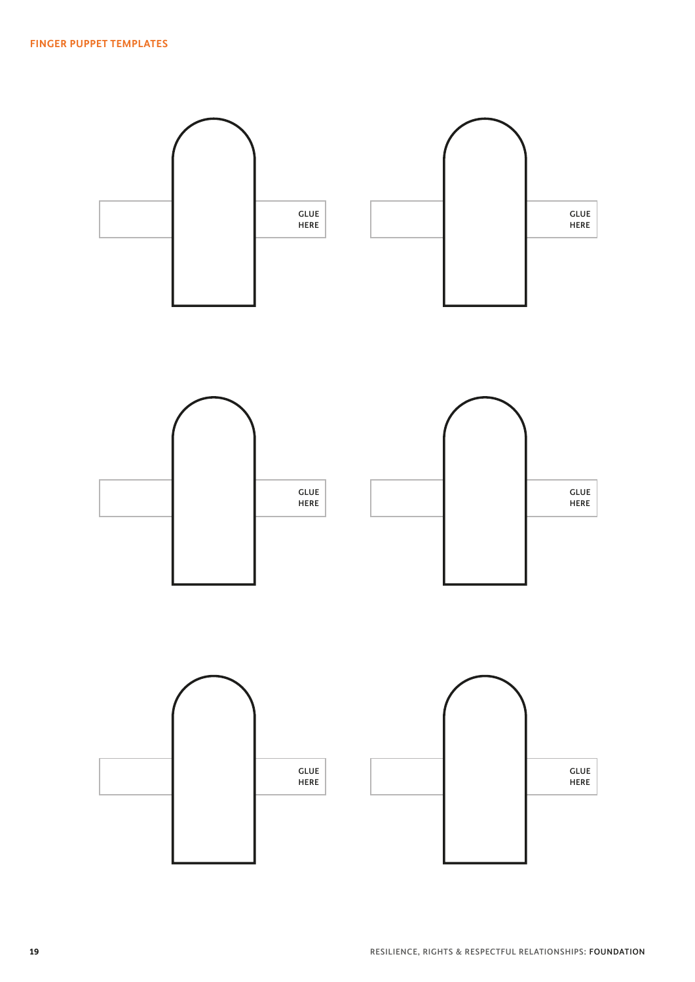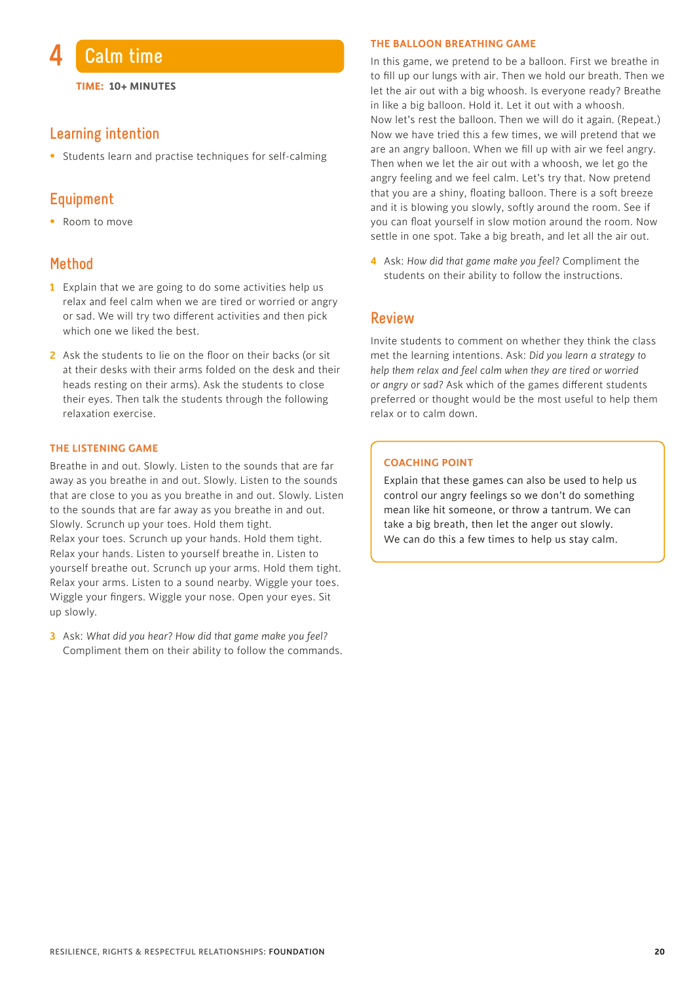

**TIME: 10+ MINUTES**

#### **Learning intention**

• Students learn and practise techniques for self-calming

#### **Equipment**

• Room to move

#### **Method**

- **1** Explain that we are going to do some activities help us relax and feel calm when we are tired or worried or angry or sad. We will try two different activities and then pick which one we liked the best.
- **2** Ask the students to lie on the floor on their backs (or sit at their desks with their arms folded on the desk and their heads resting on their arms). Ask the students to close their eyes. Then talk the students through the following relaxation exercise.

#### **THE LISTENING GAME**

Breathe in and out. Slowly. Listen to the sounds that are far away as you breathe in and out. Slowly. Listen to the sounds that are close to you as you breathe in and out. Slowly. Listen to the sounds that are far away as you breathe in and out. Slowly. Scrunch up your toes. Hold them tight. Relax your toes. Scrunch up your hands. Hold them tight. Relax your hands. Listen to yourself breathe in. Listen to yourself breathe out. Scrunch up your arms. Hold them tight. Relax your arms. Listen to a sound nearby. Wiggle your toes. Wiggle your fingers. Wiggle your nose. Open your eyes. Sit up slowly.

**3** Ask: *What did you hear? How did that game make you feel?* Compliment them on their ability to follow the commands.

#### **THE BALLOON BREATHING GAME**

In this game, we pretend to be a balloon. First we breathe in to fill up our lungs with air. Then we hold our breath. Then we let the air out with a big whoosh. Is everyone ready? Breathe in like a big balloon. Hold it. Let it out with a whoosh. Now let's rest the balloon. Then we will do it again. (Repeat.) Now we have tried this a few times, we will pretend that we are an angry balloon. When we fill up with air we feel angry. Then when we let the air out with a whoosh, we let go the angry feeling and we feel calm. Let's try that. Now pretend that you are a shiny, floating balloon. There is a soft breeze and it is blowing you slowly, softly around the room. See if you can float yourself in slow motion around the room. Now settle in one spot. Take a big breath, and let all the air out.

**4** Ask: *How did that game make you feel?* Compliment the students on their ability to follow the instructions.

#### **Review**

Invite students to comment on whether they think the class met the learning intentions. Ask: *Did you learn a strategy to help them relax and feel calm when they are tired or worried or angry or sad?* Ask which of the games different students preferred or thought would be the most useful to help them relax or to calm down.

#### **COACHING POINT**

Explain that these games can also be used to help us control our angry feelings so we don't do something mean like hit someone, or throw a tantrum. We can take a big breath, then let the anger out slowly. We can do this a few times to help us stay calm.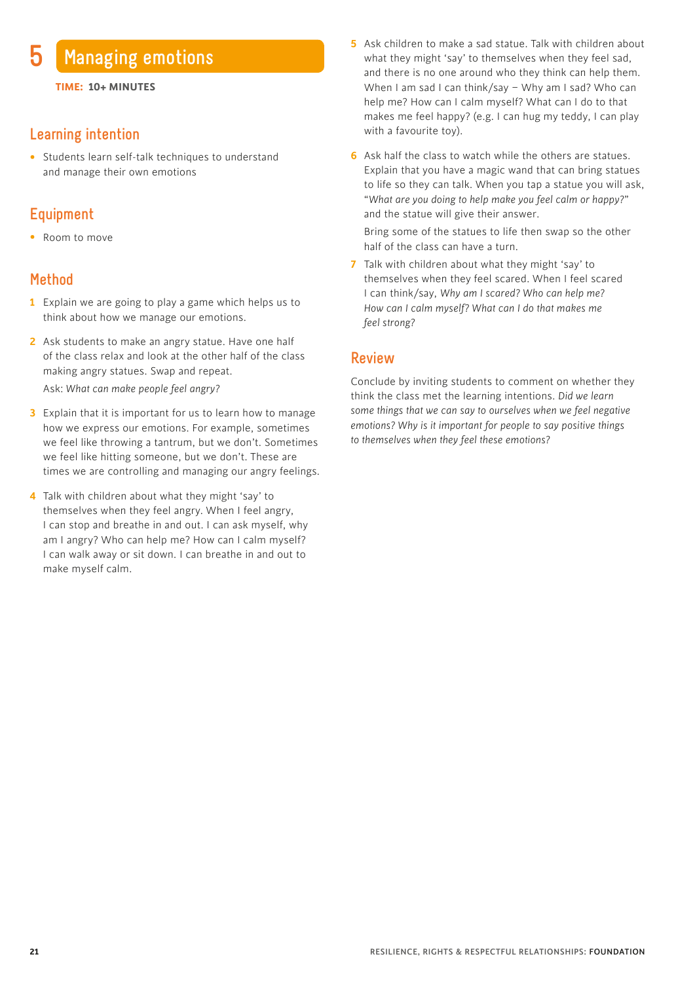### **5 Managing emotions**

#### **Learning intention**

• Students learn self-talk techniques to understand and manage their own emotions

#### **Equipment**

• Room to move

#### **Method**

- **1** Explain we are going to play a game which helps us to think about how we manage our emotions.
- **2** Ask students to make an angry statue. Have one half of the class relax and look at the other half of the class making angry statues. Swap and repeat.

Ask: *What can make people feel angry?*

- **3** Explain that it is important for us to learn how to manage how we express our emotions. For example, sometimes we feel like throwing a tantrum, but we don't. Sometimes we feel like hitting someone, but we don't. These are times we are controlling and managing our angry feelings.
- **4** Talk with children about what they might 'say' to themselves when they feel angry. When I feel angry, I can stop and breathe in and out. I can ask myself, why am I angry? Who can help me? How can I calm myself? I can walk away or sit down. I can breathe in and out to make myself calm.
- **5** Ask children to make a sad statue. Talk with children about what they might 'say' to themselves when they feel sad, and there is no one around who they think can help them. When I am sad I can think/say – Why am I sad? Who can help me? How can I calm myself? What can I do to that makes me feel happy? (e.g. I can hug my teddy, I can play with a favourite toy).
- **6** Ask half the class to watch while the others are statues. Explain that you have a magic wand that can bring statues to life so they can talk. When you tap a statue you will ask, "*What are you doing to help make you feel calm or happy?*" and the statue will give their answer.

 Bring some of the statues to life then swap so the other half of the class can have a turn.

**7** Talk with children about what they might 'say' to themselves when they feel scared. When I feel scared I can think/say, *Why am I scared? Who can help me? How can I calm myself? What can I do that makes me feel strong?*

#### **Review**

Conclude by inviting students to comment on whether they think the class met the learning intentions. *Did we learn some things that we can say to ourselves when we feel negative emotions? Why is it important for people to say positive things to themselves when they feel these emotions?*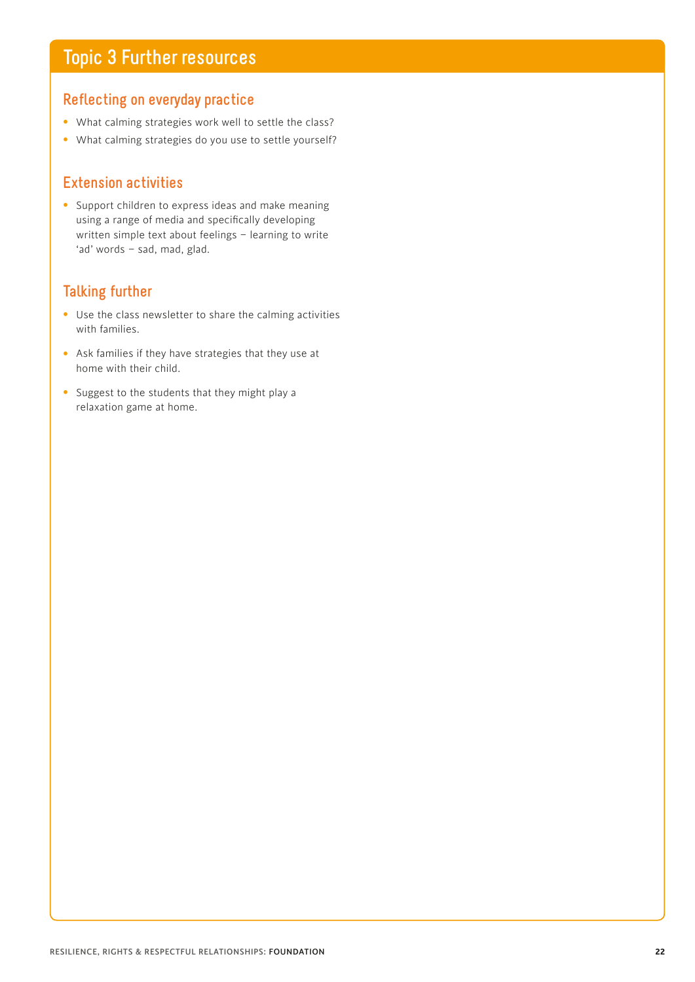## **Topic 3 Further resources**

#### **Reflecting on everyday practice**

- What calming strategies work well to settle the class?
- What calming strategies do you use to settle yourself?

#### **Extension activities**

• Support children to express ideas and make meaning using a range of media and specifically developing written simple text about feelings – learning to write 'ad' words – sad, mad, glad.

### **Talking further**

- Use the class newsletter to share the calming activities with families.
- Ask families if they have strategies that they use at home with their child.
- Suggest to the students that they might play a relaxation game at home.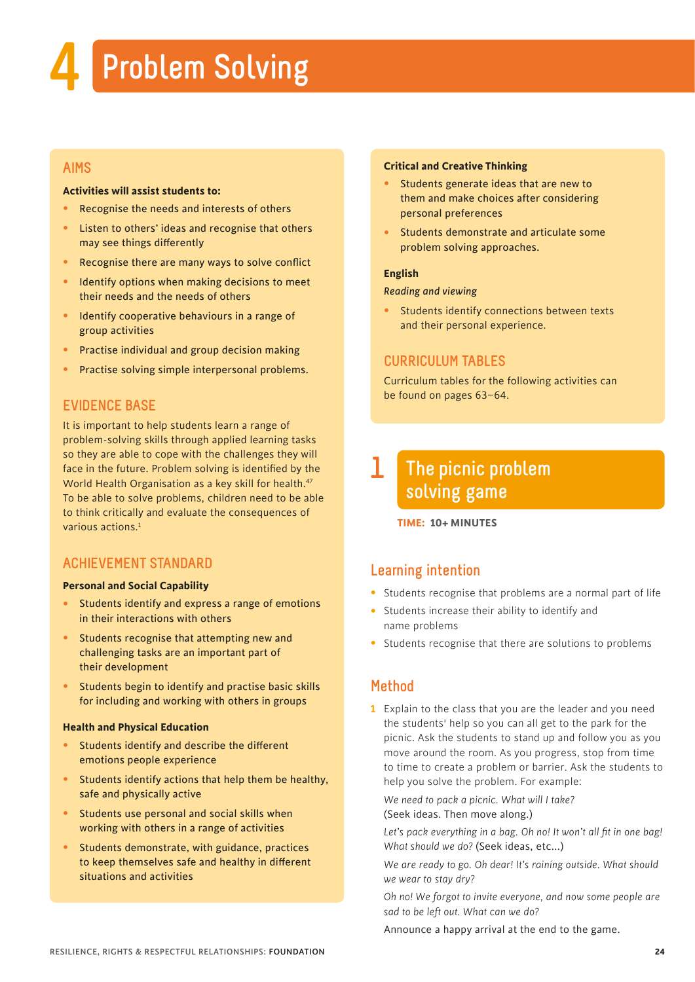## **4 Problem Solving**

#### **AIMS**

#### **Activities will assist students to:**

- Recognise the needs and interests of others
- Listen to others' ideas and recognise that others may see things differently
- Recognise there are many ways to solve conflict
- Identify options when making decisions to meet their needs and the needs of others
- Identify cooperative behaviours in a range of group activities
- Practise individual and group decision making
- Practise solving simple interpersonal problems.

#### **EVIDENCE BASE**

It is important to help students learn a range of problem-solving skills through applied learning tasks so they are able to cope with the challenges they will face in the future. Problem solving is identified by the World Health Organisation as a key skill for health.<sup>47</sup> To be able to solve problems, children need to be able to think critically and evaluate the consequences of various actions.<sup>1</sup>

#### **ACHIEVEMENT STANDARD**

#### **Personal and Social Capability**

- Students identify and express a range of emotions in their interactions with others
- Students recognise that attempting new and challenging tasks are an important part of their development
- Students begin to identify and practise basic skills for including and working with others in groups

#### **Health and Physical Education**

- Students identify and describe the different emotions people experience
- Students identify actions that help them be healthy, safe and physically active
- Students use personal and social skills when working with others in a range of activities
- Students demonstrate, with guidance, practices to keep themselves safe and healthy in different situations and activities

#### **Critical and Creative Thinking**

- Students generate ideas that are new to them and make choices after considering personal preferences
- Students demonstrate and articulate some problem solving approaches.

#### **English**

#### *Reading and viewing*

• Students identify connections between texts and their personal experience.

#### **CURRICULUM TABLES**

Curriculum tables for the following activities can be found on pages 63–64.

#### **The picnic problem solving game 1**

**TIME: 10+ MINUTES**

#### **Learning intention**

- Students recognise that problems are a normal part of life
- Students increase their ability to identify and name problems
- Students recognise that there are solutions to problems

#### **Method**

**1** Explain to the class that you are the leader and you need the students' help so you can all get to the park for the picnic. Ask the students to stand up and follow you as you move around the room. As you progress, stop from time to time to create a problem or barrier. Ask the students to help you solve the problem. For example:

*We need to pack a picnic. What will I take?*  (Seek ideas. Then move along.)

Let's pack everything in a bag. Oh no! It won't all fit in one bag! *What should we do?* (Seek ideas, etc...)

*We are ready to go. Oh dear! It's raining outside. What should we wear to stay dry?*

*Oh no! We forgot to invite everyone, and now some people are sad to be left out. What can we do?* 

Announce a happy arrival at the end to the game.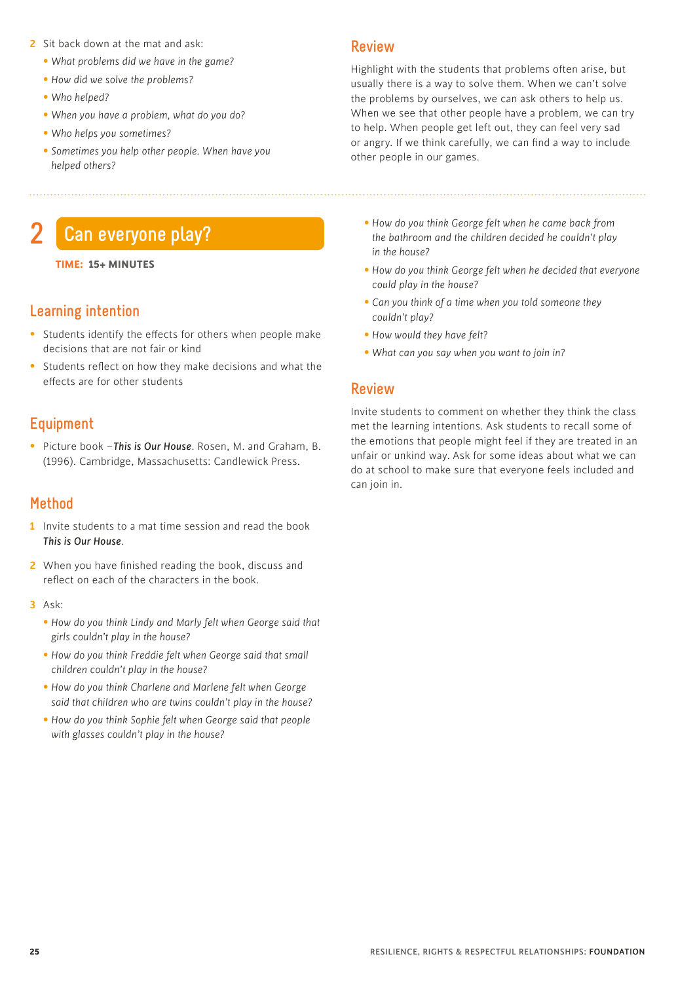- **2** Sit back down at the mat and ask:
	- *What problems did we have in the game?*
	- *How did we solve the problems?*
	- *Who helped?*
	- *When you have a problem, what do you do?*
	- *Who helps you sometimes?*
	- *Sometimes you help other people. When have you helped others?*

## **2 Can everyone play?**

#### **TIME: 15+ MINUTES**

#### **Learning intention**

- Students identify the effects for others when people make decisions that are not fair or kind
- Students reflect on how they make decisions and what the effects are for other students

#### **Equipment**

• Picture book –*This is Our House*. Rosen, M. and Graham, B. (1996). Cambridge, Massachusetts: Candlewick Press.

#### **Method**

- **1** Invite students to a mat time session and read the book *This is Our House*.
- **2** When you have finished reading the book, discuss and reflect on each of the characters in the book.
- **3** Ask:
	- *How do you think Lindy and Marly felt when George said that girls couldn't play in the house?*
	- *How do you think Freddie felt when George said that small children couldn't play in the house?*
	- *How do you think Charlene and Marlene felt when George said that children who are twins couldn't play in the house?*
	- *How do you think Sophie felt when George said that people with glasses couldn't play in the house?*

#### **Review**

Highlight with the students that problems often arise, but usually there is a way to solve them. When we can't solve the problems by ourselves, we can ask others to help us. When we see that other people have a problem, we can try to help. When people get left out, they can feel very sad or angry. If we think carefully, we can find a way to include other people in our games.

- *How do you think George felt when he came back from the bathroom and the children decided he couldn't play in the house?*
- *How do you think George felt when he decided that everyone could play in the house?*
- *Can you think of a time when you told someone they couldn't play?*
- *How would they have felt?*
- *What can you say when you want to join in?*

#### **Review**

Invite students to comment on whether they think the class met the learning intentions. Ask students to recall some of the emotions that people might feel if they are treated in an unfair or unkind way. Ask for some ideas about what we can do at school to make sure that everyone feels included and can join in.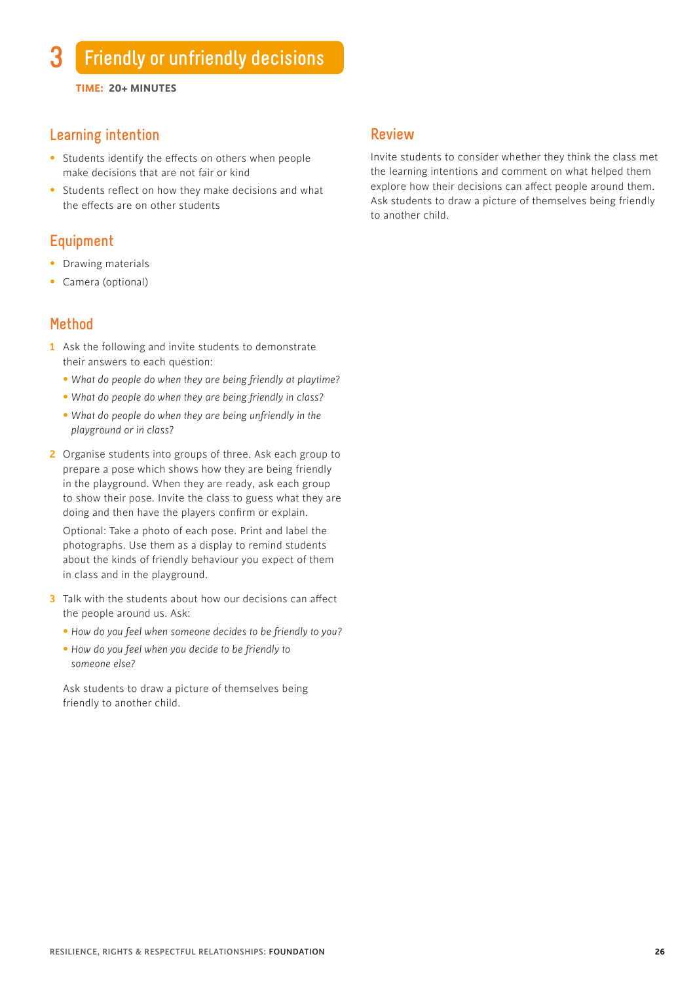**TIME: 20+ MINUTES**

#### **Learning intention**

- Students identify the effects on others when people make decisions that are not fair or kind
- Students reflect on how they make decisions and what the effects are on other students

#### **Equipment**

- Drawing materials
- Camera (optional)

#### **Method**

- **1** Ask the following and invite students to demonstrate their answers to each question:
	- *What do people do when they are being friendly at playtime?*
	- *What do people do when they are being friendly in class?*
	- *What do people do when they are being unfriendly in the playground or in class?*
- **2** Organise students into groups of three. Ask each group to prepare a pose which shows how they are being friendly in the playground. When they are ready, ask each group to show their pose. Invite the class to guess what they are doing and then have the players confirm or explain.

 Optional: Take a photo of each pose. Print and label the photographs. Use them as a display to remind students about the kinds of friendly behaviour you expect of them in class and in the playground.

- **3** Talk with the students about how our decisions can affect the people around us. Ask:
	- *How do you feel when someone decides to be friendly to you?*
	- *How do you feel when you decide to be friendly to someone else?*

 Ask students to draw a picture of themselves being friendly to another child.

#### **Review**

Invite students to consider whether they think the class met the learning intentions and comment on what helped them explore how their decisions can affect people around them. Ask students to draw a picture of themselves being friendly to another child.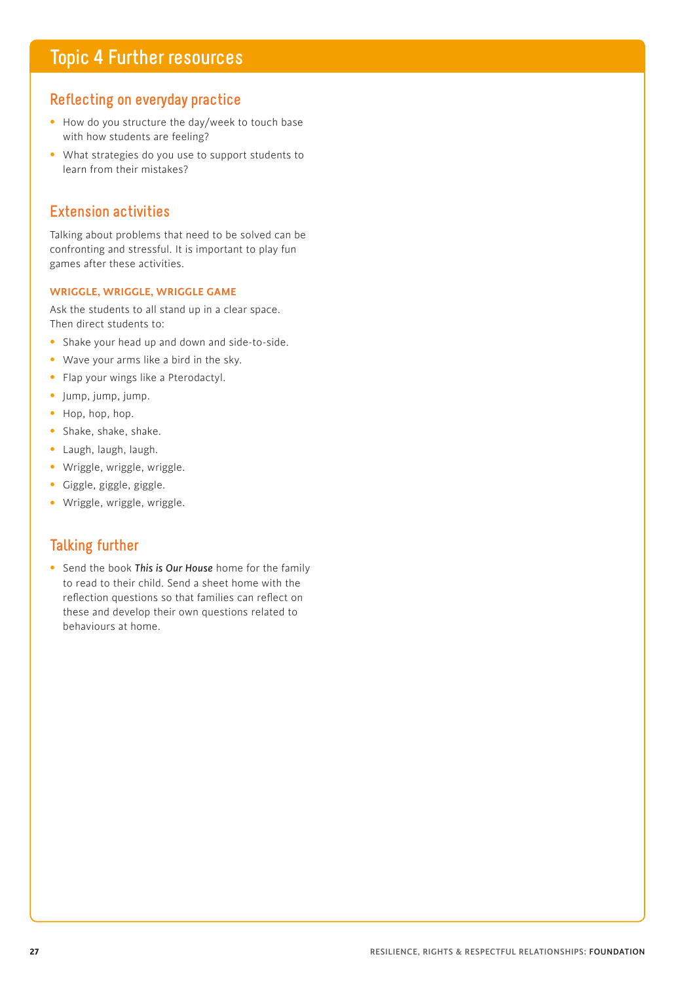## **Topic 4 Further resources**

#### **Reflecting on everyday practice**

- How do you structure the day/week to touch base with how students are feeling?
- What strategies do you use to support students to learn from their mistakes?

#### **Extension activities**

Talking about problems that need to be solved can be confronting and stressful. It is important to play fun games after these activities.

#### **WRIGGLE, WRIGGLE, WRIGGLE GAME**

Ask the students to all stand up in a clear space. Then direct students to:

- Shake your head up and down and side-to-side.
- Wave your arms like a bird in the sky.
- Flap your wings like a Pterodactyl.
- Jump, jump, jump.
- Hop, hop, hop.
- Shake, shake, shake.
- Laugh, laugh, laugh.
- Wriggle, wriggle, wriggle.
- Giggle, giggle, giggle.
- Wriggle, wriggle, wriggle.

#### **Talking further**

• Send the book *This is Our House* home for the family to read to their child. Send a sheet home with the reflection questions so that families can reflect on these and develop their own questions related to behaviours at home.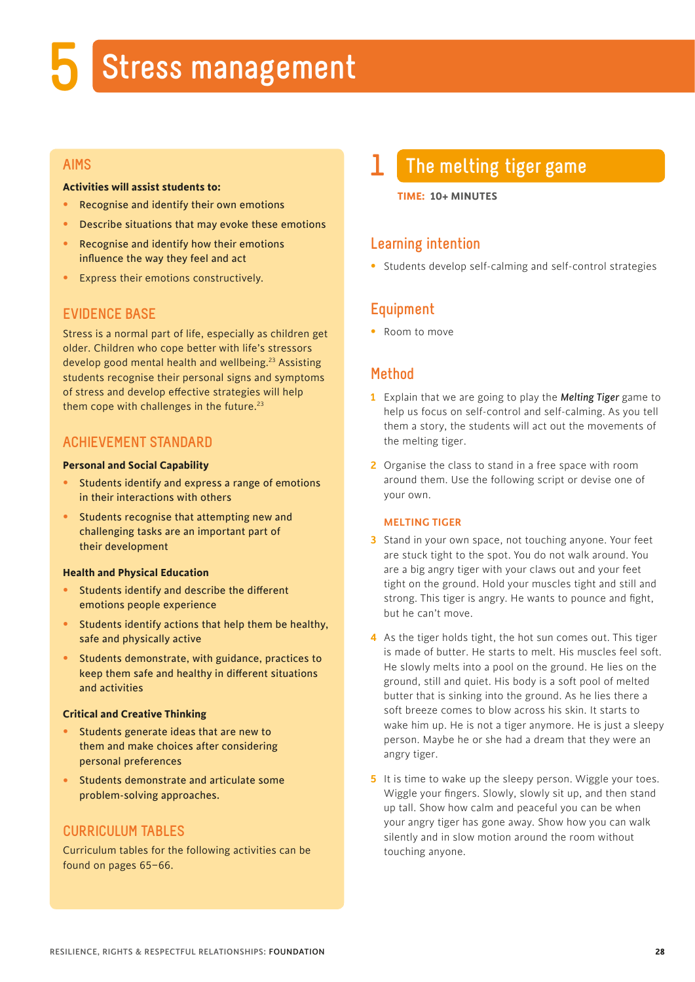## **5 Stress management**

#### **AIMS**

#### **Activities will assist students to:**

- Recognise and identify their own emotions
- Describe situations that may evoke these emotions
- Recognise and identify how their emotions influence the way they feel and act
- Express their emotions constructively.

#### **EVIDENCE BASE**

Stress is a normal part of life, especially as children get older. Children who cope better with life's stressors develop good mental health and wellbeing.<sup>23</sup> Assisting students recognise their personal signs and symptoms of stress and develop effective strategies will help them cope with challenges in the future. $23$ 

#### **ACHIEVEMENT STANDARD**

#### **Personal and Social Capability**

- Students identify and express a range of emotions in their interactions with others
- Students recognise that attempting new and challenging tasks are an important part of their development

#### **Health and Physical Education**

- Students identify and describe the different emotions people experience
- Students identify actions that help them be healthy, safe and physically active
- Students demonstrate, with guidance, practices to keep them safe and healthy in different situations and activities

#### **Critical and Creative Thinking**

- Students generate ideas that are new to them and make choices after considering personal preferences
- Students demonstrate and articulate some problem-solving approaches.

#### **CURRICULUM TABLES**

Curriculum tables for the following activities can be found on pages 65–66.

## **1 The melting tiger game**

#### **TIME: 10+ MINUTES**

#### **Learning intention**

• Students develop self-calming and self-control strategies

#### **Equipment**

• Room to move

#### **Method**

- **1** Explain that we are going to play the *Melting Tiger* game to help us focus on self-control and self-calming. As you tell them a story, the students will act out the movements of the melting tiger.
- **2** Organise the class to stand in a free space with room around them. Use the following script or devise one of your own.

#### **MELTING TIGER**

- **3** Stand in your own space, not touching anyone. Your feet are stuck tight to the spot. You do not walk around. You are a big angry tiger with your claws out and your feet tight on the ground. Hold your muscles tight and still and strong. This tiger is angry. He wants to pounce and fight, but he can't move.
- **4** As the tiger holds tight, the hot sun comes out. This tiger is made of butter. He starts to melt. His muscles feel soft. He slowly melts into a pool on the ground. He lies on the ground, still and quiet. His body is a soft pool of melted butter that is sinking into the ground. As he lies there a soft breeze comes to blow across his skin. It starts to wake him up. He is not a tiger anymore. He is just a sleepy person. Maybe he or she had a dream that they were an angry tiger.
- **5** It is time to wake up the sleepy person. Wiggle your toes. Wiggle your fingers. Slowly, slowly sit up, and then stand up tall. Show how calm and peaceful you can be when your angry tiger has gone away. Show how you can walk silently and in slow motion around the room without touching anyone.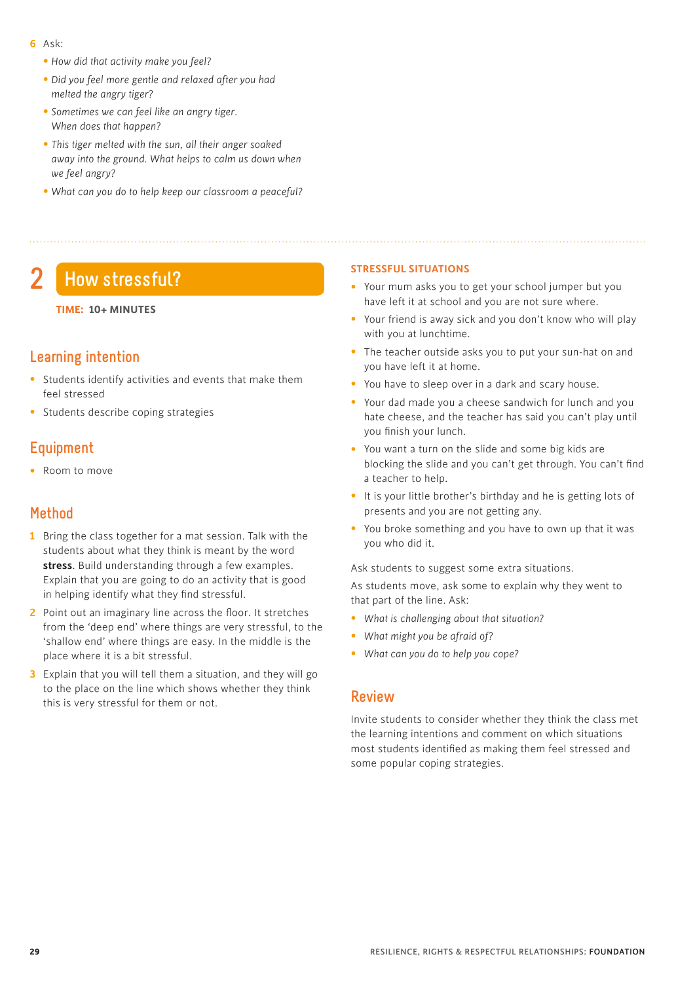- **6** Ask:
	- *How did that activity make you feel?*
	- • *Did you feel more gentle and relaxed after you had melted the angry tiger?*
	- • *Sometimes we can feel like an angry tiger. When does that happen?*
	- • *This tiger melted with the sun, all their anger soaked away into the ground. What helps to calm us down when we feel angry?*
	- • *What can you do to help keep our classroom a peaceful?*

## **2 How stressful?**

#### **TIME: 10+ MINUTES**

#### **Learning intention**

- Students identify activities and events that make them feel stressed
- Students describe coping strategies

### **Equipment**

• Room to move

#### **Method**

- **1** Bring the class together for a mat session. Talk with the students about what they think is meant by the word **stress**. Build understanding through a few examples. Explain that you are going to do an activity that is good in helping identify what they find stressful.
- **2** Point out an imaginary line across the floor. It stretches from the 'deep end' where things are very stressful, to the 'shallow end' where things are easy. In the middle is the place where it is a bit stressful.
- **3** Explain that you will tell them a situation, and they will go to the place on the line which shows whether they think this is very stressful for them or not.

#### **STRESSFUL SITUATIONS**

- Your mum asks you to get your school jumper but you have left it at school and you are not sure where.
- Your friend is away sick and you don't know who will play with you at lunchtime.
- The teacher outside asks you to put your sun-hat on and you have left it at home.
- You have to sleep over in a dark and scary house.
- Your dad made you a cheese sandwich for lunch and you hate cheese, and the teacher has said you can't play until you finish your lunch.
- You want a turn on the slide and some big kids are blocking the slide and you can't get through. You can't find a teacher to help.
- It is your little brother's birthday and he is getting lots of presents and you are not getting any.
- You broke something and you have to own up that it was you who did it.

Ask students to suggest some extra situations.

As students move, ask some to explain why they went to that part of the line. Ask:

- *What is challenging about that situation?*
- *What might you be afraid of?*
- *What can you do to help you cope?*

#### **Review**

Invite students to consider whether they think the class met the learning intentions and comment on which situations most students identified as making them feel stressed and some popular coping strategies.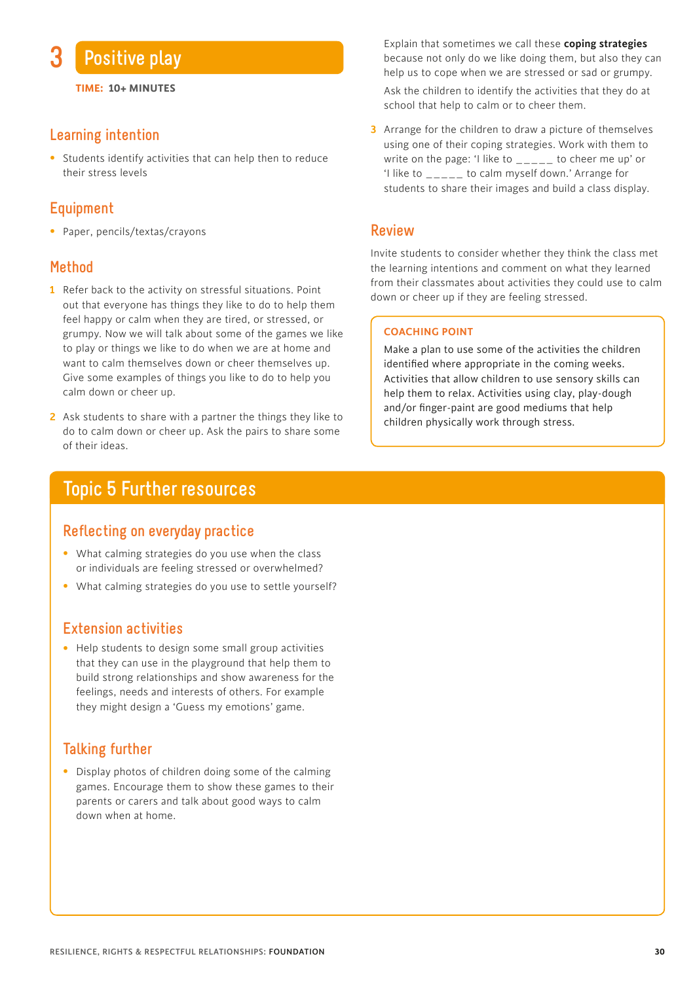

**TIME: 10+ MINUTES**

#### **Learning intention**

• Students identify activities that can help then to reduce their stress levels

#### **Equipment**

• Paper, pencils/textas/crayons

#### **Method**

- **1** Refer back to the activity on stressful situations. Point out that everyone has things they like to do to help them feel happy or calm when they are tired, or stressed, or grumpy. Now we will talk about some of the games we like to play or things we like to do when we are at home and want to calm themselves down or cheer themselves up. Give some examples of things you like to do to help you calm down or cheer up.
- **2** Ask students to share with a partner the things they like to do to calm down or cheer up. Ask the pairs to share some of their ideas.

## **Topic 5 Further resources**

#### **Reflecting on everyday practice**

- What calming strategies do you use when the class or individuals are feeling stressed or overwhelmed?
- What calming strategies do you use to settle yourself?

#### **Extension activities**

• Help students to design some small group activities that they can use in the playground that help them to build strong relationships and show awareness for the feelings, needs and interests of others. For example they might design a 'Guess my emotions' game.

#### **Talking further**

• Display photos of children doing some of the calming games. Encourage them to show these games to their parents or carers and talk about good ways to calm down when at home.

 Explain that sometimes we call these **coping strategies** because not only do we like doing them, but also they can help us to cope when we are stressed or sad or grumpy.

 Ask the children to identify the activities that they do at school that help to calm or to cheer them.

**3** Arrange for the children to draw a picture of themselves using one of their coping strategies. Work with them to write on the page: 'I like to \_\_\_\_\_ to cheer me up' or 'I like to \_\_\_\_\_ to calm myself down.' Arrange for students to share their images and build a class display.

#### **Review**

Invite students to consider whether they think the class met the learning intentions and comment on what they learned from their classmates about activities they could use to calm down or cheer up if they are feeling stressed.

#### **COACHING POINT**

Make a plan to use some of the activities the children identified where appropriate in the coming weeks. Activities that allow children to use sensory skills can help them to relax. Activities using clay, play-dough and/or finger-paint are good mediums that help children physically work through stress.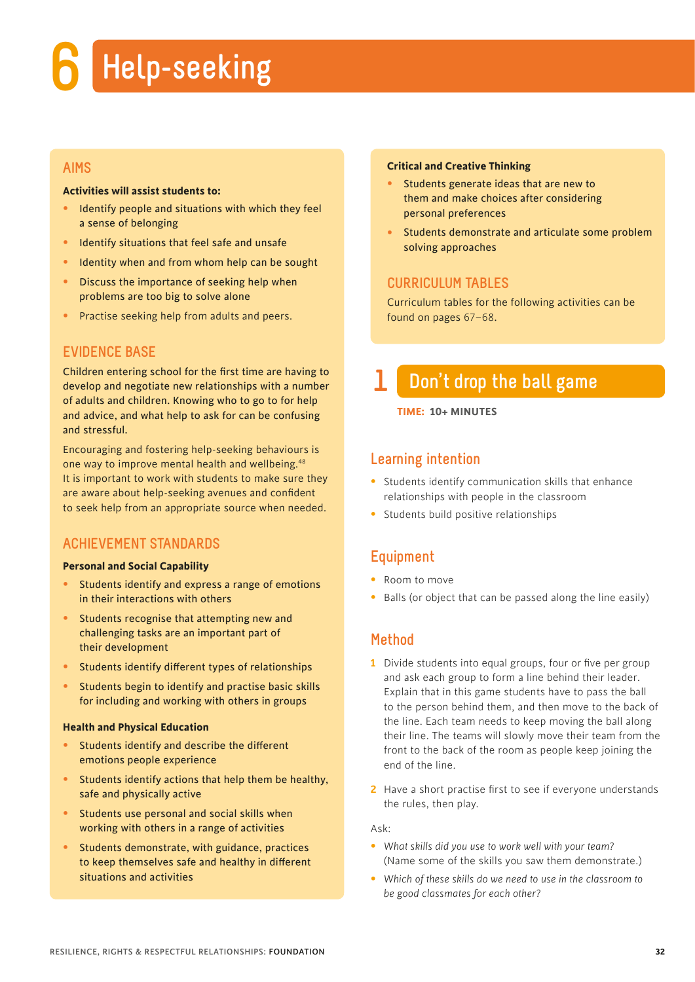## **6 Help-seeking**

#### **AIMS**

#### **Activities will assist students to:**

- Identify people and situations with which they feel a sense of belonging
- Identify situations that feel safe and unsafe
- Identity when and from whom help can be sought
- Discuss the importance of seeking help when problems are too big to solve alone
- Practise seeking help from adults and peers.

#### **EVIDENCE BASE**

Children entering school for the first time are having to develop and negotiate new relationships with a number of adults and children. Knowing who to go to for help and advice, and what help to ask for can be confusing and stressful.

Encouraging and fostering help-seeking behaviours is one way to improve mental health and wellbeing.<sup>48</sup> It is important to work with students to make sure they are aware about help-seeking avenues and confident to seek help from an appropriate source when needed.

#### **ACHIEVEMENT STANDARDS**

#### **Personal and Social Capability**

- Students identify and express a range of emotions in their interactions with others
- Students recognise that attempting new and challenging tasks are an important part of their development
- Students identify different types of relationships
- Students begin to identify and practise basic skills for including and working with others in groups

#### **Health and Physical Education**

- Students identify and describe the different emotions people experience
- Students identify actions that help them be healthy, safe and physically active
- Students use personal and social skills when working with others in a range of activities
- Students demonstrate, with guidance, practices to keep themselves safe and healthy in different situations and activities

#### **Critical and Creative Thinking**

- Students generate ideas that are new to them and make choices after considering personal preferences
- Students demonstrate and articulate some problem solving approaches

#### **CURRICULUM TABLES**

Curriculum tables for the following activities can be found on pages 67–68.

## **1 Don't drop the ball game**

#### **TIME: 10+ MINUTES**

#### **Learning intention**

- Students identify communication skills that enhance relationships with people in the classroom
- Students build positive relationships

### **Equipment**

- Room to move
- Balls (or object that can be passed along the line easily)

#### **Method**

- **1** Divide students into equal groups, four or five per group and ask each group to form a line behind their leader. Explain that in this game students have to pass the ball to the person behind them, and then move to the back of the line. Each team needs to keep moving the ball along their line. The teams will slowly move their team from the front to the back of the room as people keep joining the end of the line.
- **2** Have a short practise first to see if everyone understands the rules, then play.

Ask:

- *What skills did you use to work well with your team?*  (Name some of the skills you saw them demonstrate.)
- *Which of these skills do we need to use in the classroom to be good classmates for each other?*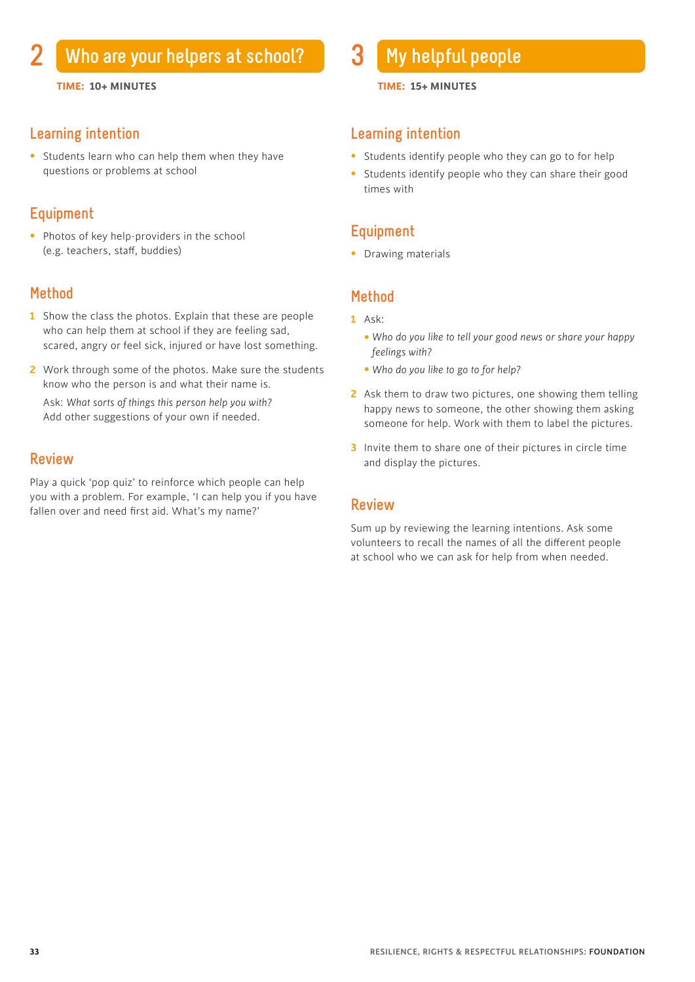#### **Learning intention**

• Students learn who can help them when they have questions or problems at school

#### **Equipment**

• Photos of key help-providers in the school (e.g. teachers, staff, buddies)

#### **Method**

- **1** Show the class the photos. Explain that these are people who can help them at school if they are feeling sad. scared, angry or feel sick, injured or have lost something.
- **2** Work through some of the photos. Make sure the students know who the person is and what their name is. Ask: *What sorts of things this person help you with?* Add other suggestions of your own if needed.

#### **Review**

Play a quick 'pop quiz' to reinforce which people can help you with a problem. For example, 'I can help you if you have fallen over and need first aid. What's my name?'

#### **TIME: 10+ MINUTES TIME: 15+ MINUTES**

#### **Learning intention**

- Students identify people who they can go to for help
- Students identify people who they can share their good times with

#### **Equipment**

• Drawing materials

## **Method**

- **1** Ask:
	- *Who do you like to tell your good news or share your happy feelings with?*
	- *Who do you like to go to for help?*
- **2** Ask them to draw two pictures, one showing them telling happy news to someone, the other showing them asking someone for help. Work with them to label the pictures.
- **3** Invite them to share one of their pictures in circle time and display the pictures.

#### **Review**

Sum up by reviewing the learning intentions. Ask some volunteers to recall the names of all the different people at school who we can ask for help from when needed.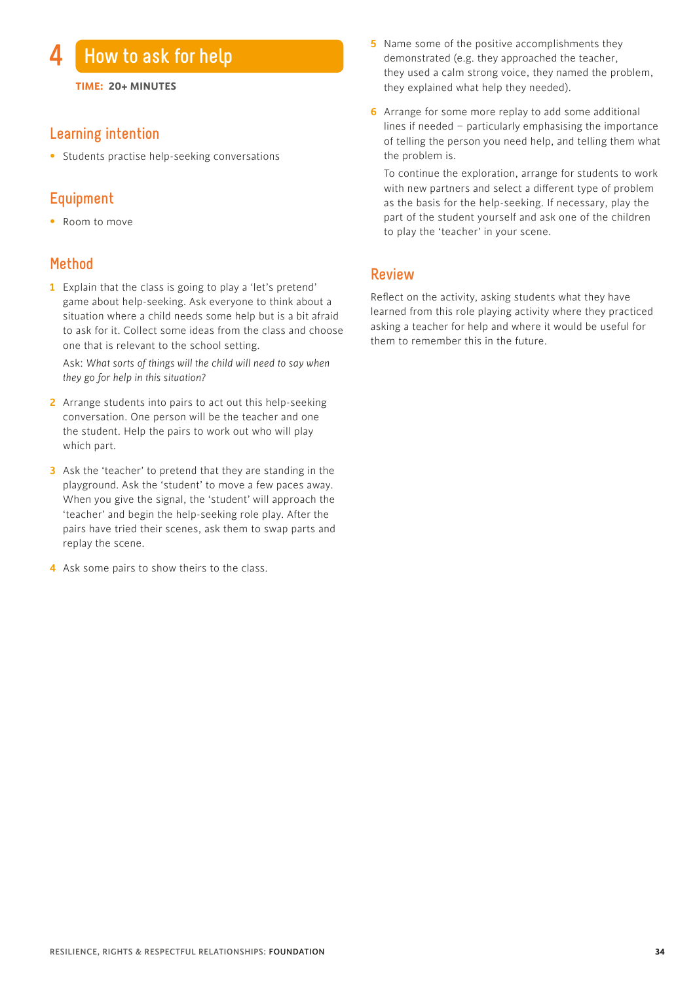### **4 How to ask for help**

**TIME: 20+ MINUTES**

#### **Learning intention**

• Students practise help-seeking conversations

#### **Equipment**

• Room to move

#### **Method**

**1** Explain that the class is going to play a 'let's pretend' game about help-seeking. Ask everyone to think about a situation where a child needs some help but is a bit afraid to ask for it. Collect some ideas from the class and choose one that is relevant to the school setting.

 Ask: *What sorts of things will the child will need to say when they go for help in this situation?*

- **2** Arrange students into pairs to act out this help-seeking conversation. One person will be the teacher and one the student. Help the pairs to work out who will play which part.
- **3** Ask the 'teacher' to pretend that they are standing in the playground. Ask the 'student' to move a few paces away. When you give the signal, the 'student' will approach the 'teacher' and begin the help-seeking role play. After the pairs have tried their scenes, ask them to swap parts and replay the scene.
- **4** Ask some pairs to show theirs to the class.
- **5** Name some of the positive accomplishments they demonstrated (e.g. they approached the teacher, they used a calm strong voice, they named the problem, they explained what help they needed).
- **6** Arrange for some more replay to add some additional lines if needed – particularly emphasising the importance of telling the person you need help, and telling them what the problem is.

 To continue the exploration, arrange for students to work with new partners and select a different type of problem as the basis for the help-seeking. If necessary, play the part of the student yourself and ask one of the children to play the 'teacher' in your scene.

#### **Review**

Reflect on the activity, asking students what they have learned from this role playing activity where they practiced asking a teacher for help and where it would be useful for them to remember this in the future.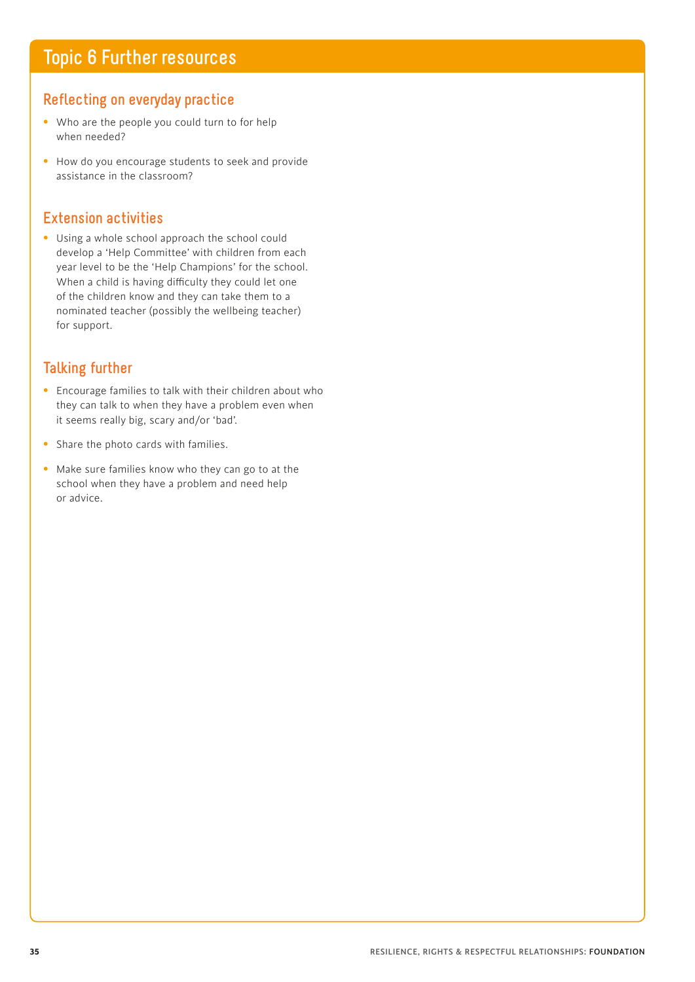## **Topic 6 Further resources**

#### **Reflecting on everyday practice**

- Who are the people you could turn to for help when needed?
- How do you encourage students to seek and provide assistance in the classroom?

#### **Extension activities**

• Using a whole school approach the school could develop a 'Help Committee' with children from each year level to be the 'Help Champions' for the school. When a child is having difficulty they could let one of the children know and they can take them to a nominated teacher (possibly the wellbeing teacher) for support.

#### **Talking further**

- Encourage families to talk with their children about who they can talk to when they have a problem even when it seems really big, scary and/or 'bad'.
- Share the photo cards with families.
- Make sure families know who they can go to at the school when they have a problem and need help or advice.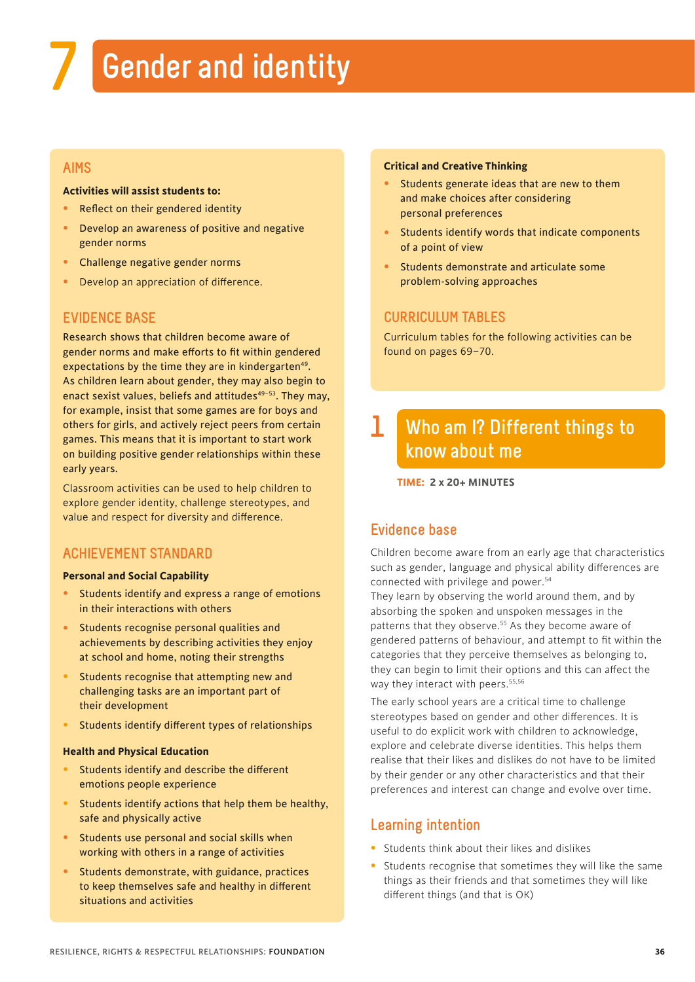# **7 Gender and identity**

## **AIMS**

#### **Activities will assist students to:**

- Reflect on their gendered identity
- Develop an awareness of positive and negative gender norms
- Challenge negative gender norms
- Develop an appreciation of difference.

## **EVIDENCE BASE**

Research shows that children become aware of gender norms and make efforts to fit within gendered expectations by the time they are in kindergarten<sup>49</sup>. As children learn about gender, they may also begin to enact sexist values, beliefs and attitudes $49-53$ . They may, for example, insist that some games are for boys and others for girls, and actively reject peers from certain games. This means that it is important to start work on building positive gender relationships within these early years.

Classroom activities can be used to help children to explore gender identity, challenge stereotypes, and value and respect for diversity and difference.

# **ACHIEVEMENT STANDARD**

#### **Personal and Social Capability**

- Students identify and express a range of emotions in their interactions with others
- Students recognise personal qualities and achievements by describing activities they enjoy at school and home, noting their strengths
- Students recognise that attempting new and challenging tasks are an important part of their development
- Students identify different types of relationships

#### **Health and Physical Education**

- Students identify and describe the different emotions people experience
- Students identify actions that help them be healthy, safe and physically active
- Students use personal and social skills when working with others in a range of activities
- Students demonstrate, with guidance, practices to keep themselves safe and healthy in different situations and activities

#### **Critical and Creative Thinking**

- Students generate ideas that are new to them and make choices after considering personal preferences
- Students identify words that indicate components of a point of view
- Students demonstrate and articulate some problem-solving approaches

## **CURRICULUM TABLES**

Curriculum tables for the following activities can be found on pages 69–70.

## **Who am I? Different things to know about me 1**

**TIME: 2 x 20+ MINUTES**

# **Evidence base**

Children become aware from an early age that characteristics such as gender, language and physical ability differences are connected with privilege and power.<sup>54</sup>

They learn by observing the world around them, and by absorbing the spoken and unspoken messages in the patterns that they observe.<sup>55</sup> As they become aware of gendered patterns of behaviour, and attempt to fit within the categories that they perceive themselves as belonging to, they can begin to limit their options and this can affect the way they interact with peers.<sup>55,56</sup>

The early school years are a critical time to challenge stereotypes based on gender and other differences. It is useful to do explicit work with children to acknowledge, explore and celebrate diverse identities. This helps them realise that their likes and dislikes do not have to be limited by their gender or any other characteristics and that their preferences and interest can change and evolve over time.

# **Learning intention**

- Students think about their likes and dislikes
- Students recognise that sometimes they will like the same things as their friends and that sometimes they will like different things (and that is OK)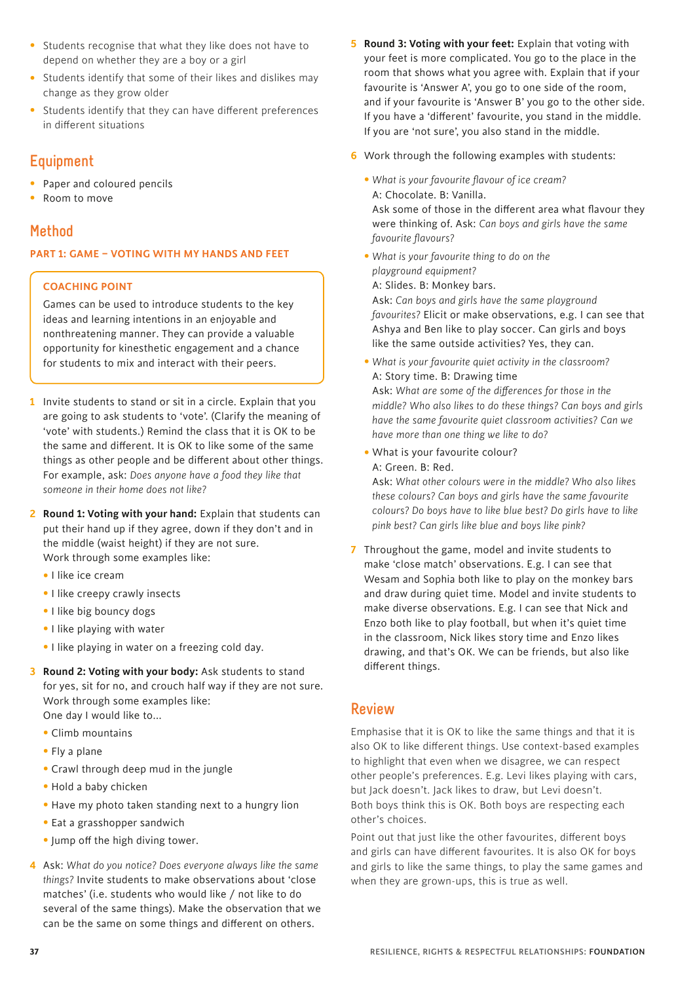- Students recognise that what they like does not have to depend on whether they are a boy or a girl
- Students identify that some of their likes and dislikes may change as they grow older
- Students identify that they can have different preferences in different situations

# **Equipment**

- Paper and coloured pencils
- Room to move

# **Method**

#### **PART 1: GAME – VOTING WITH MY HANDS AND FEET**

#### **COACHING POINT**

Games can be used to introduce students to the key ideas and learning intentions in an enjoyable and nonthreatening manner. They can provide a valuable opportunity for kinesthetic engagement and a chance for students to mix and interact with their peers.

**1** Invite students to stand or sit in a circle. Explain that you are going to ask students to 'vote'. (Clarify the meaning of 'vote' with students.) Remind the class that it is OK to be the same and different. It is OK to like some of the same things as other people and be different about other things. For example, ask: *Does anyone have a food they like that someone in their home does not like?*

**2 Round 1: Voting with your hand:** Explain that students can put their hand up if they agree, down if they don't and in the middle (waist height) if they are not sure. Work through some examples like:

- •I like ice cream
- •I like creepy crawly insects
- •I like big bouncy dogs
- •I like playing with water
- •I like playing in water on a freezing cold day.
- **3 Round 2: Voting with your body:** Ask students to stand for yes, sit for no, and crouch half way if they are not sure. Work through some examples like: One day I would like to...
	- Climb mountains
	- Fly a plane
	- Crawl through deep mud in the jungle
	- Hold a baby chicken
	- Have my photo taken standing next to a hungry lion
	- Eat a grasshopper sandwich
	- Jump off the high diving tower.
- **4** Ask: *What do you notice? Does everyone always like the same things?* Invite students to make observations about 'close matches' (i.e. students who would like / not like to do several of the same things). Make the observation that we can be the same on some things and different on others.
- **5 Round 3: Voting with your feet:** Explain that voting with your feet is more complicated. You go to the place in the room that shows what you agree with. Explain that if your favourite is 'Answer A', you go to one side of the room, and if your favourite is 'Answer B' you go to the other side. If you have a 'different' favourite, you stand in the middle. If you are 'not sure', you also stand in the middle.
- **6** Work through the following examples with students:
	- *What is your favourite flavour of ice cream?* A: Chocolate. B: Vanilla.

Ask some of those in the different area what flavour they were thinking of. Ask: *Can boys and girls have the same favourite flavours?* 

•*What is your favourite thing to do on the playground equipment?*

A: Slides. B: Monkey bars.

Ask: *Can boys and girls have the same playground favourites?* Elicit or make observations, e.g. I can see that Ashya and Ben like to play soccer. Can girls and boys like the same outside activities? Yes, they can.

- •*What is your favourite quiet activity in the classroom?*  A: Story time. B: Drawing time Ask: *What are some of the differences for those in the middle? Who also likes to do these things? Can boys and girls have the same favourite quiet classroom activities? Can we have more than one thing we like to do?*
- •What is your favourite colour? A: Green. B: Red.

Ask: *What other colours were in the middle? Who also likes these colours? Can boys and girls have the same favourite colours? Do boys have to like blue best? Do girls have to like pink best? Can girls like blue and boys like pink?* 

**7** Throughout the game, model and invite students to make 'close match' observations. E.g. I can see that Wesam and Sophia both like to play on the monkey bars and draw during quiet time. Model and invite students to make diverse observations. E.g. I can see that Nick and Enzo both like to play football, but when it's quiet time in the classroom, Nick likes story time and Enzo likes drawing, and that's OK. We can be friends, but also like different things.

# **Review**

Emphasise that it is OK to like the same things and that it is also OK to like different things. Use context-based examples to highlight that even when we disagree, we can respect other people's preferences. E.g. Levi likes playing with cars, but Jack doesn't. Jack likes to draw, but Levi doesn't. Both boys think this is OK. Both boys are respecting each other's choices.

Point out that just like the other favourites, different boys and girls can have different favourites. It is also OK for boys and girls to like the same things, to play the same games and when they are grown-ups, this is true as well.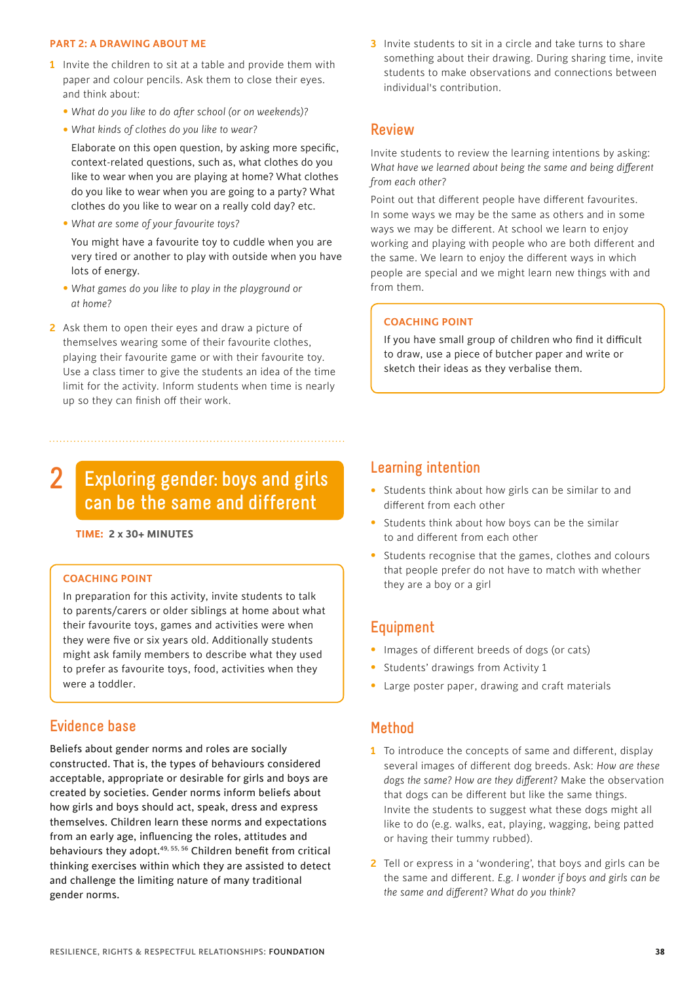#### **PART 2: A DRAWING ABOUT ME**

- **1** Invite the children to sit at a table and provide them with paper and colour pencils. Ask them to close their eyes. and think about:
	- *What do you like to do after school (or on weekends)?*
	- *What kinds of clothes do you like to wear?*

Elaborate on this open question, by asking more specific, context-related questions, such as, what clothes do you like to wear when you are playing at home? What clothes do you like to wear when you are going to a party? What clothes do you like to wear on a really cold day? etc.

• *What are some of your favourite toys?* 

 You might have a favourite toy to cuddle when you are very tired or another to play with outside when you have lots of energy.

- *What games do you like to play in the playground or at home?*
- **2** Ask them to open their eyes and draw a picture of themselves wearing some of their favourite clothes, playing their favourite game or with their favourite toy. Use a class timer to give the students an idea of the time limit for the activity. Inform students when time is nearly up so they can finish off their work.

#### **Exploring gender: boys and girls can be the same and different 2**

**. TIME: 2 x 30+ MINUTES**

#### **COACHING POINT**

In preparation for this activity, invite students to talk to parents/carers or older siblings at home about what their favourite toys, games and activities were when they were five or six years old. Additionally students might ask family members to describe what they used to prefer as favourite toys, food, activities when they were a toddler.

#### **Evidence base**

Beliefs about gender norms and roles are socially constructed. That is, the types of behaviours considered acceptable, appropriate or desirable for girls and boys are created by societies. Gender norms inform beliefs about how girls and boys should act, speak, dress and express themselves. Children learn these norms and expectations from an early age, influencing the roles, attitudes and behaviours they adopt.<sup>49, 55, 56</sup> Children benefit from critical thinking exercises within which they are assisted to detect and challenge the limiting nature of many traditional gender norms.

**3** Invite students to sit in a circle and take turns to share something about their drawing. During sharing time, invite students to make observations and connections between individual's contribution.

#### **Review**

Invite students to review the learning intentions by asking: *What have we learned about being the same and being different from each other?*

Point out that different people have different favourites. In some ways we may be the same as others and in some ways we may be different. At school we learn to enjoy working and playing with people who are both different and the same. We learn to enjoy the different ways in which people are special and we might learn new things with and from them.

#### **COACHING POINT**

If you have small group of children who find it difficult to draw, use a piece of butcher paper and write or sketch their ideas as they verbalise them.

#### **Learning intention**

- Students think about how girls can be similar to and different from each other
- Students think about how boys can be the similar to and different from each other
- Students recognise that the games, clothes and colours that people prefer do not have to match with whether they are a boy or a girl

#### **Equipment**

- Images of different breeds of dogs (or cats)
- Students' drawings from Activity 1
- Large poster paper, drawing and craft materials

#### **Method**

- **1** To introduce the concepts of same and different, display several images of different dog breeds. Ask: *How are these dogs the same? How are they different?* Make the observation that dogs can be different but like the same things. Invite the students to suggest what these dogs might all like to do (e.g. walks, eat, playing, wagging, being patted or having their tummy rubbed).
- **2** Tell or express in a 'wondering', that boys and girls can be the same and different. *E.g. I wonder if boys and girls can be the same and different? What do you think?*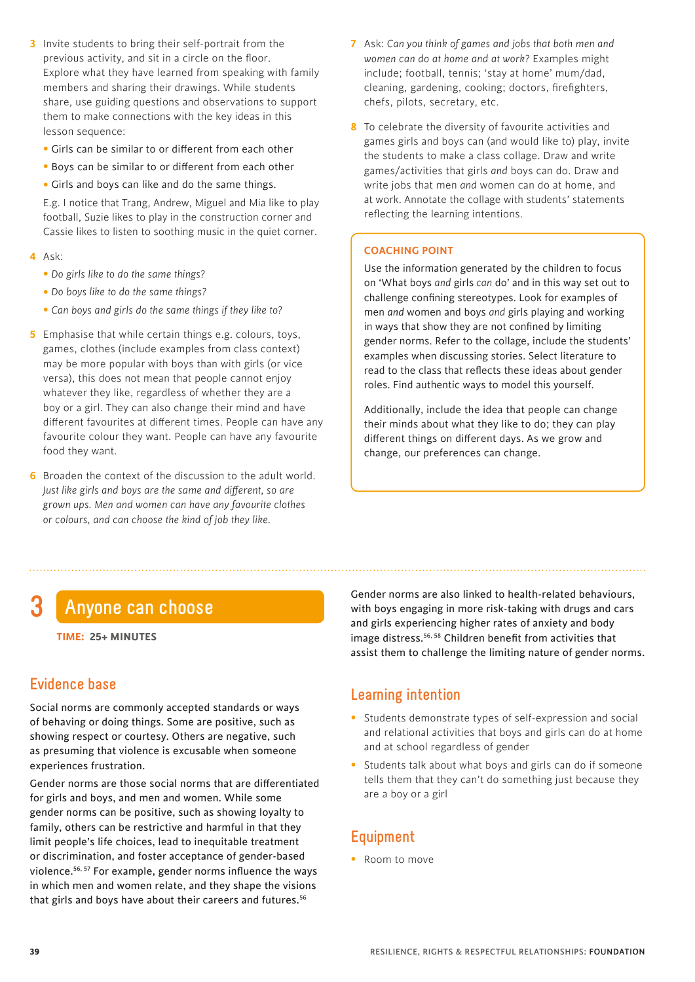- **3** Invite students to bring their self-portrait from the previous activity, and sit in a circle on the floor. Explore what they have learned from speaking with family members and sharing their drawings. While students share, use guiding questions and observations to support them to make connections with the key ideas in this lesson sequence:
	- Girls can be similar to or different from each other
	- Boys can be similar to or different from each other
	- Girls and boys can like and do the same things.

 E.g. I notice that Trang, Andrew, Miguel and Mia like to play football, Suzie likes to play in the construction corner and Cassie likes to listen to soothing music in the quiet corner.

- **4** Ask:
	- *Do girls like to do the same things?*
	- *Do boys like to do the same things?*
	- *Can boys and girls do the same things if they like to?*
- **5** Emphasise that while certain things e.g. colours, toys, games, clothes (include examples from class context) may be more popular with boys than with girls (or vice versa), this does not mean that people cannot enjoy whatever they like, regardless of whether they are a boy or a girl. They can also change their mind and have different favourites at different times. People can have any favourite colour they want. People can have any favourite food they want.
- **6** Broaden the context of the discussion to the adult world. *Just like girls and boys are the same and different, so are grown ups. Men and women can have any favourite clothes or colours, and can choose the kind of job they like.*
- **7** Ask: *Can you think of games and jobs that both men and women can do at home and at work?* Examples might include; football, tennis; 'stay at home' mum/dad, cleaning, gardening, cooking; doctors, firefighters, chefs, pilots, secretary, etc.
- **8** To celebrate the diversity of favourite activities and games girls and boys can (and would like to) play, invite the students to make a class collage. Draw and write games/activities that girls *and* boys can do. Draw and write jobs that men *and* women can do at home, and at work. Annotate the collage with students' statements reflecting the learning intentions.

#### **COACHING POINT**

Use the information generated by the children to focus on 'What boys *and* girls *can* do' and in this way set out to challenge confining stereotypes. Look for examples of men *and* women and boys *and* girls playing and working in ways that show they are not confined by limiting gender norms. Refer to the collage, include the students' examples when discussing stories. Select literature to read to the class that reflects these ideas about gender roles. Find authentic ways to model this yourself.

Additionally, include the idea that people can change their minds about what they like to do; they can play different things on different days. As we grow and change, our preferences can change.

# **3 Anyone can choose**

**TIME: 25+ MINUTES**

# **Evidence base**

Social norms are commonly accepted standards or ways of behaving or doing things. Some are positive, such as showing respect or courtesy. Others are negative, such as presuming that violence is excusable when someone experiences frustration.

Gender norms are those social norms that are differentiated for girls and boys, and men and women. While some gender norms can be positive, such as showing loyalty to family, others can be restrictive and harmful in that they limit people's life choices, lead to inequitable treatment or discrimination, and foster acceptance of gender-based violence.56, 57 For example, gender norms influence the ways in which men and women relate, and they shape the visions that girls and boys have about their careers and futures.<sup>56</sup>

Gender norms are also linked to health-related behaviours, with boys engaging in more risk-taking with drugs and cars and girls experiencing higher rates of anxiety and body image distress.56, 58 Children benefit from activities that assist them to challenge the limiting nature of gender norms.

# **Learning intention**

- Students demonstrate types of self-expression and social and relational activities that boys and girls can do at home and at school regardless of gender
- Students talk about what boys and girls can do if someone tells them that they can't do something just because they are a boy or a girl

# **Equipment**

• Room to move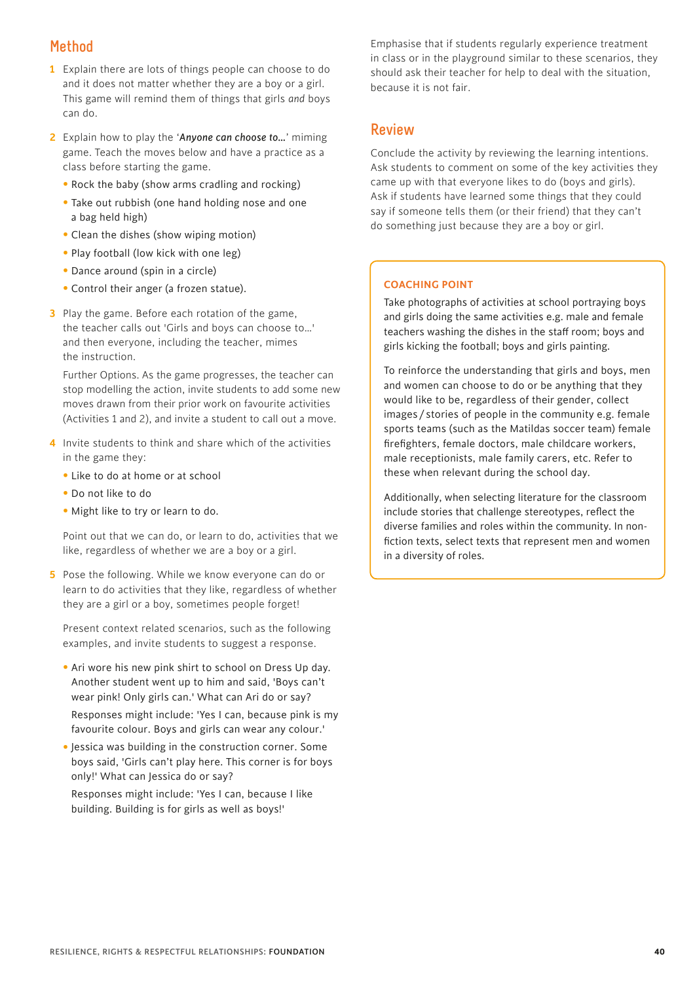# **Method**

- **1** Explain there are lots of things people can choose to do and it does not matter whether they are a boy or a girl. This game will remind them of things that girls *and* boys can do.
- **2** Explain how to play the '*Anyone can choose to…*' miming game. Teach the moves below and have a practice as a class before starting the game.
	- Rock the baby (show arms cradling and rocking)
	- Take out rubbish (one hand holding nose and one a bag held high)
	- Clean the dishes (show wiping motion)
	- Play football (low kick with one leg)
	- Dance around (spin in a circle)
	- Control their anger (a frozen statue).
- **3** Play the game. Before each rotation of the game, the teacher calls out 'Girls and boys can choose to…' and then everyone, including the teacher, mimes the instruction.

 Further Options. As the game progresses, the teacher can stop modelling the action, invite students to add some new moves drawn from their prior work on favourite activities (Activities 1 and 2), and invite a student to call out a move.

- **4** Invite students to think and share which of the activities in the game they:
	- Like to do at home or at school
	- Do not like to do
	- Might like to try or learn to do.

 Point out that we can do, or learn to do, activities that we like, regardless of whether we are a boy or a girl.

**5** Pose the following. While we know everyone can do or learn to do activities that they like, regardless of whether they are a girl or a boy, sometimes people forget!

 Present context related scenarios, such as the following examples, and invite students to suggest a response.

• Ari wore his new pink shirt to school on Dress Up day. Another student went up to him and said, 'Boys can't wear pink! Only girls can.' What can Ari do or say?

Responses might include: 'Yes I can, because pink is my favourite colour. Boys and girls can wear any colour.'

•Jessica was building in the construction corner. Some boys said, 'Girls can't play here. This corner is for boys only!' What can Jessica do or say?

Responses might include: 'Yes I can, because I like building. Building is for girls as well as boys!'

Emphasise that if students regularly experience treatment in class or in the playground similar to these scenarios, they should ask their teacher for help to deal with the situation, because it is not fair.

## **Review**

Conclude the activity by reviewing the learning intentions. Ask students to comment on some of the key activities they came up with that everyone likes to do (boys and girls). Ask if students have learned some things that they could say if someone tells them (or their friend) that they can't do something just because they are a boy or girl.

#### **COACHING POINT**

Take photographs of activities at school portraying boys and girls doing the same activities e.g. male and female teachers washing the dishes in the staff room; boys and girls kicking the football; boys and girls painting.

To reinforce the understanding that girls and boys, men and women can choose to do or be anything that they would like to be, regardless of their gender, collect images / stories of people in the community e.g. female sports teams (such as the Matildas soccer team) female firefighters, female doctors, male childcare workers, male receptionists, male family carers, etc. Refer to these when relevant during the school day.

Additionally, when selecting literature for the classroom include stories that challenge stereotypes, reflect the diverse families and roles within the community. In nonfiction texts, select texts that represent men and women in a diversity of roles.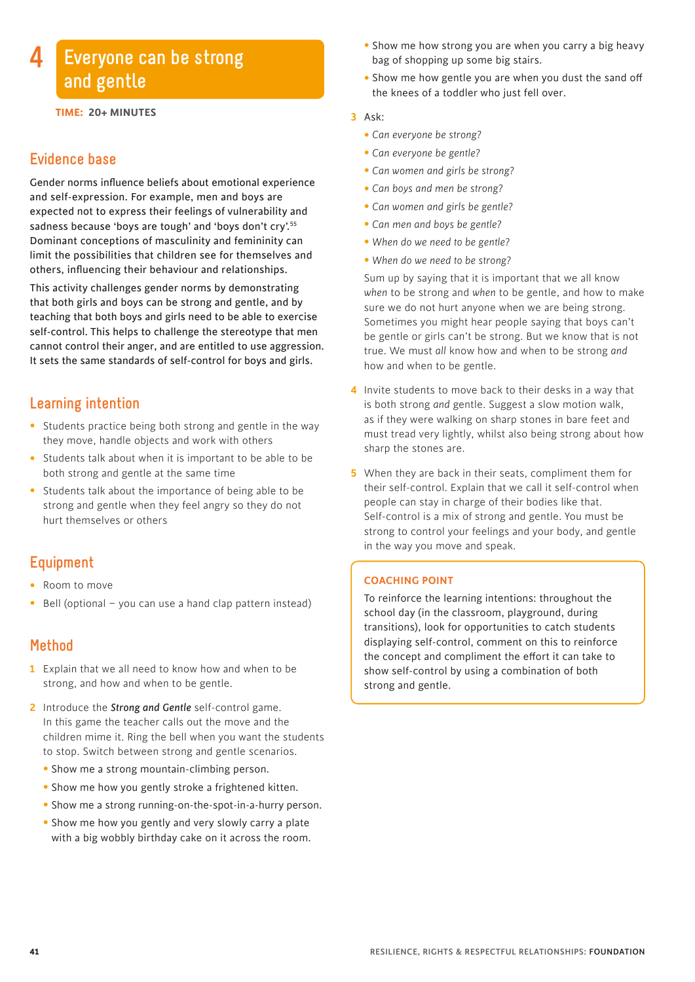# **Everyone can be strong and gentle**

**TIME: 20+ MINUTES**

# **Evidence base**

**4**

Gender norms influence beliefs about emotional experience and self-expression. For example, men and boys are expected not to express their feelings of vulnerability and sadness because 'boys are tough' and 'boys don't cry'.55 Dominant conceptions of masculinity and femininity can limit the possibilities that children see for themselves and others, influencing their behaviour and relationships.

This activity challenges gender norms by demonstrating that both girls and boys can be strong and gentle, and by teaching that both boys and girls need to be able to exercise self-control. This helps to challenge the stereotype that men cannot control their anger, and are entitled to use aggression. It sets the same standards of self-control for boys and girls.

# **Learning intention**

- Students practice being both strong and gentle in the way they move, handle objects and work with others
- Students talk about when it is important to be able to be both strong and gentle at the same time
- Students talk about the importance of being able to be strong and gentle when they feel angry so they do not hurt themselves or others

# **Equipment**

- Room to move
- Bell (optional you can use a hand clap pattern instead)

# **Method**

- **1** Explain that we all need to know how and when to be strong, and how and when to be gentle.
- **2** Introduce the *Strong and Gentle* self-control game. In this game the teacher calls out the move and the children mime it. Ring the bell when you want the students to stop. Switch between strong and gentle scenarios.
	- Show me a strong mountain-climbing person.
	- Show me how you gently stroke a frightened kitten.
	- Show me a strong running-on-the-spot-in-a-hurry person.
	- Show me how you gently and very slowly carry a plate with a big wobbly birthday cake on it across the room.
- Show me how strong you are when you carry a big heavy bag of shopping up some big stairs.
- Show me how gentle you are when you dust the sand off the knees of a toddler who just fell over.

#### **3** Ask:

- *Can everyone be strong?*
- *Can everyone be gentle?*
- *Can women and girls be strong?*
- • *Can boys and men be strong?*
- *Can women and girls be gentle?*
- *Can men and boys be gentle?*
- *When do we need to be gentle?*
- *When do we need to be strong?*

 Sum up by saying that it is important that we all know *when* to be strong and *when* to be gentle, and how to make sure we do not hurt anyone when we are being strong. Sometimes you might hear people saying that boys can't be gentle or girls can't be strong. But we know that is not true. We must *all* know how and when to be strong *and* how and when to be gentle.

- **4** Invite students to move back to their desks in a way that is both strong *and* gentle. Suggest a slow motion walk, as if they were walking on sharp stones in bare feet and must tread very lightly, whilst also being strong about how sharp the stones are.
- **5** When they are back in their seats, compliment them for their self-control. Explain that we call it self-control when people can stay in charge of their bodies like that. Self-control is a mix of strong and gentle. You must be strong to control your feelings and your body, and gentle in the way you move and speak.

#### **COACHING POINT**

To reinforce the learning intentions: throughout the school day (in the classroom, playground, during transitions), look for opportunities to catch students displaying self-control, comment on this to reinforce the concept and compliment the effort it can take to show self-control by using a combination of both strong and gentle.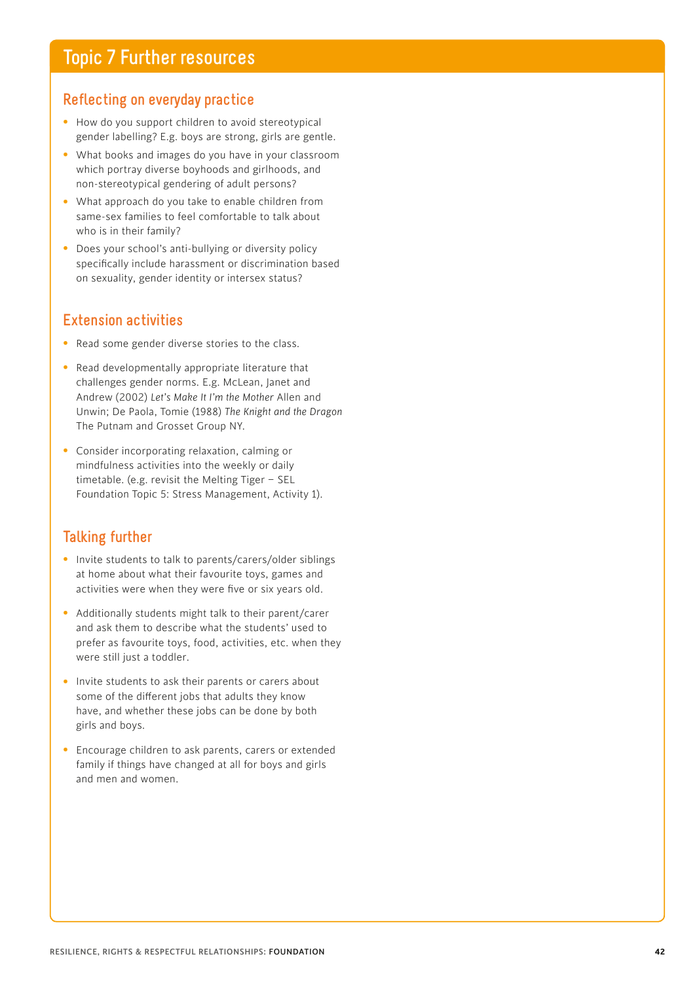# **Reflecting on everyday practice**

- How do you support children to avoid stereotypical gender labelling? E.g. boys are strong, girls are gentle.
- What books and images do you have in your classroom which portray diverse boyhoods and girlhoods, and non-stereotypical gendering of adult persons?
- What approach do you take to enable children from same-sex families to feel comfortable to talk about who is in their family?
- Does your school's anti-bullying or diversity policy specifically include harassment or discrimination based on sexuality, gender identity or intersex status?

# **Extension activities**

- Read some gender diverse stories to the class.
- Read developmentally appropriate literature that challenges gender norms. E.g. McLean, Janet and Andrew (2002) *Let's Make It I'm the Mother* Allen and Unwin; De Paola, Tomie (1988) *The Knight and the Dragon* The Putnam and Grosset Group NY.
- Consider incorporating relaxation, calming or mindfulness activities into the weekly or daily timetable. (e.g. revisit the Melting Tiger – SEL Foundation Topic 5: Stress Management, Activity 1).

# **Talking further**

- Invite students to talk to parents/carers/older siblings at home about what their favourite toys, games and activities were when they were five or six years old.
- Additionally students might talk to their parent/carer and ask them to describe what the students' used to prefer as favourite toys, food, activities, etc. when they were still just a toddler.
- Invite students to ask their parents or carers about some of the different jobs that adults they know have, and whether these jobs can be done by both girls and boys.
- Encourage children to ask parents, carers or extended family if things have changed at all for boys and girls and men and women.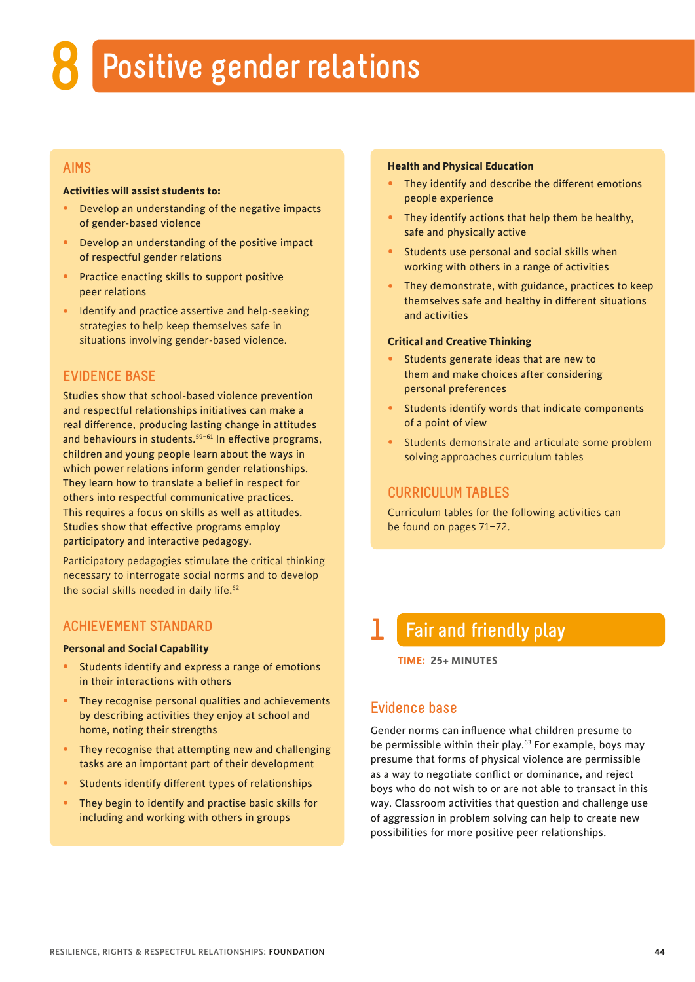# **8 Positive gender relations**

## **AIMS**

#### **Activities will assist students to:**

- Develop an understanding of the negative impacts of gender-based violence
- Develop an understanding of the positive impact of respectful gender relations
- Practice enacting skills to support positive peer relations
- Identify and practice assertive and help-seeking strategies to help keep themselves safe in situations involving gender-based violence.

# **EVIDENCE BASE**

Studies show that school-based violence prevention and respectful relationships initiatives can make a real difference, producing lasting change in attitudes and behaviours in students.<sup>59-61</sup> In effective programs, children and young people learn about the ways in which power relations inform gender relationships. They learn how to translate a belief in respect for others into respectful communicative practices. This requires a focus on skills as well as attitudes. Studies show that effective programs employ participatory and interactive pedagogy.

Participatory pedagogies stimulate the critical thinking necessary to interrogate social norms and to develop the social skills needed in daily life.<sup>62</sup>

## **ACHIEVEMENT STANDARD**

#### **Personal and Social Capability**

- Students identify and express a range of emotions in their interactions with others
- They recognise personal qualities and achievements by describing activities they enjoy at school and home, noting their strengths
- They recognise that attempting new and challenging tasks are an important part of their development
- Students identify different types of relationships
- They begin to identify and practise basic skills for including and working with others in groups

#### **Health and Physical Education**

- They identify and describe the different emotions people experience
- They identify actions that help them be healthy, safe and physically active
- Students use personal and social skills when working with others in a range of activities
- They demonstrate, with guidance, practices to keep themselves safe and healthy in different situations and activities

#### **Critical and Creative Thinking**

- Students generate ideas that are new to them and make choices after considering personal preferences
- Students identify words that indicate components of a point of view
- Students demonstrate and articulate some problem solving approaches curriculum tables

### **CURRICULUM TABLES**

Curriculum tables for the following activities can be found on pages 71–72.

# **1 Fair and friendly play**

**TIME: 25+ MINUTES**

# **Evidence base**

Gender norms can influence what children presume to be permissible within their play.<sup>63</sup> For example, boys may presume that forms of physical violence are permissible as a way to negotiate conflict or dominance, and reject boys who do not wish to or are not able to transact in this way. Classroom activities that question and challenge use of aggression in problem solving can help to create new possibilities for more positive peer relationships.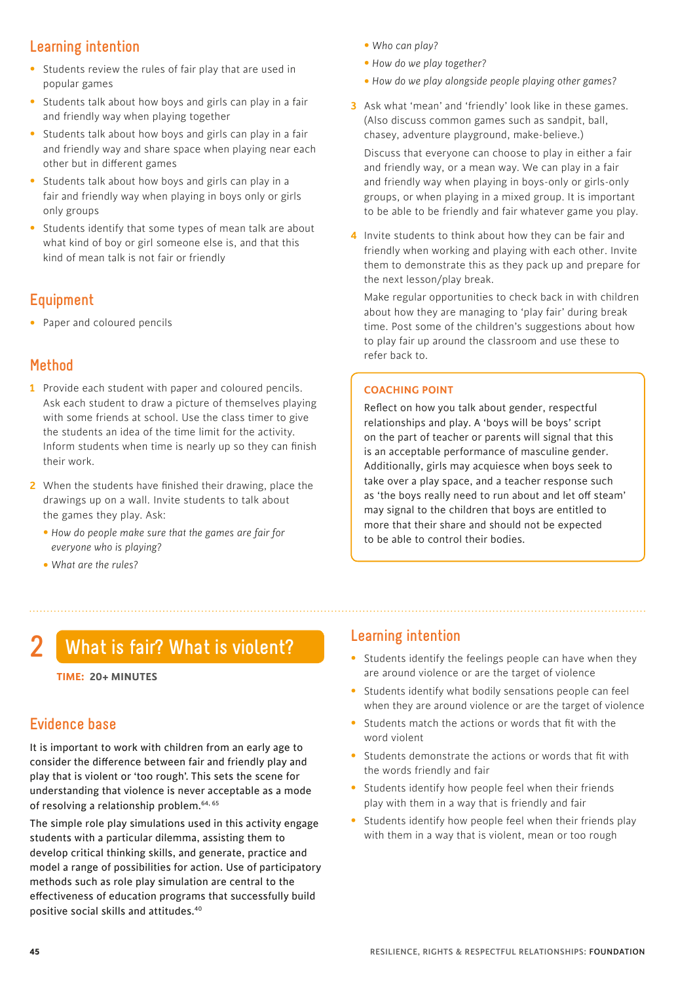# **Learning intention**

- Students review the rules of fair play that are used in popular games
- Students talk about how boys and girls can play in a fair and friendly way when playing together
- Students talk about how boys and girls can play in a fair and friendly way and share space when playing near each other but in different games
- Students talk about how boys and girls can play in a fair and friendly way when playing in boys only or girls only groups
- Students identify that some types of mean talk are about what kind of boy or girl someone else is, and that this kind of mean talk is not fair or friendly

# **Equipment**

• Paper and coloured pencils

# **Method**

- **1** Provide each student with paper and coloured pencils. Ask each student to draw a picture of themselves playing with some friends at school. Use the class timer to give the students an idea of the time limit for the activity. Inform students when time is nearly up so they can finish their work.
- **2** When the students have finished their drawing, place the drawings up on a wall. Invite students to talk about the games they play. Ask:
	- *How do people make sure that the games are fair for everyone who is playing?*
	- *What are the rules?*
- *Who can play?*
- *How do we play together?*
- *How do we play alongside people playing other games?*
- **3** Ask what 'mean' and 'friendly' look like in these games. (Also discuss common games such as sandpit, ball, chasey, adventure playground, make-believe.)

 Discuss that everyone can choose to play in either a fair and friendly way, or a mean way. We can play in a fair and friendly way when playing in boys-only or girls-only groups, or when playing in a mixed group. It is important to be able to be friendly and fair whatever game you play.

**4** Invite students to think about how they can be fair and friendly when working and playing with each other. Invite them to demonstrate this as they pack up and prepare for the next lesson/play break.

 Make regular opportunities to check back in with children about how they are managing to 'play fair' during break time. Post some of the children's suggestions about how to play fair up around the classroom and use these to refer back to.

#### **COACHING POINT**

Reflect on how you talk about gender, respectful relationships and play. A 'boys will be boys' script on the part of teacher or parents will signal that this is an acceptable performance of masculine gender. Additionally, girls may acquiesce when boys seek to take over a play space, and a teacher response such as 'the boys really need to run about and let off steam' may signal to the children that boys are entitled to more that their share and should not be expected to be able to control their bodies.

# **2 What is fair? What is violent?**

#### **TIME: 20+ MINUTES**

# **Evidence base**

It is important to work with children from an early age to consider the difference between fair and friendly play and play that is violent or 'too rough'. This sets the scene for understanding that violence is never acceptable as a mode of resolving a relationship problem.<sup>64, 65</sup>

The simple role play simulations used in this activity engage students with a particular dilemma, assisting them to develop critical thinking skills, and generate, practice and model a range of possibilities for action. Use of participatory methods such as role play simulation are central to the effectiveness of education programs that successfully build positive social skills and attitudes.40

# **Learning intention**

- Students identify the feelings people can have when they are around violence or are the target of violence
- Students identify what bodily sensations people can feel when they are around violence or are the target of violence
- Students match the actions or words that fit with the word violent
- Students demonstrate the actions or words that fit with the words friendly and fair
- Students identify how people feel when their friends play with them in a way that is friendly and fair
- Students identify how people feel when their friends play with them in a way that is violent, mean or too rough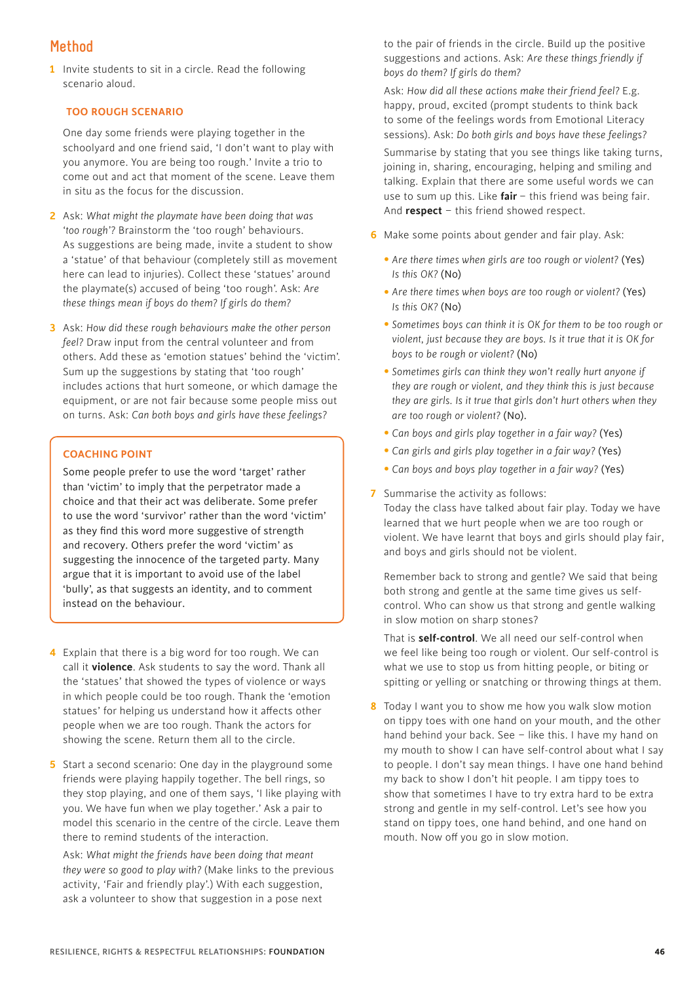# **Method**

**1** Invite students to sit in a circle. Read the following scenario aloud.

#### **TOO ROUGH SCENARIO**

 One day some friends were playing together in the schoolyard and one friend said, 'I don't want to play with you anymore. You are being too rough.' Invite a trio to come out and act that moment of the scene. Leave them in situ as the focus for the discussion.

- **2** Ask: *What might the playmate have been doing that was 'too rough'?* Brainstorm the 'too rough' behaviours. As suggestions are being made, invite a student to show a 'statue' of that behaviour (completely still as movement here can lead to injuries). Collect these 'statues' around the playmate(s) accused of being 'too rough'. Ask: *Are these things mean if boys do them? If girls do them?*
- **3** Ask: *How did these rough behaviours make the other person feel?* Draw input from the central volunteer and from others. Add these as 'emotion statues' behind the 'victim'. Sum up the suggestions by stating that 'too rough' includes actions that hurt someone, or which damage the equipment, or are not fair because some people miss out on turns. Ask: *Can both boys and girls have these feelings?*

#### **COACHING POINT**

Some people prefer to use the word 'target' rather than 'victim' to imply that the perpetrator made a choice and that their act was deliberate. Some prefer to use the word 'survivor' rather than the word 'victim' as they find this word more suggestive of strength and recovery. Others prefer the word 'victim' as suggesting the innocence of the targeted party. Many argue that it is important to avoid use of the label 'bully', as that suggests an identity, and to comment instead on the behaviour.

- **4** Explain that there is a big word for too rough. We can call it **violence**. Ask students to say the word. Thank all the 'statues' that showed the types of violence or ways in which people could be too rough. Thank the 'emotion statues' for helping us understand how it affects other people when we are too rough. Thank the actors for showing the scene. Return them all to the circle.
- **5** Start a second scenario: One day in the playground some friends were playing happily together. The bell rings, so they stop playing, and one of them says, 'I like playing with you. We have fun when we play together.' Ask a pair to model this scenario in the centre of the circle. Leave them there to remind students of the interaction.

 Ask: *What might the friends have been doing that meant they were so good to play with?* (Make links to the previous activity, 'Fair and friendly play'.) With each suggestion, ask a volunteer to show that suggestion in a pose next

 to the pair of friends in the circle. Build up the positive suggestions and actions. Ask: *Are these things friendly if boys do them? If girls do them?*

 Ask: *How did all these actions make their friend feel?* E.g. happy, proud, excited (prompt students to think back to some of the feelings words from Emotional Literacy sessions). Ask: *Do both girls and boys have these feelings?*

 Summarise by stating that you see things like taking turns, joining in, sharing, encouraging, helping and smiling and talking. Explain that there are some useful words we can use to sum up this. Like **fair** – this friend was being fair. And **respect** – this friend showed respect.

- **6** Make some points about gender and fair play. Ask:
	- *Are there times when girls are too rough or violent?* (Yes) *Is this OK?* (No)
	- Are there times when boys are too rough or violent? (Yes) *Is this OK?* (No)
	- *Sometimes boys can think it is OK for them to be too rough or violent, just because they are boys. Is it true that it is OK for boys to be rough or violent?* (No)
	- *Sometimes girls can think they won't really hurt anyone if they are rough or violent, and they think this is just because they are girls. Is it true that girls don't hurt others when they are too rough or violent?* (No).
	- *Can boys and girls play together in a fair way?* (Yes)
	- *Can girls and girls play together in a fair way?* (Yes)
	- *Can boys and boys play together in a fair way?* (Yes)
- **7** Summarise the activity as follows:

Today the class have talked about fair play. Today we have learned that we hurt people when we are too rough or violent. We have learnt that boys and girls should play fair, and boys and girls should not be violent.

 Remember back to strong and gentle? We said that being both strong and gentle at the same time gives us selfcontrol. Who can show us that strong and gentle walking in slow motion on sharp stones?

 That is **self-control**. We all need our self-control when we feel like being too rough or violent. Our self-control is what we use to stop us from hitting people, or biting or spitting or yelling or snatching or throwing things at them.

**8** Today I want you to show me how you walk slow motion on tippy toes with one hand on your mouth, and the other hand behind your back. See – like this. I have my hand on my mouth to show I can have self-control about what I say to people. I don't say mean things. I have one hand behind my back to show I don't hit people. I am tippy toes to show that sometimes I have to try extra hard to be extra strong and gentle in my self-control. Let's see how you stand on tippy toes, one hand behind, and one hand on mouth. Now off you go in slow motion.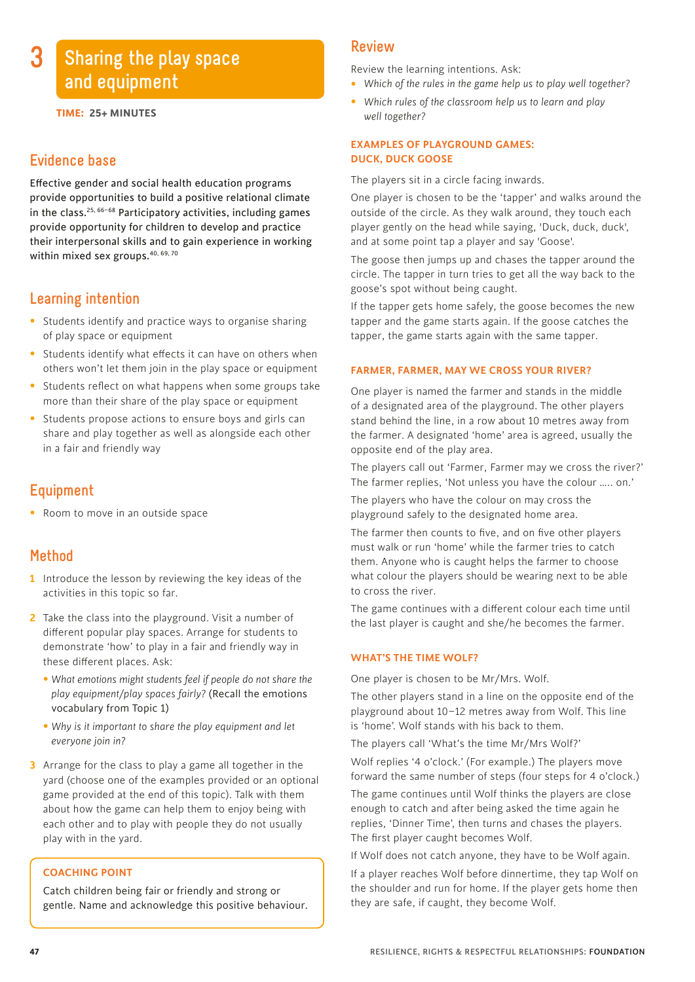# **Sharing the play space and equipment**

**TIME: 25+ MINUTES**

# **Evidence base**

**3**

Effective gender and social health education programs provide opportunities to build a positive relational climate in the class.<sup>25, 66–68</sup> Participatory activities, including games provide opportunity for children to develop and practice their interpersonal skills and to gain experience in working within mixed sex groups.<sup>40, 69, 70</sup>

# **Learning intention**

- Students identify and practice ways to organise sharing of play space or equipment
- Students identify what effects it can have on others when others won't let them join in the play space or equipment
- Students reflect on what happens when some groups take more than their share of the play space or equipment
- Students propose actions to ensure boys and girls can share and play together as well as alongside each other in a fair and friendly way

# **Equipment**

• Room to move in an outside space

# **Method**

- **1** Introduce the lesson by reviewing the key ideas of the activities in this topic so far.
- **2** Take the class into the playground. Visit a number of different popular play spaces. Arrange for students to demonstrate 'how' to play in a fair and friendly way in these different places. Ask:
	- *What emotions might students feel if people do not share the play equipment/play spaces fairly?* (Recall the emotions vocabulary from Topic 1)
	- *Why is it important to share the play equipment and let everyone join in?*
- **3** Arrange for the class to play a game all together in the yard (choose one of the examples provided or an optional game provided at the end of this topic). Talk with them about how the game can help them to enjoy being with each other and to play with people they do not usually play with in the yard.

#### **COACHING POINT**

Catch children being fair or friendly and strong or gentle. Name and acknowledge this positive behaviour.

#### **Review**

Review the learning intentions. Ask:

- *Which of the rules in the game help us to play well together?*
- *Which rules of the classroom help us to learn and play well together?*

#### **EXAMPLES OF PLAYGROUND GAMES: DUCK, DUCK GOOSE**

The players sit in a circle facing inwards.

One player is chosen to be the 'tapper' and walks around the outside of the circle. As they walk around, they touch each player gently on the head while saying, 'Duck, duck, duck', and at some point tap a player and say 'Goose'.

The goose then jumps up and chases the tapper around the circle. The tapper in turn tries to get all the way back to the goose's spot without being caught.

If the tapper gets home safely, the goose becomes the new tapper and the game starts again. If the goose catches the tapper, the game starts again with the same tapper.

#### **FARMER, FARMER, MAY WE CROSS YOUR RIVER?**

One player is named the farmer and stands in the middle of a designated area of the playground. The other players stand behind the line, in a row about 10 metres away from the farmer. A designated 'home' area is agreed, usually the opposite end of the play area.

The players call out 'Farmer, Farmer may we cross the river?' The farmer replies, 'Not unless you have the colour ….. on.'

The players who have the colour on may cross the playground safely to the designated home area.

The farmer then counts to five, and on five other players must walk or run 'home' while the farmer tries to catch them. Anyone who is caught helps the farmer to choose what colour the players should be wearing next to be able to cross the river.

The game continues with a different colour each time until the last player is caught and she/he becomes the farmer.

#### **WHAT'S THE TIME WOLF?**

One player is chosen to be Mr/Mrs. Wolf.

The other players stand in a line on the opposite end of the playground about 10–12 metres away from Wolf. This line is 'home'. Wolf stands with his back to them.

The players call 'What's the time Mr/Mrs Wolf?'

Wolf replies '4 o'clock.' (For example.) The players move forward the same number of steps (four steps for 4 o'clock.)

The game continues until Wolf thinks the players are close enough to catch and after being asked the time again he replies, 'Dinner Time', then turns and chases the players. The first player caught becomes Wolf.

If Wolf does not catch anyone, they have to be Wolf again.

If a player reaches Wolf before dinnertime, they tap Wolf on the shoulder and run for home. If the player gets home then they are safe, if caught, they become Wolf.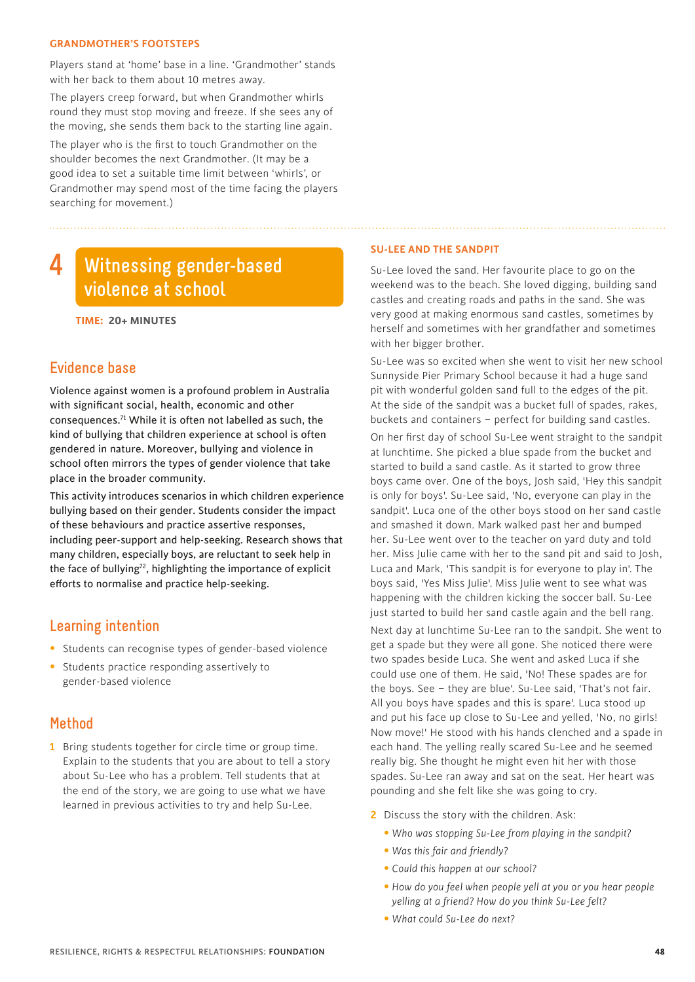#### **GRANDMOTHER'S FOOTSTEPS**

Players stand at 'home' base in a line. 'Grandmother' stands with her back to them about 10 metres away.

The players creep forward, but when Grandmother whirls round they must stop moving and freeze. If she sees any of the moving, she sends them back to the starting line again. The player who is the first to touch Grandmother on the shoulder becomes the next Grandmother. (It may be a good idea to set a suitable time limit between 'whirls', or Grandmother may spend most of the time facing the players searching for movement.)

#### **Witnessing gender-based violence at school 4**

**TIME: 20+ MINUTES**

# **Evidence base**

Violence against women is a profound problem in Australia with significant social, health, economic and other consequences.71 While it is often not labelled as such, the kind of bullying that children experience at school is often gendered in nature. Moreover, bullying and violence in school often mirrors the types of gender violence that take place in the broader community.

This activity introduces scenarios in which children experience bullying based on their gender. Students consider the impact of these behaviours and practice assertive responses, including peer-support and help-seeking. Research shows that many children, especially boys, are reluctant to seek help in the face of bullying<sup>72</sup>, highlighting the importance of explicit efforts to normalise and practice help-seeking.

# **Learning intention**

- Students can recognise types of gender-based violence
- Students practice responding assertively to gender-based violence

# **Method**

**1** Bring students together for circle time or group time. Explain to the students that you are about to tell a story about Su-Lee who has a problem. Tell students that at the end of the story, we are going to use what we have learned in previous activities to try and help Su-Lee.

#### **SU-LEE AND THE SANDPIT**

Su-Lee loved the sand. Her favourite place to go on the weekend was to the beach. She loved digging, building sand castles and creating roads and paths in the sand. She was very good at making enormous sand castles, sometimes by herself and sometimes with her grandfather and sometimes with her bigger brother.

Su-Lee was so excited when she went to visit her new school Sunnyside Pier Primary School because it had a huge sand pit with wonderful golden sand full to the edges of the pit. At the side of the sandpit was a bucket full of spades, rakes, buckets and containers – perfect for building sand castles.

On her first day of school Su-Lee went straight to the sandpit at lunchtime. She picked a blue spade from the bucket and started to build a sand castle. As it started to grow three boys came over. One of the boys, Josh said, 'Hey this sandpit is only for boys'. Su-Lee said, 'No, everyone can play in the sandpit'. Luca one of the other boys stood on her sand castle and smashed it down. Mark walked past her and bumped her. Su-Lee went over to the teacher on yard duty and told her. Miss Julie came with her to the sand pit and said to Josh, Luca and Mark, 'This sandpit is for everyone to play in'. The boys said, 'Yes Miss Julie'. Miss Julie went to see what was happening with the children kicking the soccer ball. Su-Lee just started to build her sand castle again and the bell rang.

Next day at lunchtime Su-Lee ran to the sandpit. She went to get a spade but they were all gone. She noticed there were two spades beside Luca. She went and asked Luca if she could use one of them. He said, 'No! These spades are for the boys. See – they are blue'. Su-Lee said, 'That's not fair. All you boys have spades and this is spare'. Luca stood up and put his face up close to Su-Lee and yelled, 'No, no girls! Now move!' He stood with his hands clenched and a spade in each hand. The yelling really scared Su-Lee and he seemed really big. She thought he might even hit her with those spades. Su-Lee ran away and sat on the seat. Her heart was pounding and she felt like she was going to cry.

- **2** Discuss the story with the children. Ask:
	- *Who was stopping Su-Lee from playing in the sandpit?*
	- *Was this fair and friendly?*
	- *Could this happen at our school?*
	- • *How do you feel when people yell at you or you hear people yelling at a friend? How do you think Su-Lee felt?*
	- *What could Su-Lee do next?*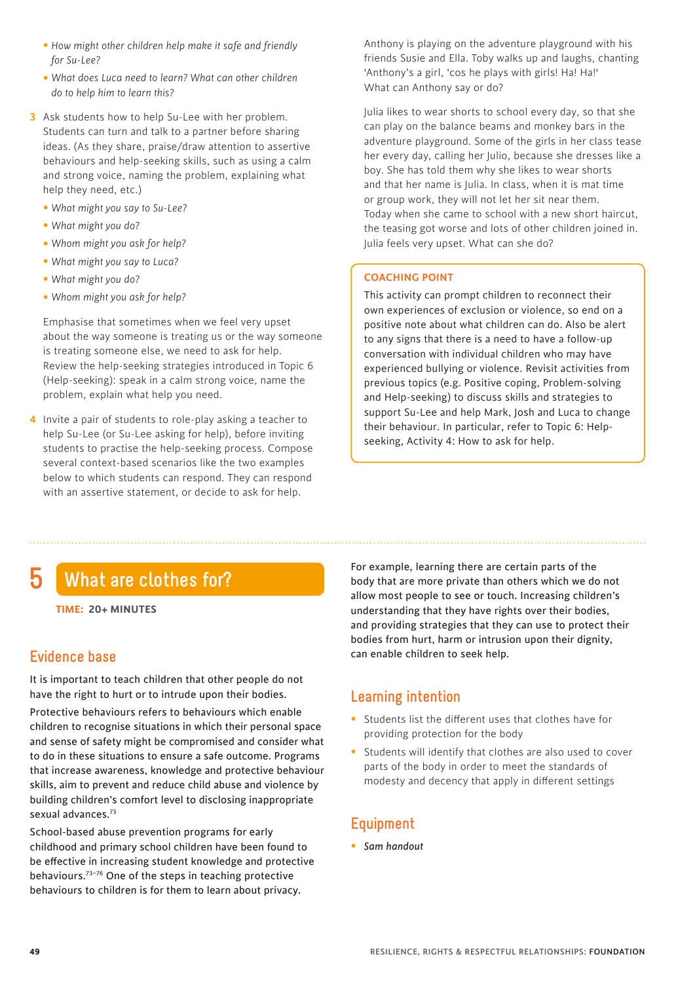- • *How might other children help make it safe and friendly for Su-Lee?*
- • *What does Luca need to learn? What can other children do to help him to learn this?*
- **3** Ask students how to help Su-Lee with her problem. Students can turn and talk to a partner before sharing ideas. (As they share, praise/draw attention to assertive behaviours and help-seeking skills, such as using a calm and strong voice, naming the problem, explaining what help they need, etc.)
	- *What might you say to Su-Lee?*
	- *What might you do?*
	- *Whom might you ask for help?*
	- *What might you say to Luca?*
	- *What might you do?*
	- *Whom might you ask for help?*

 Emphasise that sometimes when we feel very upset about the way someone is treating us or the way someone is treating someone else, we need to ask for help. Review the help-seeking strategies introduced in Topic 6 (Help-seeking): speak in a calm strong voice, name the problem, explain what help you need.

**4** Invite a pair of students to role-play asking a teacher to help Su-Lee (or Su-Lee asking for help), before inviting students to practise the help-seeking process. Compose several context-based scenarios like the two examples below to which students can respond. They can respond with an assertive statement, or decide to ask for help.

 Anthony is playing on the adventure playground with his friends Susie and Ella. Toby walks up and laughs, chanting 'Anthony's a girl, 'cos he plays with girls! Ha! Ha!' What can Anthony say or do?

 Julia likes to wear shorts to school every day, so that she can play on the balance beams and monkey bars in the adventure playground. Some of the girls in her class tease her every day, calling her Julio, because she dresses like a boy. She has told them why she likes to wear shorts and that her name is Julia. In class, when it is mat time or group work, they will not let her sit near them. Today when she came to school with a new short haircut, the teasing got worse and lots of other children joined in. Julia feels very upset. What can she do?

#### **COACHING POINT**

This activity can prompt children to reconnect their own experiences of exclusion or violence, so end on a positive note about what children can do. Also be alert to any signs that there is a need to have a follow-up conversation with individual children who may have experienced bullying or violence. Revisit activities from previous topics (e.g. Positive coping, Problem-solving and Help-seeking) to discuss skills and strategies to support Su-Lee and help Mark, Josh and Luca to change their behaviour. In particular, refer to Topic 6: Helpseeking, Activity 4: How to ask for help.

# **5 What are clothes for?**

# **Evidence base**

It is important to teach children that other people do not have the right to hurt or to intrude upon their bodies.

Protective behaviours refers to behaviours which enable children to recognise situations in which their personal space and sense of safety might be compromised and consider what to do in these situations to ensure a safe outcome. Programs that increase awareness, knowledge and protective behaviour skills, aim to prevent and reduce child abuse and violence by building children's comfort level to disclosing inappropriate sexual advances.73

School-based abuse prevention programs for early childhood and primary school children have been found to be effective in increasing student knowledge and protective behaviours.73–76 One of the steps in teaching protective behaviours to children is for them to learn about privacy.

For example, learning there are certain parts of the body that are more private than others which we do not allow most people to see or touch. Increasing children's understanding that they have rights over their bodies, and providing strategies that they can use to protect their bodies from hurt, harm or intrusion upon their dignity, can enable children to seek help.

# **Learning intention**

- Students list the different uses that clothes have for providing protection for the body
- Students will identify that clothes are also used to cover parts of the body in order to meet the standards of modesty and decency that apply in different settings

# **Equipment**

• *Sam handout*

**TIME: 20+ MINUTES**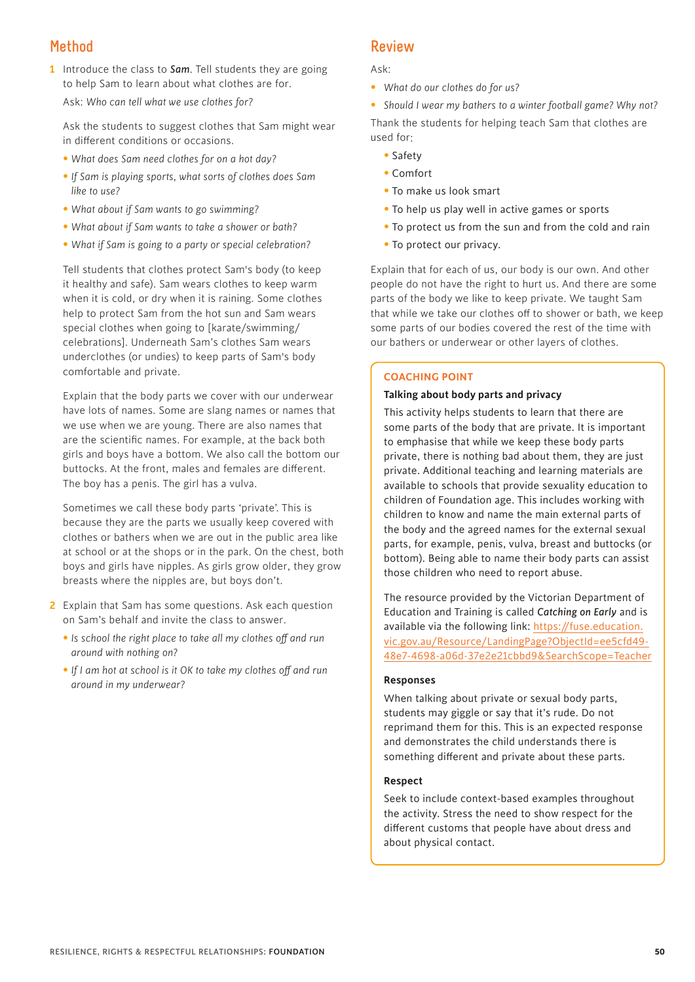# **Method**

**1** Introduce the class to *Sam*. Tell students they are going to help Sam to learn about what clothes are for.

Ask: *Who can tell what we use clothes for?* 

 Ask the students to suggest clothes that Sam might wear in different conditions or occasions.

- *What does Sam need clothes for on a hot day?*
- *If Sam is playing sports, what sorts of clothes does Sam like to use?*
- *What about if Sam wants to go swimming?*
- *What about if Sam wants to take a shower or bath?*
- *What if Sam is going to a party or special celebration?*

 Tell students that clothes protect Sam's body (to keep it healthy and safe). Sam wears clothes to keep warm when it is cold, or dry when it is raining. Some clothes help to protect Sam from the hot sun and Sam wears special clothes when going to [karate/swimming/ celebrations]. Underneath Sam's clothes Sam wears underclothes (or undies) to keep parts of Sam's body comfortable and private.

 Explain that the body parts we cover with our underwear have lots of names. Some are slang names or names that we use when we are young. There are also names that are the scientific names. For example, at the back both girls and boys have a bottom. We also call the bottom our buttocks. At the front, males and females are different. The boy has a penis. The girl has a vulva.

 Sometimes we call these body parts 'private'. This is because they are the parts we usually keep covered with clothes or bathers when we are out in the public area like at school or at the shops or in the park. On the chest, both boys and girls have nipples. As girls grow older, they grow breasts where the nipples are, but boys don't.

- **2** Explain that Sam has some questions. Ask each question on Sam's behalf and invite the class to answer.
	- •*Is school the right place to take all my clothes off and run around with nothing on?*
	- •*If I am hot at school is it OK to take my clothes off and run around in my underwear?*

# **Review**

#### Ask:

• *What do our clothes do for us?*

• *Should I wear my bathers to a winter football game? Why not?* Thank the students for helping teach Sam that clothes are used for:

- Safety
- Comfort
- To make us look smart
- To help us play well in active games or sports
- To protect us from the sun and from the cold and rain
- To protect our privacy.

Explain that for each of us, our body is our own. And other people do not have the right to hurt us. And there are some parts of the body we like to keep private. We taught Sam that while we take our clothes off to shower or bath, we keep some parts of our bodies covered the rest of the time with our bathers or underwear or other layers of clothes.

#### **COACHING POINT**

#### **Talking about body parts and privacy**

This activity helps students to learn that there are some parts of the body that are private. It is important to emphasise that while we keep these body parts private, there is nothing bad about them, they are just private. Additional teaching and learning materials are available to schools that provide sexuality education to children of Foundation age. This includes working with children to know and name the main external parts of the body and the agreed names for the external sexual parts, for example, penis, vulva, breast and buttocks (or bottom). Being able to name their body parts can assist those children who need to report abuse.

The resource provided by the Victorian Department of Education and Training is called *Catching on Early* and is available via the following link: [https://fuse.education.](https://fuse.education) vic.gov.au/Resource/LandingPage?ObjectId=ee5cfd49- 48e7-4698-a06d-37e2e21cbbd9&SearchScope=Teacher

#### **Responses**

When talking about private or sexual body parts, students may giggle or say that it's rude. Do not reprimand them for this. This is an expected response and demonstrates the child understands there is something different and private about these parts.

#### **Respect**

Seek to include context-based examples throughout the activity. Stress the need to show respect for the different customs that people have about dress and about physical contact.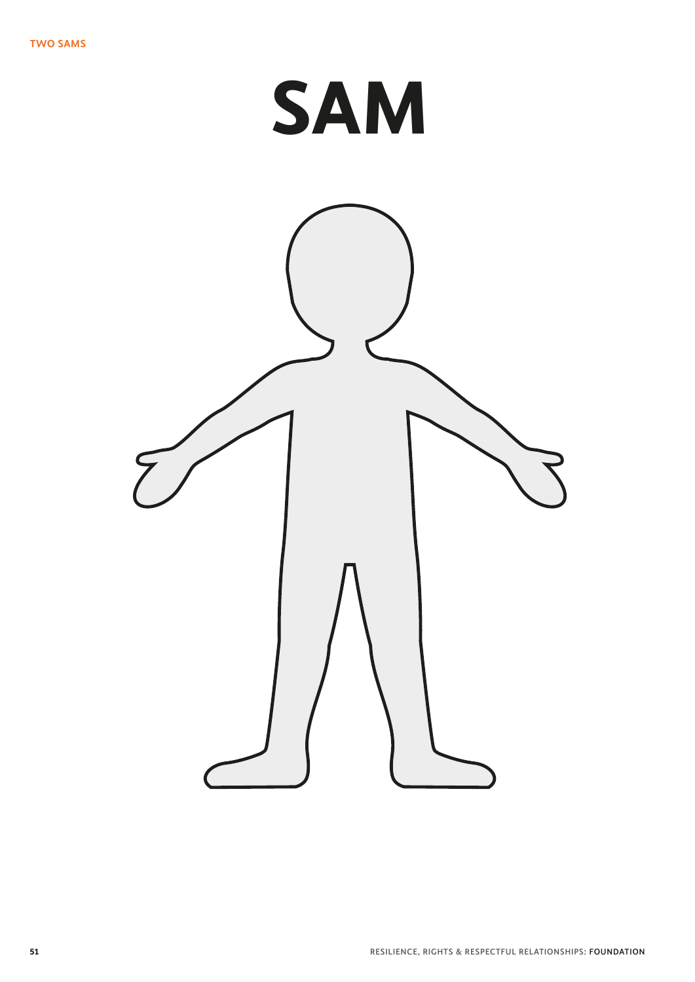# **SAM**

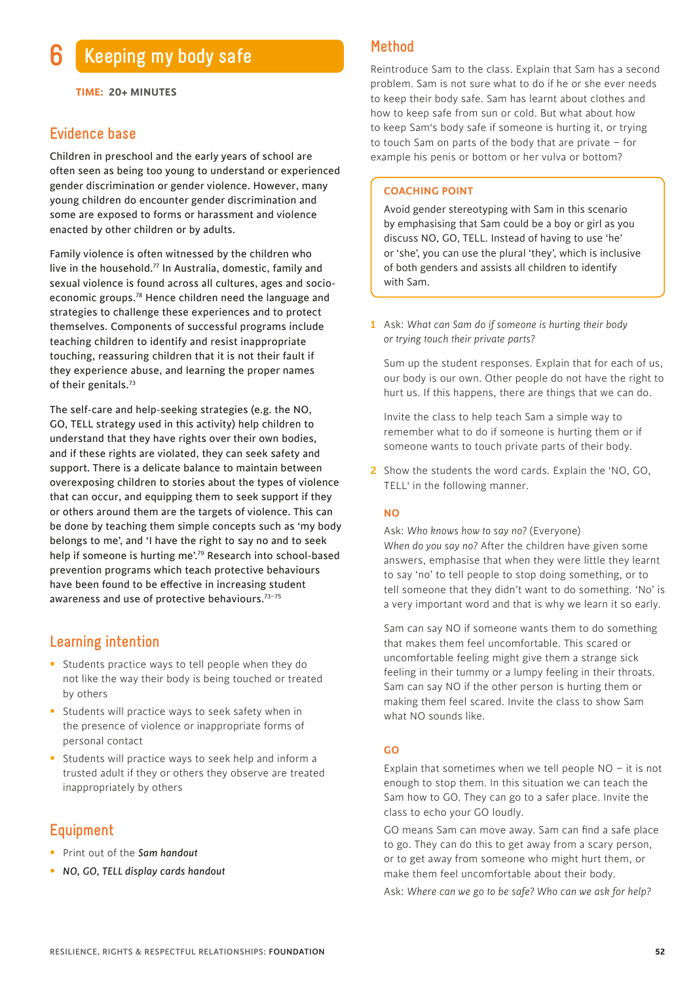**TIME: 20+ MINUTES**

### **Evidence base**

Children in preschool and the early years of school are often seen as being too young to understand or experienced gender discrimination or gender violence. However, many young children do encounter gender discrimination and some are exposed to forms or harassment and violence enacted by other children or by adults.

Family violence is often witnessed by the children who live in the household. $77$  In Australia, domestic, family and sexual violence is found across all cultures, ages and socioeconomic groups.78 Hence children need the language and strategies to challenge these experiences and to protect themselves. Components of successful programs include teaching children to identify and resist inappropriate touching, reassuring children that it is not their fault if they experience abuse, and learning the proper names of their genitals.<sup>73</sup>

The self-care and help-seeking strategies (e.g. the NO, GO, TELL strategy used in this activity) help children to understand that they have rights over their own bodies, and if these rights are violated, they can seek safety and support. There is a delicate balance to maintain between overexposing children to stories about the types of violence that can occur, and equipping them to seek support if they or others around them are the targets of violence. This can be done by teaching them simple concepts such as 'my body belongs to me', and 'I have the right to say no and to seek help if someone is hurting me'.79 Research into school-based prevention programs which teach protective behaviours have been found to be effective in increasing student awareness and use of protective behaviours.<sup>73-75</sup>

## **Learning intention**

- Students practice ways to tell people when they do not like the way their body is being touched or treated by others
- Students will practice ways to seek safety when in the presence of violence or inappropriate forms of personal contact
- Students will practice ways to seek help and inform a trusted adult if they or others they observe are treated inappropriately by others

# **Equipment**

- Print out of the *Sam handout*
- *NO, GO, TELL display cards handout*

# **Method**

Reintroduce Sam to the class. Explain that Sam has a second problem. Sam is not sure what to do if he or she ever needs to keep their body safe. Sam has learnt about clothes and how to keep safe from sun or cold. But what about how to keep Sam's body safe if someone is hurting it, or trying to touch Sam on parts of the body that are private – for example his penis or bottom or her vulva or bottom?

#### **COACHING POINT**

Avoid gender stereotyping with Sam in this scenario by emphasising that Sam could be a boy or girl as you discuss NO, GO, TELL. Instead of having to use 'he' or 'she', you can use the plural 'they', which is inclusive of both genders and assists all children to identify with Sam.

**1** Ask: *What can Sam do if someone is hurting their body or trying touch their private parts?*

 Sum up the student responses. Explain that for each of us, our body is our own. Other people do not have the right to hurt us. If this happens, there are things that we can do.

 Invite the class to help teach Sam a simple way to remember what to do if someone is hurting them or if someone wants to touch private parts of their body.

**2** Show the students the word cards. Explain the 'NO, GO, TELL' in the following manner.

#### **NO**

 Ask: *Who knows how to say no?* (Everyone) *When do you say no?* After the children have given some answers, emphasise that when they were little they learnt to say 'no' to tell people to stop doing something, or to tell someone that they didn't want to do something. 'No' is a very important word and that is why we learn it so early.

 Sam can say NO if someone wants them to do something that makes them feel uncomfortable. This scared or uncomfortable feeling might give them a strange sick feeling in their tummy or a lumpy feeling in their throats. Sam can say NO if the other person is hurting them or making them feel scared. Invite the class to show Sam what NO sounds like.

#### **GO**

Explain that sometimes when we tell people  $NO - it$  is not enough to stop them. In this situation we can teach the Sam how to GO. They can go to a safer place. Invite the class to echo your GO loudly.

GO means Sam can move away. Sam can find a safe place to go. They can do this to get away from a scary person, or to get away from someone who might hurt them, or make them feel uncomfortable about their body.

Ask: *Where can we go to be safe? Who can we ask for help?*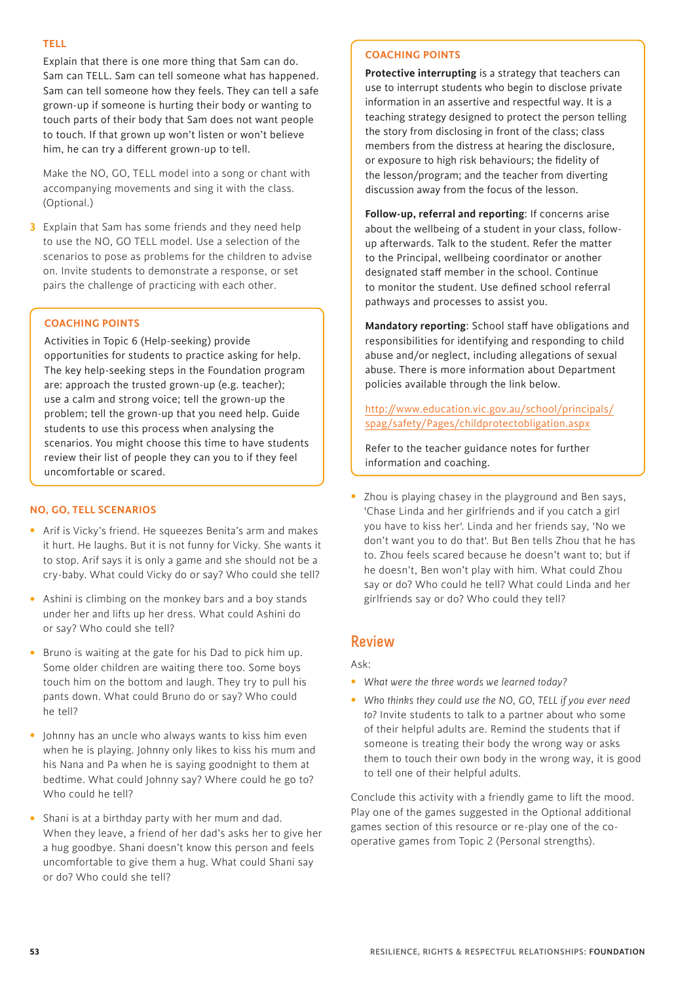#### **TELL**

Explain that there is one more thing that Sam can do. Sam can TELL. Sam can tell someone what has happened. Sam can tell someone how they feels. They can tell a safe grown-up if someone is hurting their body or wanting to touch parts of their body that Sam does not want people to touch. If that grown up won't listen or won't believe him, he can try a different grown-up to tell.

 Make the NO, GO, TELL model into a song or chant with accompanying movements and sing it with the class. (Optional.)

**3** Explain that Sam has some friends and they need help to use the NO, GO TELL model. Use a selection of the scenarios to pose as problems for the children to advise on. Invite students to demonstrate a response, or set pairs the challenge of practicing with each other.

#### **COACHING POINTS**

Activities in Topic 6 (Help-seeking) provide opportunities for students to practice asking for help. The key help-seeking steps in the Foundation program are: approach the trusted grown-up (e.g. teacher); use a calm and strong voice; tell the grown-up the problem; tell the grown-up that you need help. Guide students to use this process when analysing the scenarios. You might choose this time to have students review their list of people they can you to if they feel uncomfortable or scared.

#### **NO, GO, TELL SCENARIOS**

- Arif is Vicky's friend. He squeezes Benita's arm and makes it hurt. He laughs. But it is not funny for Vicky. She wants it to stop. Arif says it is only a game and she should not be a cry-baby. What could Vicky do or say? Who could she tell?
- Ashini is climbing on the monkey bars and a boy stands under her and lifts up her dress. What could Ashini do or say? Who could she tell?
- Bruno is waiting at the gate for his Dad to pick him up. Some older children are waiting there too. Some boys touch him on the bottom and laugh. They try to pull his pants down. What could Bruno do or say? Who could he tell?
- Johnny has an uncle who always wants to kiss him even when he is playing. Johnny only likes to kiss his mum and his Nana and Pa when he is saying goodnight to them at bedtime. What could Johnny say? Where could he go to? Who could he tell?
- Shani is at a birthday party with her mum and dad. When they leave, a friend of her dad's asks her to give her a hug goodbye. Shani doesn't know this person and feels uncomfortable to give them a hug. What could Shani say or do? Who could she tell?

#### **COACHING POINTS**

**Protective interrupting** is a strategy that teachers can use to interrupt students who begin to disclose private information in an assertive and respectful way. It is a teaching strategy designed to protect the person telling the story from disclosing in front of the class; class members from the distress at hearing the disclosure, or exposure to high risk behaviours; the fidelity of the lesson/program; and the teacher from diverting discussion away from the focus of the lesson.

**Follow-up, referral and reporting**: If concerns arise about the wellbeing of a student in your class, followup afterwards. Talk to the student. Refer the matter to the Principal, wellbeing coordinator or another designated staff member in the school. Continue to monitor the student. Use defined school referral pathways and processes to assist you.

**Mandatory reporting**: School staff have obligations and responsibilities for identifying and responding to child abuse and/or neglect, including allegations of sexual abuse. There is more information about Department policies available through the link below.

<http://www.education.vic.gov.au/school/principals/> spag/safety/Pages/childprotectobligation.aspx

Refer to the teacher guidance notes for further information and coaching.

• Zhou is playing chasey in the playground and Ben says, 'Chase Linda and her girlfriends and if you catch a girl you have to kiss her'. Linda and her friends say, 'No we don't want you to do that'. But Ben tells Zhou that he has to. Zhou feels scared because he doesn't want to; but if he doesn't, Ben won't play with him. What could Zhou say or do? Who could he tell? What could Linda and her girlfriends say or do? Who could they tell?

# **Review**

Ask:

- *What were the three words we learned today?*
- *Who thinks they could use the NO, GO, TELL if you ever need to?* Invite students to talk to a partner about who some of their helpful adults are. Remind the students that if someone is treating their body the wrong way or asks them to touch their own body in the wrong way, it is good to tell one of their helpful adults.

Conclude this activity with a friendly game to lift the mood. Play one of the games suggested in the Optional additional games section of this resource or re-play one of the cooperative games from Topic 2 (Personal strengths).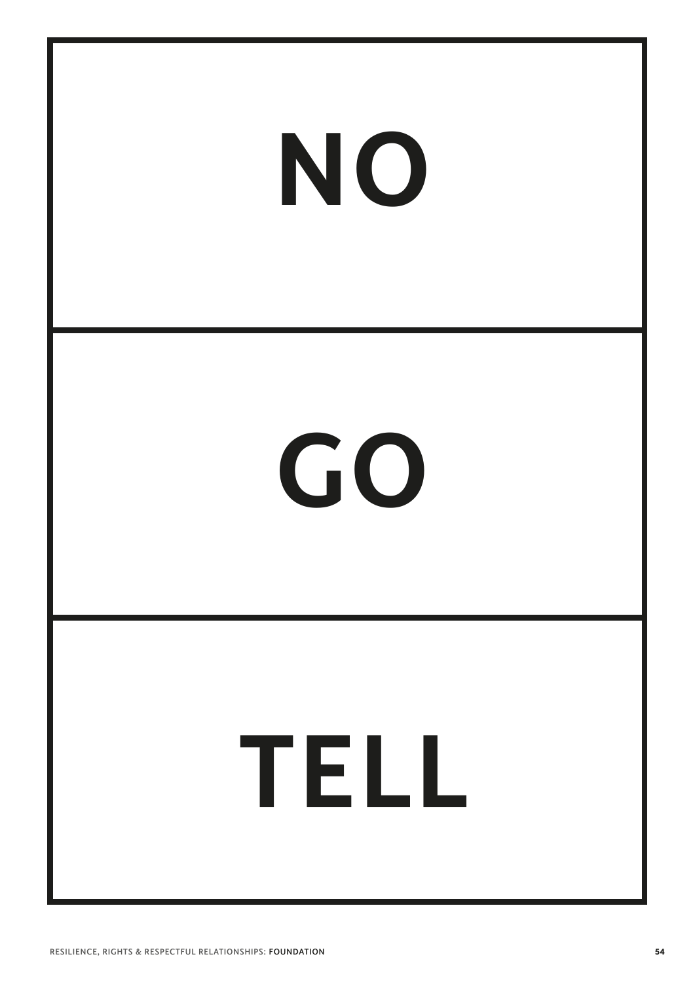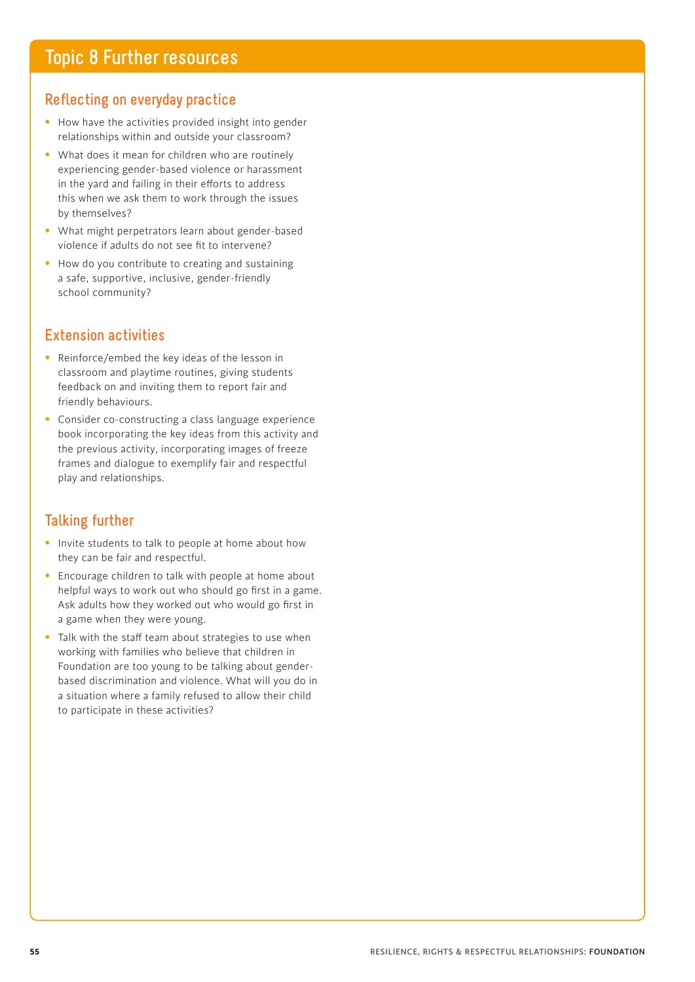# **Reflecting on everyday practice**

- How have the activities provided insight into gender relationships within and outside your classroom?
- What does it mean for children who are routinely experiencing gender-based violence or harassment in the yard and failing in their efforts to address this when we ask them to work through the issues by themselves?
- What might perpetrators learn about gender-based violence if adults do not see fit to intervene?
- How do you contribute to creating and sustaining a safe, supportive, inclusive, gender-friendly school community?

# **Extension activities**

- Reinforce/embed the key ideas of the lesson in classroom and playtime routines, giving students feedback on and inviting them to report fair and friendly behaviours.
- Consider co-constructing a class language experience book incorporating the key ideas from this activity and the previous activity, incorporating images of freeze frames and dialogue to exemplify fair and respectful play and relationships.

# **Talking further**

- Invite students to talk to people at home about how they can be fair and respectful.
- Encourage children to talk with people at home about helpful ways to work out who should go first in a game. Ask adults how they worked out who would go first in a game when they were young.
- Talk with the staff team about strategies to use when working with families who believe that children in Foundation are too young to be talking about genderbased discrimination and violence. What will you do in a situation where a family refused to allow their child to participate in these activities?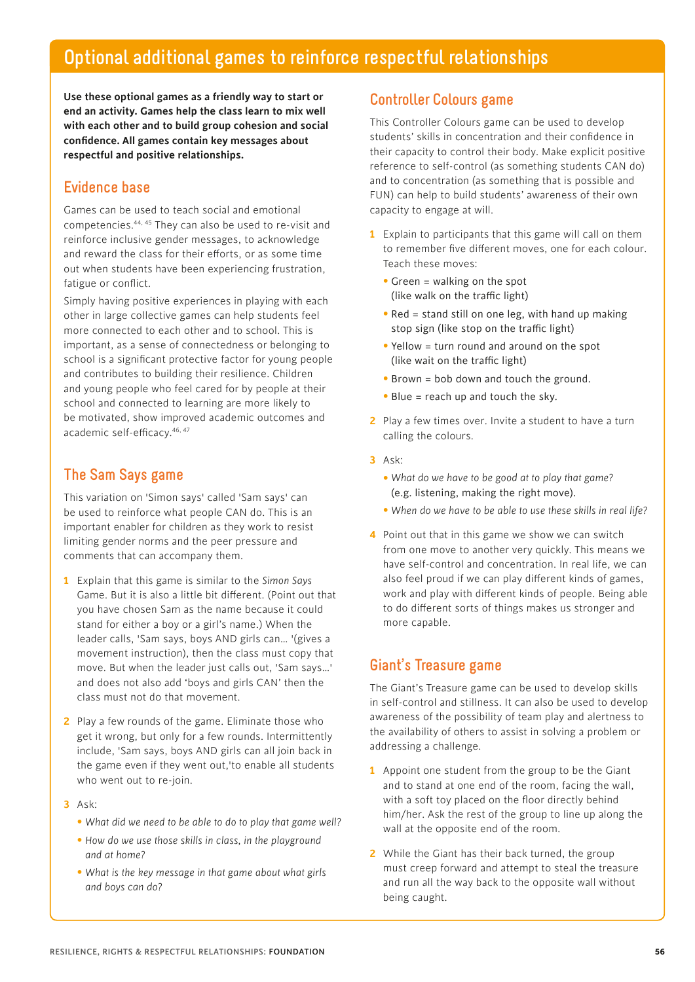# **Optional additional games to reinforce respectful relationships**

**Use these optional games as a friendly way to start or end an activity. Games help the class learn to mix well with each other and to build group cohesion and social confidence. All games contain key messages about respectful and positive relationships.**

# **Evidence base**

Games can be used to teach social and emotional competencies.44, 45 They can also be used to re-visit and reinforce inclusive gender messages, to acknowledge and reward the class for their efforts, or as some time out when students have been experiencing frustration, fatigue or conflict.

Simply having positive experiences in playing with each other in large collective games can help students feel more connected to each other and to school. This is important, as a sense of connectedness or belonging to school is a significant protective factor for young people and contributes to building their resilience. Children and young people who feel cared for by people at their school and connected to learning are more likely to be motivated, show improved academic outcomes and academic self-efficacy.<sup>46, 47</sup>

# **The Sam Says game**

This variation on 'Simon says' called 'Sam says' can be used to reinforce what people CAN do. This is an important enabler for children as they work to resist limiting gender norms and the peer pressure and comments that can accompany them.

- **1** Explain that this game is similar to the *Simon Says* Game. But it is also a little bit different. (Point out that you have chosen Sam as the name because it could stand for either a boy or a girl's name.) When the leader calls, 'Sam says, boys AND girls can… '(gives a movement instruction), then the class must copy that move. But when the leader just calls out, 'Sam says…' and does not also add 'boys and girls CAN' then the class must not do that movement.
- **2** Play a few rounds of the game. Eliminate those who get it wrong, but only for a few rounds. Intermittently include, 'Sam says, boys AND girls can all join back in the game even if they went out,'to enable all students who went out to re-join.
- **3** Ask:
	- • *What did we need to be able to do to play that game well?*
	- • *How do we use those skills in class, in the playground and at home?*
	- • *What is the key message in that game about what girls and boys can do?*

# **Controller Colours game**

This Controller Colours game can be used to develop students' skills in concentration and their confidence in their capacity to control their body. Make explicit positive reference to self-control (as something students CAN do) and to concentration (as something that is possible and FUN) can help to build students' awareness of their own capacity to engage at will.

- **1** Explain to participants that this game will call on them to remember five different moves, one for each colour. Teach these moves:
	- Green = walking on the spot (like walk on the traffic light)
	- Red = stand still on one leg, with hand up making stop sign (like stop on the traffic light)
	- Yellow = turn round and around on the spot (like wait on the traffic light)
	- Brown = bob down and touch the ground.
	- Blue = reach up and touch the sky.
- **2** Play a few times over. Invite a student to have a turn calling the colours.
- **3** Ask:
	- • *What do we have to be good at to play that game?*  (e.g. listening, making the right move).
	- • *When do we have to be able to use these skills in real life?*
- **4** Point out that in this game we show we can switch from one move to another very quickly. This means we have self-control and concentration. In real life, we can also feel proud if we can play different kinds of games, work and play with different kinds of people. Being able to do different sorts of things makes us stronger and more capable.

# **Giant's Treasure game**

The Giant's Treasure game can be used to develop skills in self-control and stillness. It can also be used to develop awareness of the possibility of team play and alertness to the availability of others to assist in solving a problem or addressing a challenge.

- **1** Appoint one student from the group to be the Giant and to stand at one end of the room, facing the wall, with a soft toy placed on the floor directly behind him/her. Ask the rest of the group to line up along the wall at the opposite end of the room.
- **2** While the Giant has their back turned, the group must creep forward and attempt to steal the treasure and run all the way back to the opposite wall without being caught.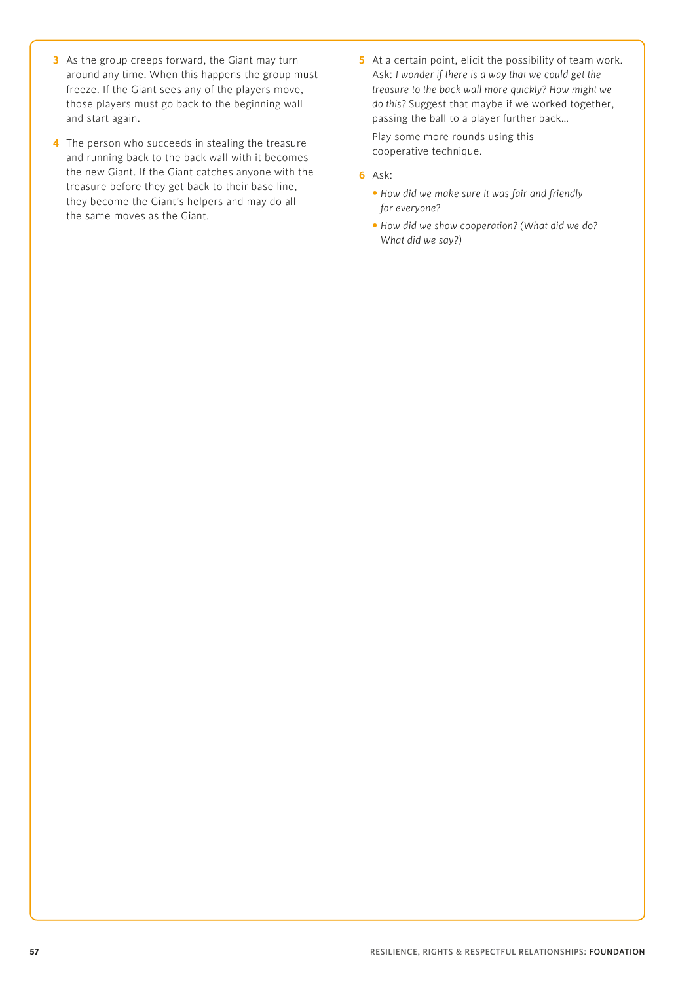- **3** As the group creeps forward, the Giant may turn around any time. When this happens the group must freeze. If the Giant sees any of the players move, those players must go back to the beginning wall and start again.
- **4** The person who succeeds in stealing the treasure and running back to the back wall with it becomes the new Giant. If the Giant catches anyone with the treasure before they get back to their base line, they become the Giant's helpers and may do all the same moves as the Giant.
- **5** At a certain point, elicit the possibility of team work. Ask: *I wonder if there is a way that we could get the treasure to the back wall more quickly? How might we do this?* Suggest that maybe if we worked together, passing the ball to a player further back… Play some more rounds using this cooperative technique.
- **6** Ask:
	- *How did we make sure it was fair and friendly for everyone?*
	- *How did we show cooperation? (What did we do? What did we say?)*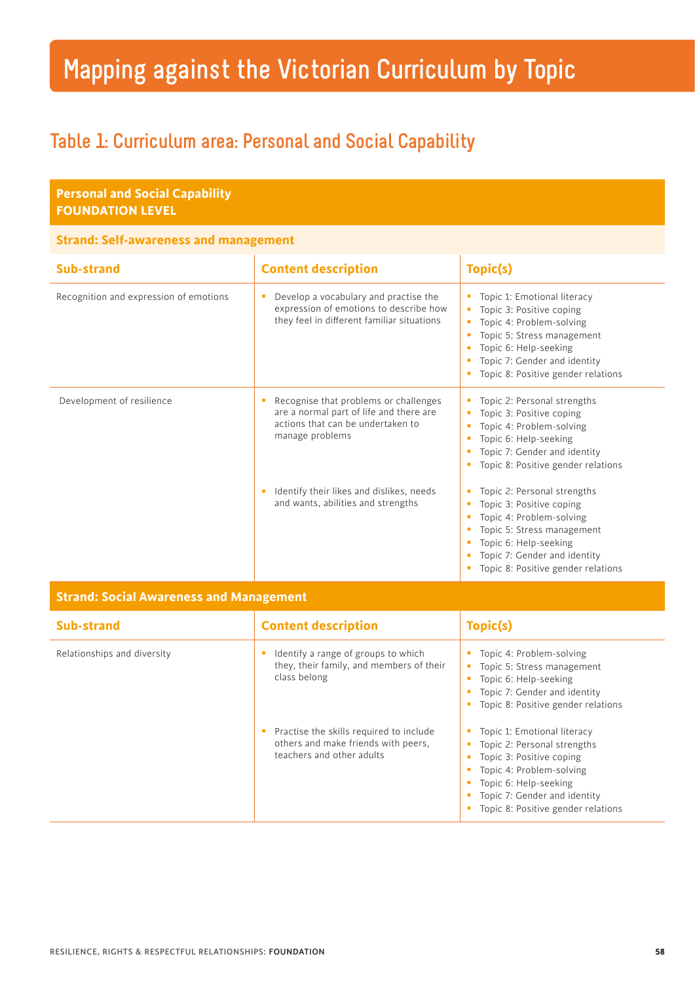# **Mapping against the Victorian Curriculum by Topic**

# **Table 1: Curriculum area: Personal and Social Capability**

| <b>Personal and Social Capability</b><br><b>FOUNDATION LEVEL</b> |                                                                                                                                               |                                                                                                                                                                                                                               |
|------------------------------------------------------------------|-----------------------------------------------------------------------------------------------------------------------------------------------|-------------------------------------------------------------------------------------------------------------------------------------------------------------------------------------------------------------------------------|
| <b>Strand: Self-awareness and management</b>                     |                                                                                                                                               |                                                                                                                                                                                                                               |
| <b>Sub-strand</b>                                                | <b>Content description</b>                                                                                                                    | Topic(s)                                                                                                                                                                                                                      |
| Recognition and expression of emotions                           | Develop a vocabulary and practise the<br>۰<br>expression of emotions to describe how<br>they feel in different familiar situations            | Topic 1: Emotional literacy<br>Topic 3: Positive coping<br>$\bullet$<br>Topic 4: Problem-solving<br>Topic 5: Stress management<br>Topic 6: Help-seeking<br>Topic 7: Gender and identity<br>Topic 8: Positive gender relations |
| Development of resilience                                        | Recognise that problems or challenges<br>۰<br>are a normal part of life and there are<br>actions that can be undertaken to<br>manage problems | Topic 2: Personal strengths<br>Topic 3: Positive coping<br>Topic 4: Problem-solving<br>Topic 6: Help-seeking<br>Topic 7: Gender and identity<br>Topic 8: Positive gender relations<br>٠                                       |
|                                                                  | Identify their likes and dislikes, needs<br>٠<br>and wants, abilities and strengths                                                           | Topic 2: Personal strengths<br>۰<br>Topic 3: Positive coping<br>Topic 4: Problem-solving<br>Topic 5: Stress management<br>Topic 6: Help-seeking<br>Topic 7: Gender and identity<br>Topic 8: Positive gender relations         |
| <b>Strand: Social Awareness and Management</b>                   |                                                                                                                                               |                                                                                                                                                                                                                               |
| <b>Sub-strand</b>                                                | <b>Content description</b>                                                                                                                    | Topic(s)                                                                                                                                                                                                                      |
| Relationships and diversity                                      | Identify a range of groups to which<br>$\bullet$<br>they their family and members of their                                                    | • Topic 4: Problem-solving<br>$\blacksquare$ Topic E. Ctross management                                                                                                                                                       |

| Sub-strand                  | <b>Content description</b>                                                                                  | Topic(s)                                                                                                                                                                                                          |
|-----------------------------|-------------------------------------------------------------------------------------------------------------|-------------------------------------------------------------------------------------------------------------------------------------------------------------------------------------------------------------------|
| Relationships and diversity | Identify a range of groups to which<br>they, their family, and members of their<br>class belong             | Topic 4: Problem-solving<br>Topic 5: Stress management<br>Topic 6: Help-seeking<br>Topic 7: Gender and identity<br>Topic 8: Positive gender relations                                                             |
|                             | Practise the skills required to include<br>others and make friends with peers,<br>teachers and other adults | Topic 1: Emotional literacy<br>Topic 2: Personal strengths<br>Topic 3: Positive coping<br>Topic 4: Problem-solving<br>Topic 6: Help-seeking<br>Topic 7: Gender and identity<br>Topic 8: Positive gender relations |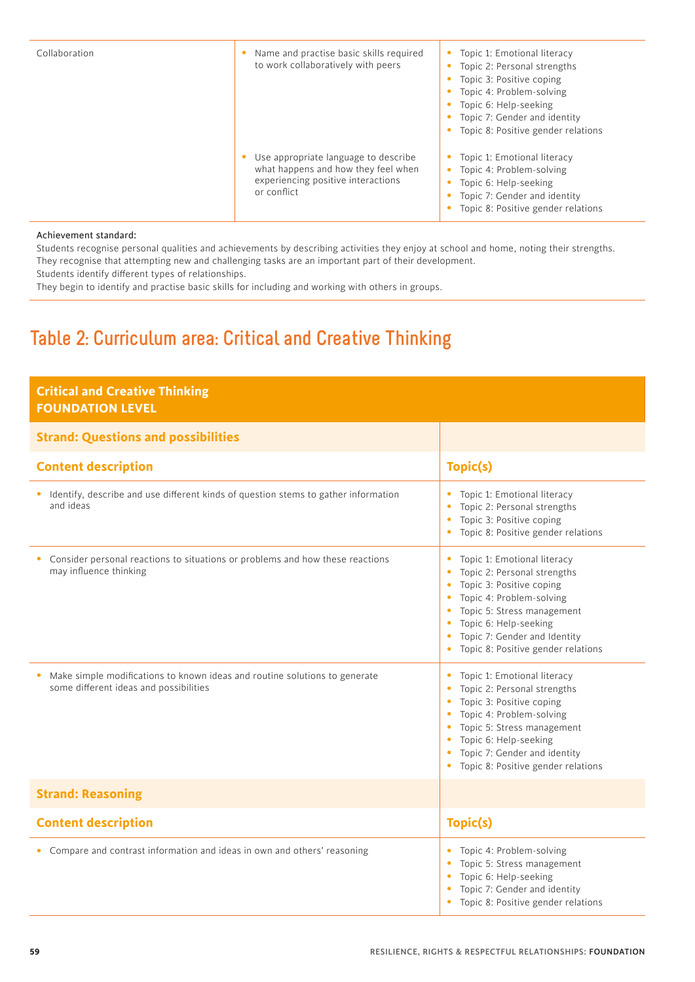| Collaboration | Name and practise basic skills required<br>to work collaboratively with peers                                                    | Topic 1: Emotional literacy<br>$\bullet$<br>Topic 2: Personal strengths<br>Topic 3: Positive coping<br>Topic 4: Problem-solving<br>Topic 6: Help-seeking<br>Topic 7: Gender and identity<br>Topic 8: Positive gender relations |
|---------------|----------------------------------------------------------------------------------------------------------------------------------|--------------------------------------------------------------------------------------------------------------------------------------------------------------------------------------------------------------------------------|
|               | Use appropriate language to describe<br>what happens and how they feel when<br>experiencing positive interactions<br>or conflict | Topic 1: Emotional literacy<br>$\bullet$<br>Topic 4: Problem-solving<br>Topic 6: Help-seeking<br>Topic 7: Gender and identity<br>Topic 8: Positive gender relations                                                            |

#### Achievement standard:

Students recognise personal qualities and achievements by describing activities they enjoy at school and home, noting their strengths. They recognise that attempting new and challenging tasks are an important part of their development. Students identify different types of relationships.

They begin to identify and practise basic skills for including and working with others in groups.

# **Table 2: Curriculum area: Critical and Creative Thinking**

| <b>Critical and Creative Thinking</b><br><b>FOUNDATION LEVEL</b>                                                     |                                                                                                                                                                                                                                                                                                                                            |
|----------------------------------------------------------------------------------------------------------------------|--------------------------------------------------------------------------------------------------------------------------------------------------------------------------------------------------------------------------------------------------------------------------------------------------------------------------------------------|
| <b>Strand: Questions and possibilities</b>                                                                           |                                                                                                                                                                                                                                                                                                                                            |
| <b>Content description</b>                                                                                           | Topic(s)                                                                                                                                                                                                                                                                                                                                   |
| Identify, describe and use different kinds of question stems to gather information<br>and ideas                      | Topic 1: Emotional literacy<br>Topic 2: Personal strengths<br>Topic 3: Positive coping<br>$\bullet$<br>Topic 8: Positive gender relations<br>$\bullet$                                                                                                                                                                                     |
| Consider personal reactions to situations or problems and how these reactions<br>may influence thinking              | Topic 1: Emotional literacy<br>$\bullet$<br>Topic 2: Personal strengths<br>$\bullet$<br>Topic 3: Positive coping<br>$\bullet$<br>Topic 4: Problem-solving<br>$\bullet$<br>Topic 5: Stress management<br>$\bullet$<br>Topic 6: Help-seeking<br>$\bullet$<br>Topic 7: Gender and Identity<br>$\bullet$<br>Topic 8: Positive gender relations |
| Make simple modifications to known ideas and routine solutions to generate<br>some different ideas and possibilities | Topic 1: Emotional literacy<br>$\bullet$<br>Topic 2: Personal strengths<br>$\bullet$<br>Topic 3: Positive coping<br>$\bullet$<br>Topic 4: Problem-solving<br>$\bullet$<br>Topic 5: Stress management<br>$\bullet$<br>Topic 6: Help-seeking<br>$\bullet$<br>Topic 7: Gender and identity<br>Topic 8: Positive gender relations              |
| <b>Strand: Reasoning</b>                                                                                             |                                                                                                                                                                                                                                                                                                                                            |
| <b>Content description</b>                                                                                           | Topic(s)                                                                                                                                                                                                                                                                                                                                   |
| • Compare and contrast information and ideas in own and others' reasoning                                            | Topic 4: Problem-solving<br>$\bullet$<br>Topic 5: Stress management<br>$\bullet$<br>Topic 6: Help-seeking<br>$\bullet$<br>Topic 7: Gender and identity<br>Topic 8: Positive gender relations                                                                                                                                               |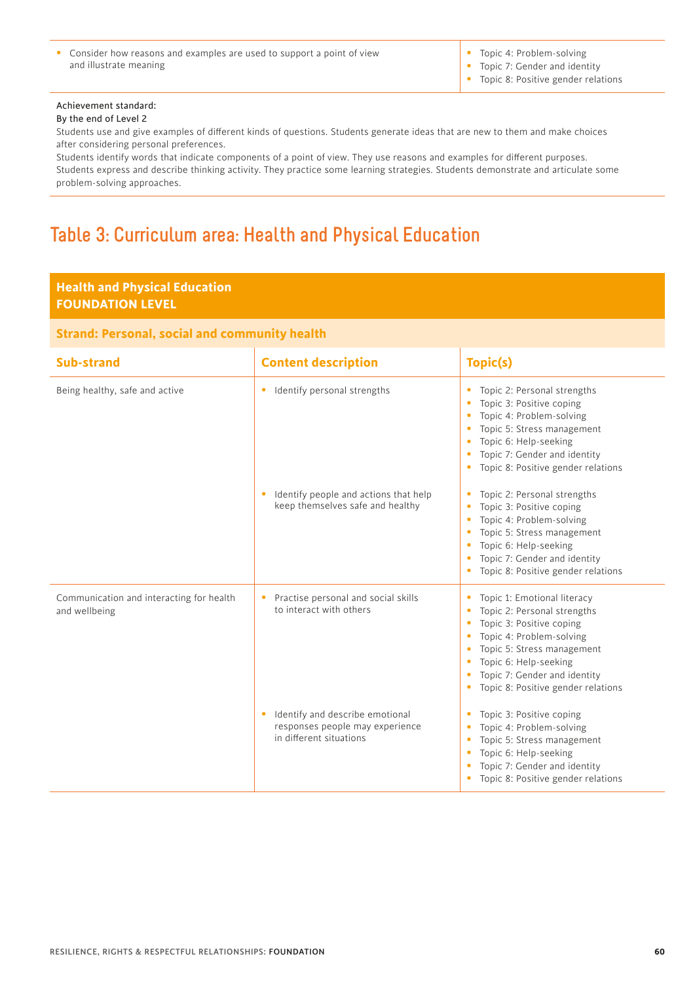• Consider how reasons and examples are used to support a point of view and illustrate meaning

• Topic 4: Problem-solving

• Topic 7: Gender and identity • Topic 8: Positive gender relations

#### Achievement standard:

#### By the end of Level 2

Students use and give examples of different kinds of questions. Students generate ideas that are new to them and make choices after considering personal preferences.

Students identify words that indicate components of a point of view. They use reasons and examples for different purposes. Students express and describe thinking activity. They practice some learning strategies. Students demonstrate and articulate some problem-solving approaches.

# **Table 3: Curriculum area: Health and Physical Education**

#### **Health and Physical Education FOUNDATION LEVEL**

#### **Strand: Personal, social and community health**

| <b>Sub-strand</b>                                         | <b>Content description</b>                                                                         | Topic(s)                                                                                                                                                                                                                                                  |
|-----------------------------------------------------------|----------------------------------------------------------------------------------------------------|-----------------------------------------------------------------------------------------------------------------------------------------------------------------------------------------------------------------------------------------------------------|
| Being healthy, safe and active                            | Identify personal strengths<br>۰                                                                   | Topic 2: Personal strengths<br>Topic 3: Positive coping<br>Topic 4: Problem-solving<br>Topic 5: Stress management<br>Topic 6: Help-seeking<br>Topic 7: Gender and identity<br>Topic 8: Positive gender relations<br>$\bullet$                             |
|                                                           | Identify people and actions that help<br>۰<br>keep themselves safe and healthy                     | Topic 2: Personal strengths<br>$\bullet$<br>Topic 3: Positive coping<br>Topic 4: Problem-solving<br>Topic 5: Stress management<br>Topic 6: Help-seeking<br>Topic 7: Gender and identity<br>Topic 8: Positive gender relations<br>$\bullet$                |
| Communication and interacting for health<br>and wellbeing | Practise personal and social skills<br>۰<br>to interact with others                                | Topic 1: Emotional literacy<br>۰<br>Topic 2: Personal strengths<br>Topic 3: Positive coping<br>Topic 4: Problem-solving<br>Topic 5: Stress management<br>Topic 6: Help-seeking<br>Topic 7: Gender and identity<br>Topic 8: Positive gender relations<br>۰ |
|                                                           | Identify and describe emotional<br>٠<br>responses people may experience<br>in different situations | Topic 3: Positive coping<br>Topic 4: Problem-solving<br>Topic 5: Stress management<br>۰<br>Topic 6: Help-seeking<br>Topic 7: Gender and identity<br>۰<br>Topic 8: Positive gender relations                                                               |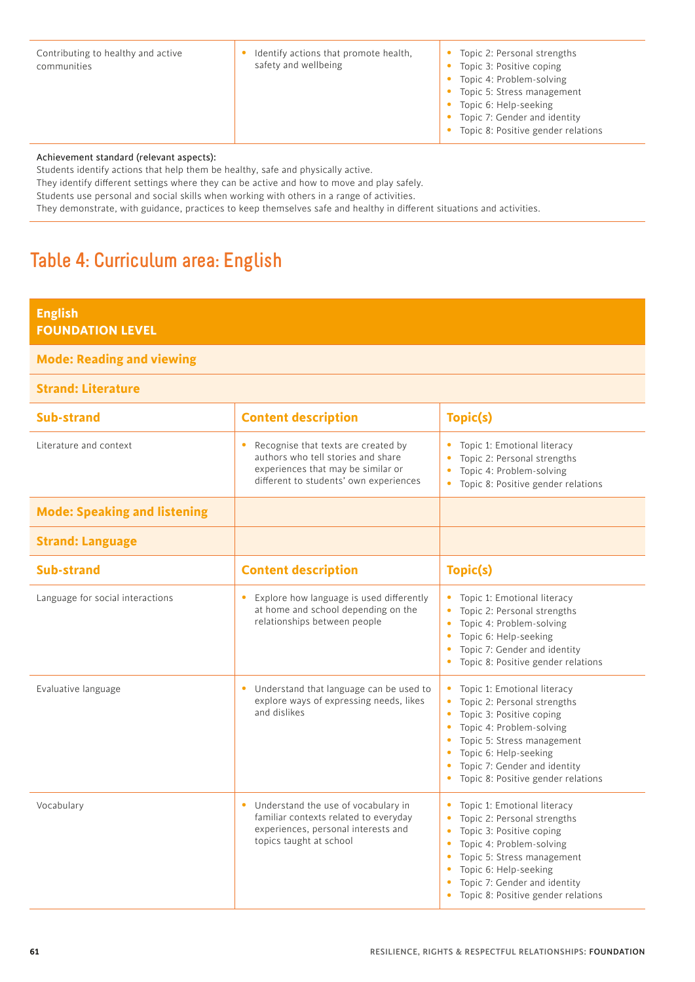• Identify actions that promote health, safety and wellbeing

- Topic 2: Personal strengths
- Topic 3: Positive coping
- Topic 4: Problem-solving
- Topic 5: Stress management
- Topic 6: Help-seeking
- Topic 7: Gender and identity
- Topic 8: Positive gender relations

Achievement standard (relevant aspects):

Students identify actions that help them be healthy, safe and physically active.

They identify different settings where they can be active and how to move and play safely.

Students use personal and social skills when working with others in a range of activities.

They demonstrate, with guidance, practices to keep themselves safe and healthy in different situations and activities.

# **Table 4: Curriculum area: English**

| <b>English</b>                                                                                                                                                                                                                                                                                                |                                                                                                                                                             |                                                                                                                                                                                                                                                                                                                                            |
|---------------------------------------------------------------------------------------------------------------------------------------------------------------------------------------------------------------------------------------------------------------------------------------------------------------|-------------------------------------------------------------------------------------------------------------------------------------------------------------|--------------------------------------------------------------------------------------------------------------------------------------------------------------------------------------------------------------------------------------------------------------------------------------------------------------------------------------------|
| <b>FOUNDATION LEVEL</b>                                                                                                                                                                                                                                                                                       |                                                                                                                                                             |                                                                                                                                                                                                                                                                                                                                            |
| <b>Mode: Reading and viewing</b>                                                                                                                                                                                                                                                                              |                                                                                                                                                             |                                                                                                                                                                                                                                                                                                                                            |
| <b>Strand: Literature</b>                                                                                                                                                                                                                                                                                     |                                                                                                                                                             |                                                                                                                                                                                                                                                                                                                                            |
| <b>Sub-strand</b>                                                                                                                                                                                                                                                                                             | <b>Content description</b>                                                                                                                                  | Topic(s)                                                                                                                                                                                                                                                                                                                                   |
| Literature and context                                                                                                                                                                                                                                                                                        | Recognise that texts are created by<br>authors who tell stories and share<br>experiences that may be similar or<br>different to students' own experiences   | Topic 1: Emotional literacy<br>$\bullet$<br>Topic 2: Personal strengths<br>٠<br>Topic 4: Problem-solving<br>$\bullet$<br>Topic 8: Positive gender relations<br>$\bullet$                                                                                                                                                                   |
| <b>Mode: Speaking and listening</b>                                                                                                                                                                                                                                                                           |                                                                                                                                                             |                                                                                                                                                                                                                                                                                                                                            |
| <b>Strand: Language</b><br><b>Content description</b><br>Topic(s)<br>Explore how language is used differently<br>Topic 1: Emotional literacy<br>٠<br>at home and school depending on the<br>Topic 2: Personal strengths<br>$\bullet$<br>relationships between people<br>Topic 4: Problem-solving<br>$\bullet$ |                                                                                                                                                             |                                                                                                                                                                                                                                                                                                                                            |
| Sub-strand                                                                                                                                                                                                                                                                                                    |                                                                                                                                                             |                                                                                                                                                                                                                                                                                                                                            |
| Language for social interactions                                                                                                                                                                                                                                                                              |                                                                                                                                                             | Topic 6: Help-seeking<br>$\bullet$<br>Topic 7: Gender and identity<br>$\bullet$<br>Topic 8: Positive gender relations<br>$\bullet$                                                                                                                                                                                                         |
| Evaluative language                                                                                                                                                                                                                                                                                           | Understand that language can be used to<br>explore ways of expressing needs, likes<br>and dislikes                                                          | Topic 1: Emotional literacy<br>٠<br>Topic 2: Personal strengths<br>٠<br>Topic 3: Positive coping<br>$\bullet$<br>Topic 4: Problem-solving<br>$\bullet$<br>Topic 5: Stress management<br>$\bullet$<br>Topic 6: Help-seeking<br>$\bullet$<br>Topic 7: Gender and identity<br>$\bullet$<br>Topic 8: Positive gender relations<br>$\bullet$    |
| Vocabulary                                                                                                                                                                                                                                                                                                    | Understand the use of vocabulary in<br>$\bullet$<br>familiar contexts related to everyday<br>experiences, personal interests and<br>topics taught at school | Topic 1: Emotional literacy<br>$\bullet$<br>Topic 2: Personal strengths<br>Topic 3: Positive coping<br>$\bullet$<br>Topic 4: Problem-solving<br>$\bullet$<br>Topic 5: Stress management<br>$\bullet$<br>Topic 6: Help-seeking<br>$\bullet$<br>Topic 7: Gender and identity<br>$\bullet$<br>Topic 8: Positive gender relations<br>$\bullet$ |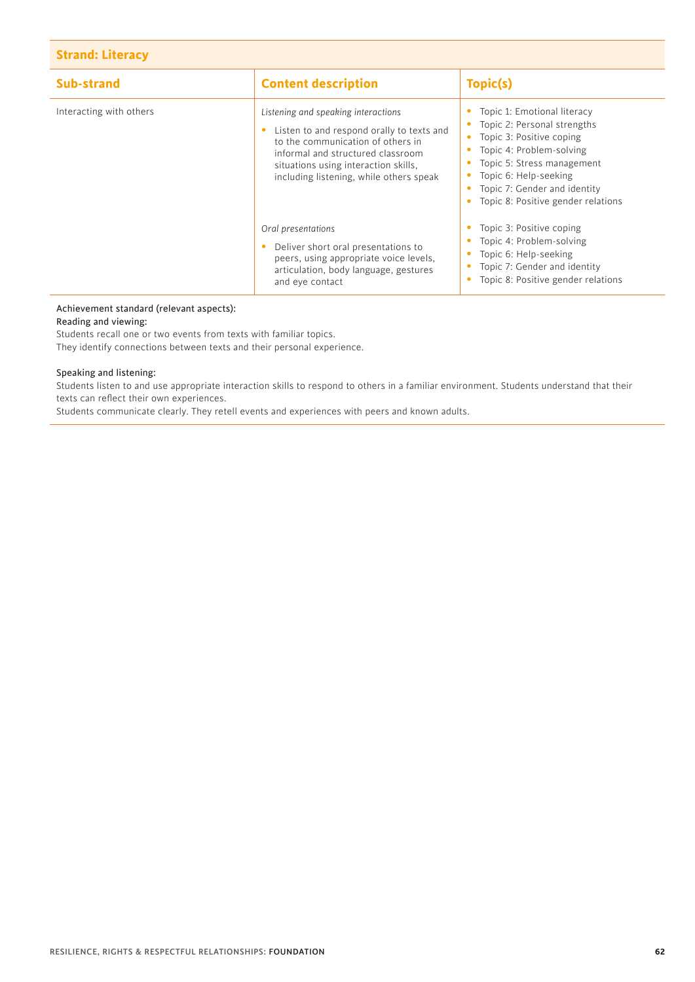#### **Strand: Literacy**

| Sub-strand              | <b>Content description</b>                                                                                                                                                                                                                    | Topic(s)                                                                                                                                                                                                                                                       |
|-------------------------|-----------------------------------------------------------------------------------------------------------------------------------------------------------------------------------------------------------------------------------------------|----------------------------------------------------------------------------------------------------------------------------------------------------------------------------------------------------------------------------------------------------------------|
| Interacting with others | Listening and speaking interactions<br>Listen to and respond orally to texts and<br>to the communication of others in<br>informal and structured classroom<br>situations using interaction skills,<br>including listening, while others speak | Topic 1: Emotional literacy<br>• Topic 2: Personal strengths<br>Topic 3: Positive coping<br>$\bullet$<br>Topic 4: Problem-solving<br>Topic 5: Stress management<br>Topic 6: Help-seeking<br>Topic 7: Gender and identity<br>Topic 8: Positive gender relations |
|                         | Oral presentations<br>Deliver short oral presentations to<br>peers, using appropriate voice levels,<br>articulation, body language, gestures<br>and eye contact                                                                               | Topic 3: Positive coping<br>Topic 4: Problem-solving<br>Topic 6: Help-seeking<br>Topic 7: Gender and identity<br>Topic 8: Positive gender relations                                                                                                            |

#### Achievement standard (relevant aspects):

Reading and viewing:

Students recall one or two events from texts with familiar topics.

They identify connections between texts and their personal experience.

#### Speaking and listening:

Students listen to and use appropriate interaction skills to respond to others in a familiar environment. Students understand that their texts can reflect their own experiences.

Students communicate clearly. They retell events and experiences with peers and known adults.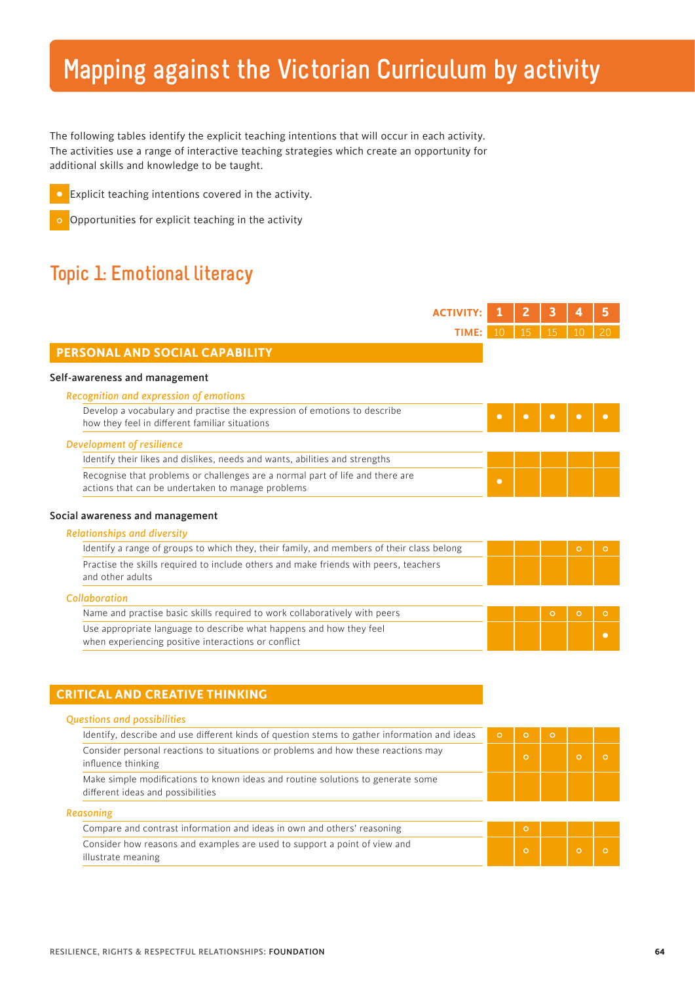# **Mapping against the Victorian Curriculum by activity**

The following tables identify the explicit teaching intentions that will occur in each activity. The activities use a range of interactive teaching strategies which create an opportunity for additional skills and knowledge to be taught.

| $\bullet$ Explicit teaching intentions covered in the activity. |
|-----------------------------------------------------------------|
|-----------------------------------------------------------------|



# **Topic 1: Emotional literacy**

| <b>ACTIVITY:</b>                                                                                                                   |                 | 2       | 3       |         |           |
|------------------------------------------------------------------------------------------------------------------------------------|-----------------|---------|---------|---------|-----------|
| TIME:                                                                                                                              | 10 <sup>°</sup> | 15      | 15      | 10      | 20        |
| PERSONAL AND SOCIAL CAPABILITY                                                                                                     |                 |         |         |         |           |
| Self-awareness and management                                                                                                      |                 |         |         |         |           |
| Recognition and expression of emotions                                                                                             |                 |         |         |         |           |
| Develop a vocabulary and practise the expression of emotions to describe<br>how they feel in different familiar situations         | $\bullet$       |         |         |         |           |
| Development of resilience                                                                                                          |                 |         |         |         |           |
| Identify their likes and dislikes, needs and wants, abilities and strengths                                                        |                 |         |         |         |           |
| Recognise that problems or challenges are a normal part of life and there are<br>actions that can be undertaken to manage problems | $\bullet$       |         |         |         |           |
| Social awareness and management                                                                                                    |                 |         |         |         |           |
| <b>Relationships and diversity</b>                                                                                                 |                 |         |         |         |           |
| Identify a range of groups to which they, their family, and members of their class belong                                          |                 |         |         | $\circ$ | $\circ$   |
| Practise the skills required to include others and make friends with peers, teachers<br>and other adults                           |                 |         |         |         |           |
| Collaboration                                                                                                                      |                 |         |         |         |           |
| Name and practise basic skills required to work collaboratively with peers                                                         |                 |         | $\circ$ | $\circ$ | $\circ$   |
| Use appropriate language to describe what happens and how they feel<br>when experiencing positive interactions or conflict         |                 |         |         |         | $\bullet$ |
|                                                                                                                                    |                 |         |         |         |           |
| <b>CRITICAL AND CREATIVE THINKING</b>                                                                                              |                 |         |         |         |           |
| <b>Questions and possibilities</b>                                                                                                 |                 |         |         |         |           |
| Identify, describe and use different kinds of question stems to gather information and ideas                                       | $\circ$         | $\circ$ | $\circ$ |         |           |
| Consider personal reactions to situations or problems and how these reactions may<br>influence thinking                            |                 | $\circ$ |         | $\circ$ | $\circ$   |
| Make simple modifications to known ideas and routine solutions to generate some<br>different ideas and possibilities               |                 |         |         |         |           |
| Reasoning                                                                                                                          |                 |         |         |         |           |
| Compare and contrast information and ideas in own and others' reasoning                                                            |                 | $\circ$ |         |         |           |
| Consider how reasons and examples are used to support a point of view and<br>illustrate meaning                                    |                 | $\circ$ |         | $\circ$ | $\circ$   |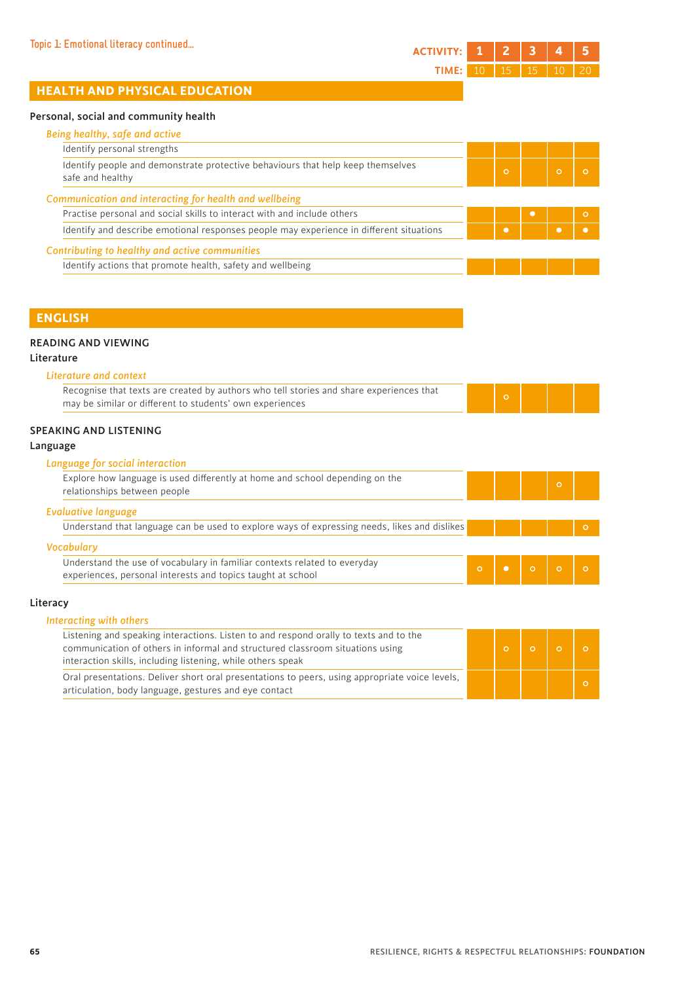# **HEALTH AND PHYSICAL EDUCATION**

#### Personal, social and community health

| Identify personal strengths                                                                         |           |          |         |
|-----------------------------------------------------------------------------------------------------|-----------|----------|---------|
| Identify people and demonstrate protective behaviours that help keep themselves<br>safe and healthy | $\circ$   | $\Omega$ |         |
| Communication and interacting for health and wellbeing                                              |           |          |         |
| Practise personal and social skills to interact with and include others                             |           |          | $\circ$ |
|                                                                                                     | $\bullet$ |          |         |
| Identify and describe emotional responses people may experience in different situations             |           |          |         |
| Contributing to healthy and active communities                                                      |           |          |         |

#### **ENGLISH**

#### READING AND VIEWING

#### Literature

| Literature and context                                                                                                                              |  |  |  |
|-----------------------------------------------------------------------------------------------------------------------------------------------------|--|--|--|
| Recognise that texts are created by authors who tell stories and share experiences that<br>may be similar or different to students' own experiences |  |  |  |

#### SPEAKING AND LISTENING

#### Language

#### *Language for social interaction*

| Explore how language is used differently at home and school depending on the<br>relationships between people |  |  |
|--------------------------------------------------------------------------------------------------------------|--|--|
| <b>Evaluative language</b>                                                                                   |  |  |
| Understand that language can be used to explore ways of expressing needs, likes and dislikes                 |  |  |
|                                                                                                              |  |  |
| <b>Vocabulary</b>                                                                                            |  |  |

# Literacy

| Listening and speaking interactions. Listen to and respond orally to texts and to the<br>communication of others in informal and structured classroom situations using<br>interaction skills, including listening, while others speak |  |  |  |
|---------------------------------------------------------------------------------------------------------------------------------------------------------------------------------------------------------------------------------------|--|--|--|
| Oral presentations. Deliver short oral presentations to peers, using appropriate voice levels,<br>articulation, body language, gestures and eye contact                                                                               |  |  |  |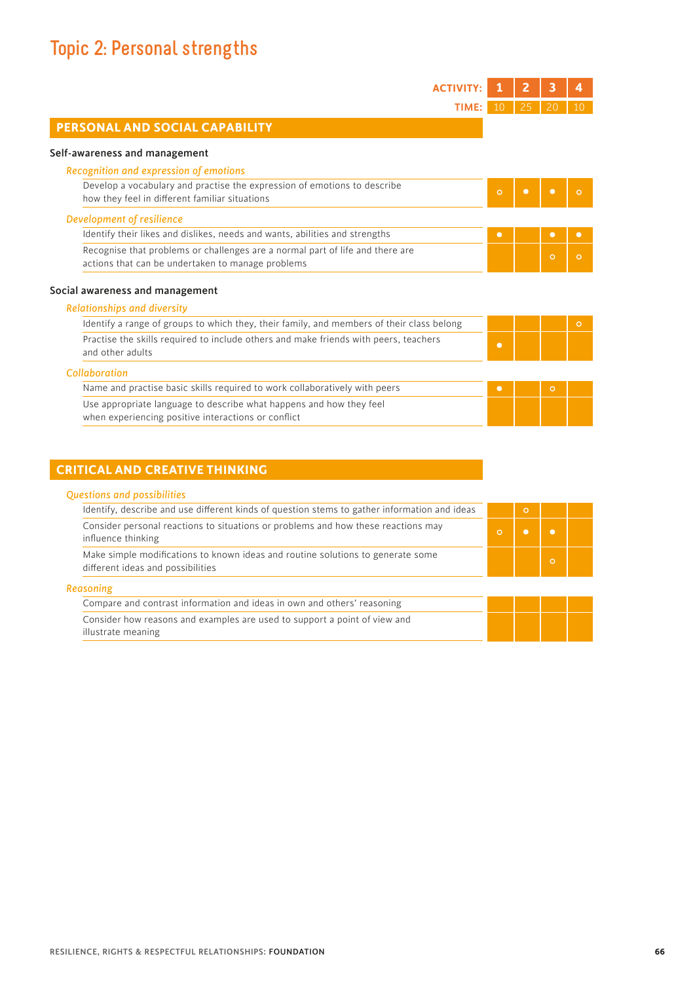# **Topic 2: Personal strengths**

ı

| <b>ACTIVITY:</b>                                                                                                                   |                | 2         | з         | 4         |
|------------------------------------------------------------------------------------------------------------------------------------|----------------|-----------|-----------|-----------|
| TIME:                                                                                                                              | 1 <sub>0</sub> | 25        |           |           |
| PERSONAL AND SOCIAL CAPABILITY                                                                                                     |                |           |           |           |
| Self-awareness and management                                                                                                      |                |           |           |           |
| Recognition and expression of emotions                                                                                             |                |           |           |           |
| Develop a vocabulary and practise the expression of emotions to describe<br>how they feel in different familiar situations         | $\circ$        | $\bullet$ | $\bullet$ | O         |
| Development of resilience                                                                                                          |                |           |           |           |
| Identify their likes and dislikes, needs and wants, abilities and strengths                                                        | $\bullet$      |           | $\bullet$ | $\bullet$ |
| Recognise that problems or challenges are a normal part of life and there are<br>actions that can be undertaken to manage problems |                |           | $\circ$   | $\circ$   |
| Social awareness and management                                                                                                    |                |           |           |           |
| <b>Relationships and diversity</b>                                                                                                 |                |           |           |           |
| Identify a range of groups to which they, their family, and members of their class belong                                          |                |           |           | $\circ$   |
| Practise the skills required to include others and make friends with peers, teachers<br>and other adults                           | $\bullet$      |           |           |           |
| Collaboration                                                                                                                      |                |           |           |           |
| Name and practise basic skills required to work collaboratively with peers                                                         | $\bullet$      |           | $\circ$   |           |
| Use appropriate language to describe what happens and how they feel<br>when experiencing positive interactions or conflict         |                |           |           |           |

## **CRITICAL AND CREATIVE THINKING**

|  |  |  |  | <b>Questions and possibilities</b> |
|--|--|--|--|------------------------------------|
|--|--|--|--|------------------------------------|

| Identify, describe and use different kinds of question stems to gather information and ideas                         |          | $\circ$ |          |
|----------------------------------------------------------------------------------------------------------------------|----------|---------|----------|
| Consider personal reactions to situations or problems and how these reactions may<br>influence thinking              | $\Omega$ |         |          |
| Make simple modifications to known ideas and routine solutions to generate some<br>different ideas and possibilities |          |         | $\Omega$ |

| . . | . .<br>٠ |  |  |
|-----|----------|--|--|
|     |          |  |  |

| Compare and contrast information and ideas in own and others' reasoning   |  |  |
|---------------------------------------------------------------------------|--|--|
| Consider how reasons and examples are used to support a point of view and |  |  |
| illustrate meaning                                                        |  |  |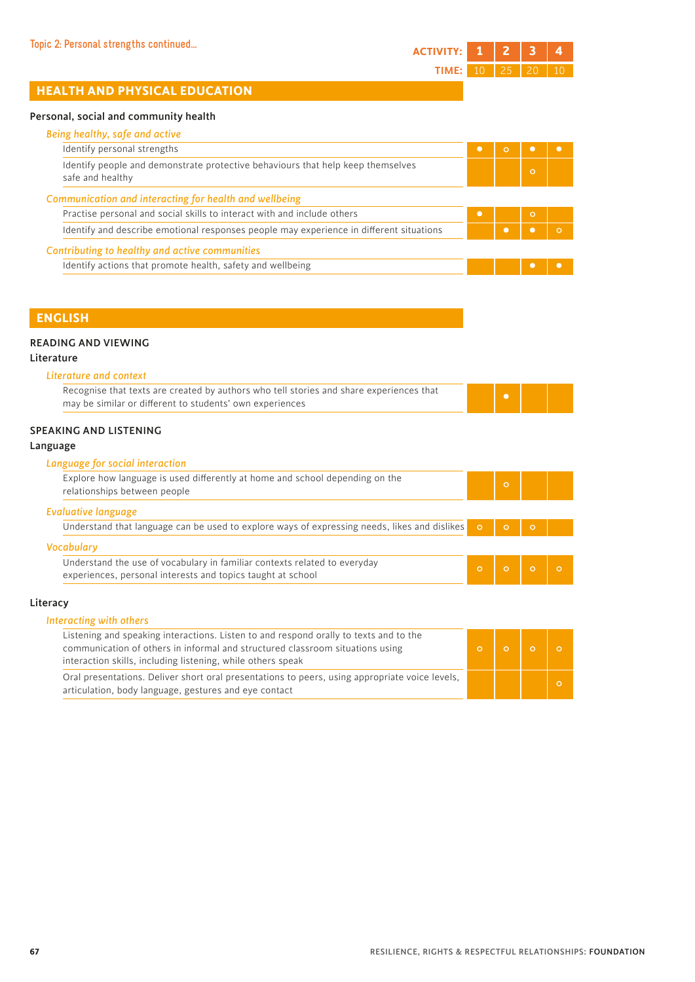# **HEALTH AND PHYSICAL EDUCATION**

#### Personal, social and community health

| Identify personal strengths                                                                         | $\bullet$ |         |  |
|-----------------------------------------------------------------------------------------------------|-----------|---------|--|
| Identify people and demonstrate protective behaviours that help keep themselves<br>safe and healthy |           | $\circ$ |  |
| Communication and interacting for health and wellbeing                                              |           |         |  |
| Practise personal and social skills to interact with and include others                             | $\bullet$ | $\circ$ |  |
| Identify and describe emotional responses people may experience in different situations             |           |         |  |
| Contributing to healthy and active communities                                                      |           |         |  |
| Identify actions that promote health, safety and wellbeing                                          |           |         |  |

#### **ENGLISH**

#### READING AND VIEWING

#### Literature

| Literature and context                                                                  |  |
|-----------------------------------------------------------------------------------------|--|
| Recognise that texts are created by authors who tell stories and share experiences that |  |
| may be similar or different to students' own experiences                                |  |

#### SPEAKING AND LISTENING

#### Language

#### *Language for social interaction*

| Explore how language is used differently at home and school depending on the<br>relationships between people                             | $\circ$ |         |  |
|------------------------------------------------------------------------------------------------------------------------------------------|---------|---------|--|
| Evaluative language                                                                                                                      |         |         |  |
| Understand that language can be used to explore ways of expressing needs, likes and dislikes $\circ$                                     |         | $\circ$ |  |
| <b>Vocabulary</b>                                                                                                                        |         |         |  |
| Understand the use of vocabulary in familiar contexts related to everyday<br>experiences, personal interests and topics taught at school |         |         |  |

#### Literacy

| Interacting with others                                                                                                                                                                                                               |  |  |
|---------------------------------------------------------------------------------------------------------------------------------------------------------------------------------------------------------------------------------------|--|--|
| Listening and speaking interactions. Listen to and respond orally to texts and to the<br>communication of others in informal and structured classroom situations using<br>interaction skills, including listening, while others speak |  |  |
| Oral presentations. Deliver short oral presentations to peers, using appropriate voice levels,<br>articulation, body language, gestures and eye contact                                                                               |  |  |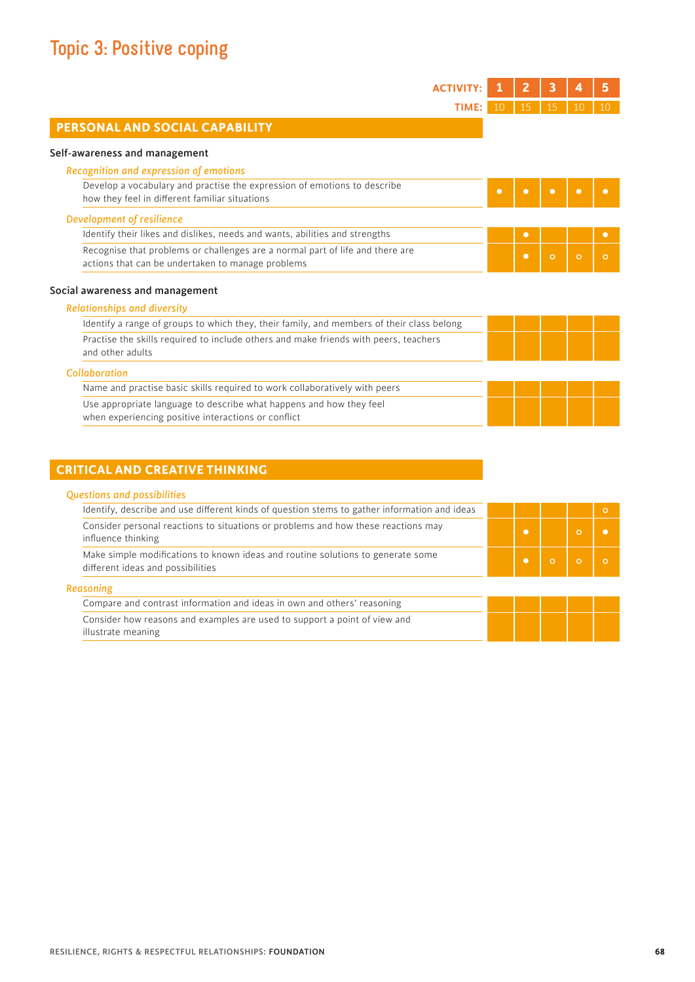| <b>ACTIVIT</b>                                                                                                                     |           | 2         | 3         |         | 5         |
|------------------------------------------------------------------------------------------------------------------------------------|-----------|-----------|-----------|---------|-----------|
| TIME:                                                                                                                              | 10        | 15        | 15        |         |           |
| PERSONAL AND SOCIAL CAPABILITY                                                                                                     |           |           |           |         |           |
| Self-awareness and management                                                                                                      |           |           |           |         |           |
| Recognition and expression of emotions                                                                                             |           |           |           |         |           |
| Develop a vocabulary and practise the expression of emotions to describe<br>how they feel in different familiar situations         | $\bullet$ | $\bullet$ | $\bullet$ | О       |           |
| <b>Development of resilience</b>                                                                                                   |           |           |           |         |           |
| Identify their likes and dislikes, needs and wants, abilities and strengths                                                        |           | $\bullet$ |           |         | $\bullet$ |
| Recognise that problems or challenges are a normal part of life and there are<br>actions that can be undertaken to manage problems |           | $\bullet$ | $\circ$   | $\circ$ | $\circ$   |
| Social awareness and management                                                                                                    |           |           |           |         |           |
| <b>Relationships and diversity</b>                                                                                                 |           |           |           |         |           |
| Identify a range of groups to which they, their family, and members of their class belong                                          |           |           |           |         |           |
| Practise the skills required to include others and make friends with peers, teachers<br>and other adults                           |           |           |           |         |           |
| Collaboration                                                                                                                      |           |           |           |         |           |
| Name and practise basic skills required to work collaboratively with peers                                                         |           |           |           |         |           |
| Use appropriate language to describe what happens and how they feel<br>when experiencing positive interactions or conflict         |           |           |           |         |           |

# **CRITICAL AND CREATIVE THINKING**

| Identify, describe and use different kinds of question stems to gather information and ideas                         |           |         |         |
|----------------------------------------------------------------------------------------------------------------------|-----------|---------|---------|
| Consider personal reactions to situations or problems and how these reactions may<br>influence thinking              | $\bullet$ |         | $\circ$ |
| Make simple modifications to known ideas and routine solutions to generate some<br>different ideas and possibilities | $\bullet$ | $\circ$ | $\circ$ |
| Reasoning                                                                                                            |           |         |         |
| Compare and contrast information and ideas in own and others' reasoning                                              |           |         |         |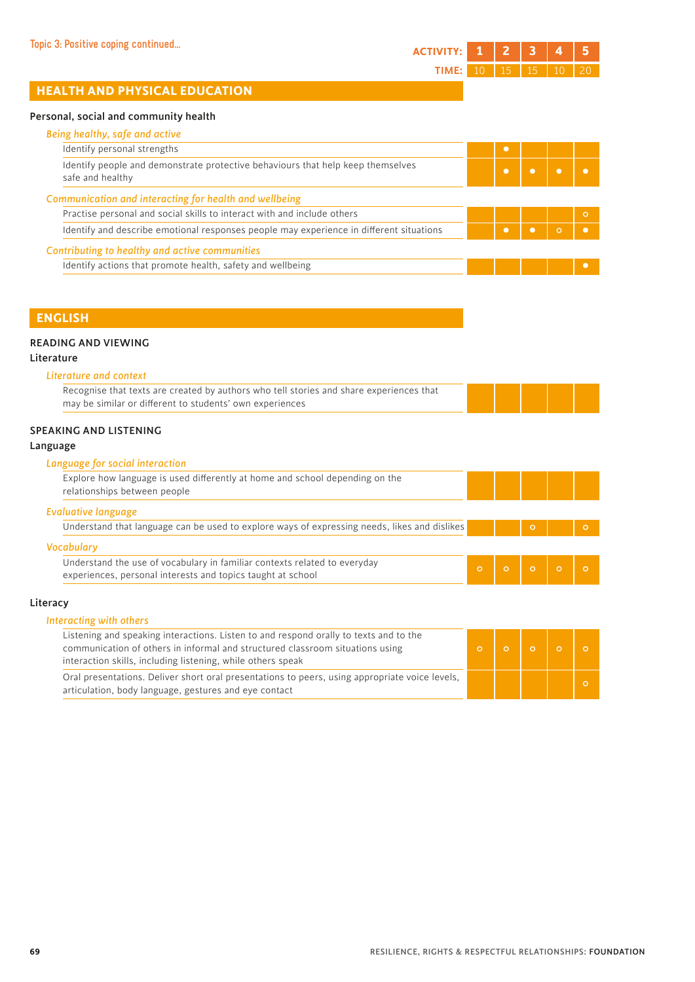# **HEALTH AND PHYSICAL EDUCATION**

#### Personal, social and community health

| Identify personal strengths                                                                         | $\bullet$ |         |         |
|-----------------------------------------------------------------------------------------------------|-----------|---------|---------|
| Identify people and demonstrate protective behaviours that help keep themselves<br>safe and healthy | $\bullet$ |         |         |
| Communication and interacting for health and wellbeing                                              |           |         |         |
| Practise personal and social skills to interact with and include others                             |           |         | $\circ$ |
| Identify and describe emotional responses people may experience in different situations             |           | $\circ$ |         |
| Contributing to healthy and active communities                                                      |           |         |         |
|                                                                                                     |           |         |         |

#### **ENGLISH**

#### READING AND VIEWING

#### Literature

| Literature and context                                                                  |  |  |
|-----------------------------------------------------------------------------------------|--|--|
| Recognise that texts are created by authors who tell stories and share experiences that |  |  |
| may be similar or different to students' own experiences                                |  |  |

#### SPEAKING AND LISTENING

#### Language

#### *Language for social interaction*

| Explore how language is used differently at home and school depending on the<br>relationships between people |  |         |         |
|--------------------------------------------------------------------------------------------------------------|--|---------|---------|
| <b>Evaluative language</b>                                                                                   |  |         |         |
|                                                                                                              |  | $\circ$ | $\circ$ |
| Understand that language can be used to explore ways of expressing needs, likes and dislikes                 |  |         |         |
| <b>Vocabulary</b><br>Understand the use of vocabulary in familiar contexts related to everyday               |  |         |         |

#### *Interacting with others*

| Listening and speaking interactions. Listen to and respond orally to texts and to the<br>communication of others in informal and structured classroom situations using<br>interaction skills, including listening, while others speak |  |  |
|---------------------------------------------------------------------------------------------------------------------------------------------------------------------------------------------------------------------------------------|--|--|
| Oral presentations. Deliver short oral presentations to peers, using appropriate voice levels,<br>articulation, body language, gestures and eye contact                                                                               |  |  |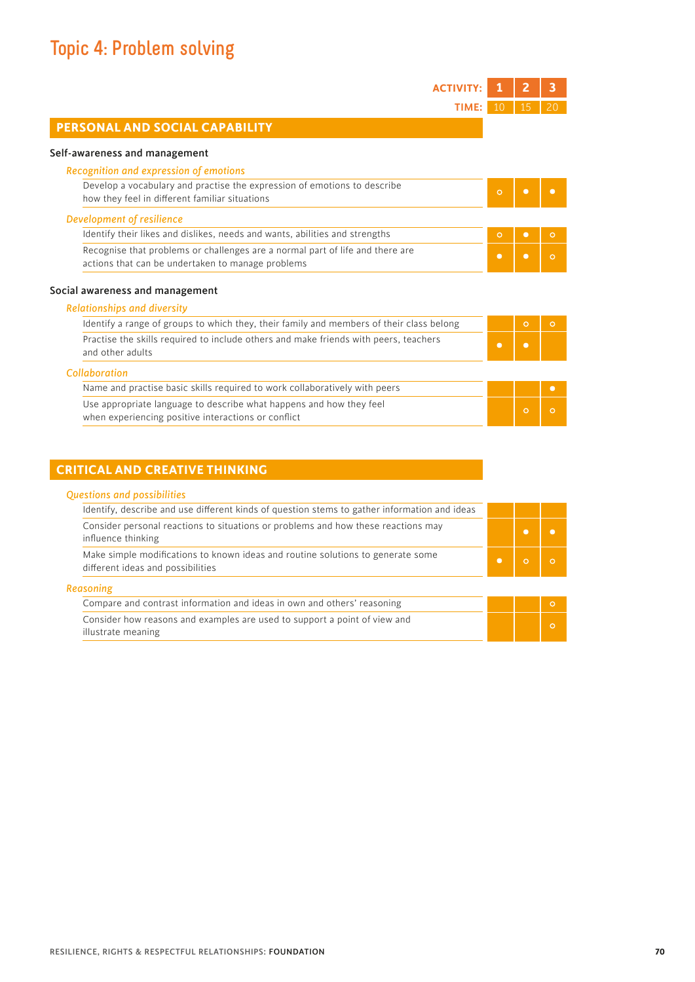# **Topic 4: Problem solving**

I

| <b>ACTIVITY:</b>                                                                                                                            |           |           | 3         |
|---------------------------------------------------------------------------------------------------------------------------------------------|-----------|-----------|-----------|
| TIME:                                                                                                                                       | 10        | 15        | 20        |
| PERSONAL AND SOCIAL CAPABILITY                                                                                                              |           |           |           |
| Self-awareness and management                                                                                                               |           |           |           |
| Recognition and expression of emotions                                                                                                      |           |           |           |
| Develop a vocabulary and practise the expression of emotions to describe<br>how they feel in different familiar situations                  | $\circ$   | $\bullet$ | $\bullet$ |
| Development of resilience                                                                                                                   |           |           |           |
| Identify their likes and dislikes, needs and wants, abilities and strengths                                                                 | $\circ$   | $\bullet$ | $\circ$   |
| Recognise that problems or challenges are a normal part of life and there are<br>actions that can be undertaken to manage problems          | $\bullet$ | $\bullet$ | $\circ$   |
|                                                                                                                                             |           |           |           |
|                                                                                                                                             |           |           |           |
| <b>Relationships and diversity</b>                                                                                                          |           |           |           |
| Identify a range of groups to which they, their family and members of their class belong                                                    |           | $\circ$   | $\circ$   |
| Social awareness and management<br>Practise the skills required to include others and make friends with peers, teachers<br>and other adults | $\bullet$ | $\bullet$ |           |
| Collaboration                                                                                                                               |           |           |           |
| Name and practise basic skills required to work collaboratively with peers                                                                  |           |           | $\bullet$ |

## **CRITICAL AND CREATIVE THINKING**

| <b>Questions and possibilities</b>                                                                                   |  |
|----------------------------------------------------------------------------------------------------------------------|--|
| Identify, describe and use different kinds of question stems to gather information and ideas                         |  |
| Consider personal reactions to situations or problems and how these reactions may<br>influence thinking              |  |
| Make simple modifications to known ideas and routine solutions to generate some<br>different ideas and possibilities |  |

| _____ |  |  |
|-------|--|--|

| Compare and contrast information and ideas in own and others' reasoning   |  |  |
|---------------------------------------------------------------------------|--|--|
| Consider how reasons and examples are used to support a point of view and |  |  |
| illustrate meaning                                                        |  |  |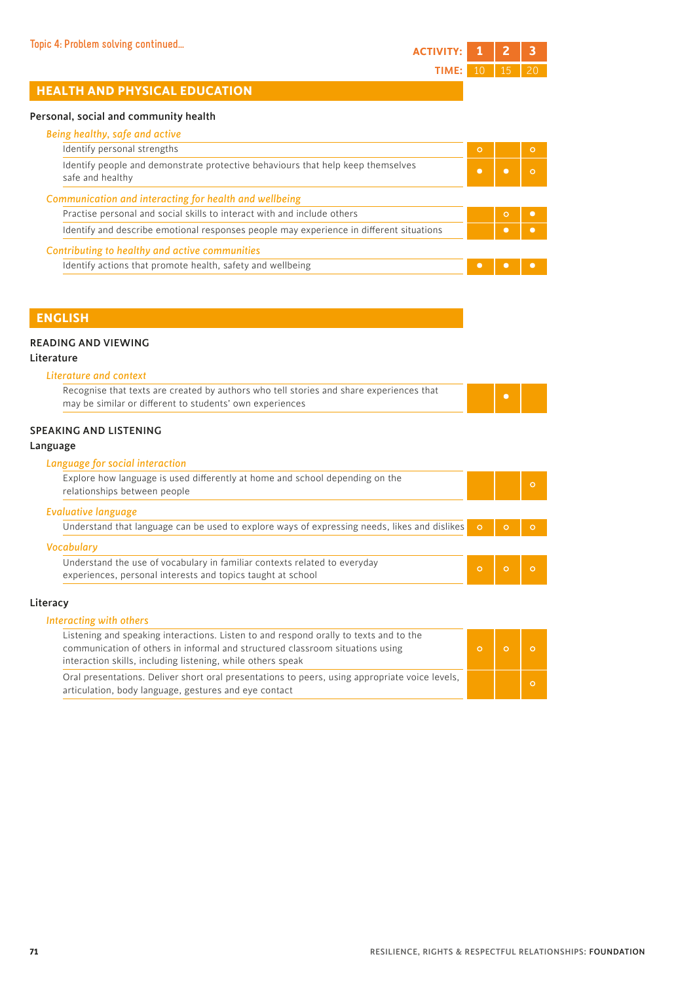| Topic 4: Problem solving continued | ACTIVITY: 1   2   3       |  |  |
|------------------------------------|---------------------------|--|--|
|                                    | <b>TIME:</b> 10   15   20 |  |  |

# **HEALTH AND PHYSICAL EDUCATION**

#### Personal, social and community health

| Being healthy, safe and active                                                                      |         |         |          |
|-----------------------------------------------------------------------------------------------------|---------|---------|----------|
| Identify personal strengths                                                                         | $\circ$ |         | $\Omega$ |
| Identify people and demonstrate protective behaviours that help keep themselves<br>safe and healthy |         |         |          |
| Communication and interacting for health and wellbeing                                              |         |         |          |
|                                                                                                     |         | $\circ$ |          |
| Practise personal and social skills to interact with and include others                             |         |         |          |
| Identify and describe emotional responses people may experience in different situations             |         |         |          |
| Contributing to healthy and active communities                                                      |         |         |          |

#### **ENGLISH**

#### READING AND VIEWING

#### Literature

| Literature and context                                                                  |
|-----------------------------------------------------------------------------------------|
| Recognise that texts are created by authors who tell stories and share experiences that |
| may be similar or different to students' own experiences                                |

#### SPEAKING AND LISTENING

#### Language

#### *Language for social interaction*

| Explore how language is used differently at home and school depending on the<br>relationships between people                             |  |         |  |
|------------------------------------------------------------------------------------------------------------------------------------------|--|---------|--|
| <b>Evaluative language</b>                                                                                                               |  |         |  |
| Understand that language can be used to explore ways of expressing needs, likes and dislikes $\circ$                                     |  | $\circ$ |  |
| <b>Vocabulary</b>                                                                                                                        |  |         |  |
| Understand the use of vocabulary in familiar contexts related to everyday<br>experiences, personal interests and topics taught at school |  |         |  |

#### Literacy

| Interacting with others                                                                                                                                                                                                               |  |
|---------------------------------------------------------------------------------------------------------------------------------------------------------------------------------------------------------------------------------------|--|
| Listening and speaking interactions. Listen to and respond orally to texts and to the<br>communication of others in informal and structured classroom situations using<br>interaction skills, including listening, while others speak |  |
| Oral presentations. Deliver short oral presentations to peers, using appropriate voice levels,<br>articulation, body language, gestures and eye contact                                                                               |  |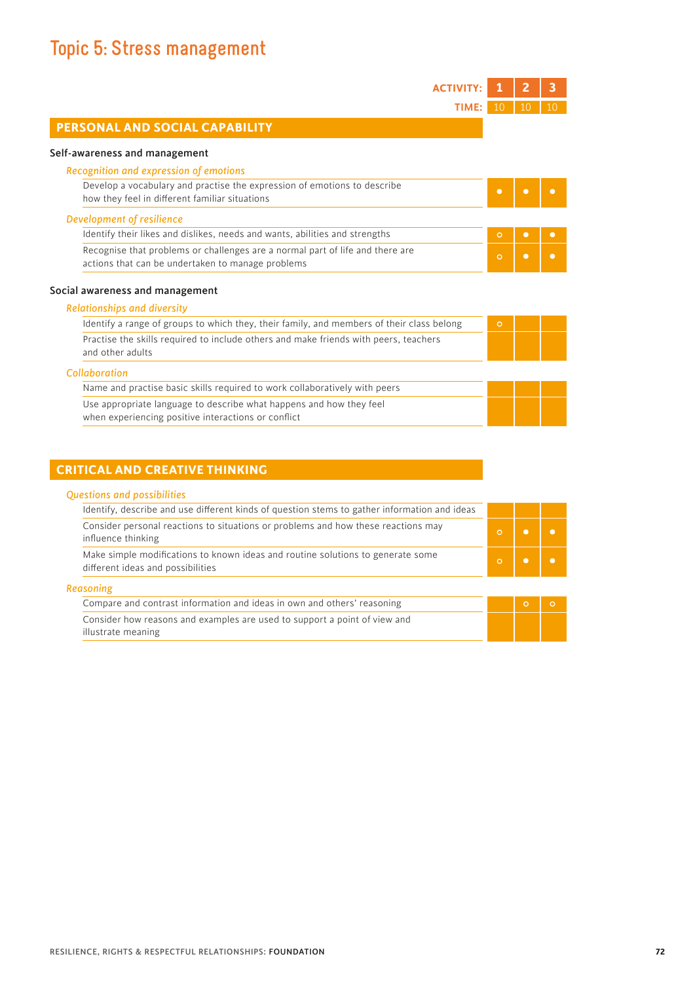# **Topic 5: Stress management**

| <b>ACTIVIT</b>                                                                                                                     |           | 2         |           |
|------------------------------------------------------------------------------------------------------------------------------------|-----------|-----------|-----------|
| TIME:                                                                                                                              | 10        | 10        |           |
| PERSONAL AND SOCIAL CAPABILITY                                                                                                     |           |           |           |
| Self-awareness and management                                                                                                      |           |           |           |
| Recognition and expression of emotions                                                                                             |           |           |           |
| Develop a vocabulary and practise the expression of emotions to describe<br>how they feel in different familiar situations         | $\bullet$ | $\bullet$ | $\bullet$ |
| Development of resilience                                                                                                          |           |           |           |
| Identify their likes and dislikes, needs and wants, abilities and strengths                                                        | $\circ$   | $\bullet$ | $\bullet$ |
| Recognise that problems or challenges are a normal part of life and there are<br>actions that can be undertaken to manage problems | $\circ$   | $\bullet$ | $\bullet$ |
| Social awareness and management                                                                                                    |           |           |           |
| <b>Relationships and diversity</b>                                                                                                 |           |           |           |
| Identify a range of groups to which they, their family, and members of their class belong                                          | $\circ$   |           |           |
| Practise the skills required to include others and make friends with peers, teachers<br>and other adults                           |           |           |           |
| Collaboration                                                                                                                      |           |           |           |
| Name and practise basic skills required to work collaboratively with peers                                                         |           |           |           |
| Use appropriate language to describe what happens and how they feel<br>when experiencing positive interactions or conflict         |           |           |           |

# **CRITICAL AND CREATIVE THINKING**

# *Questions and possibilities*

| Identify, describe and use different kinds of question stems to gather information and ideas                         |  |  |
|----------------------------------------------------------------------------------------------------------------------|--|--|
| Consider personal reactions to situations or problems and how these reactions may<br>influence thinking              |  |  |
| Make simple modifications to known ideas and routine solutions to generate some<br>different ideas and possibilities |  |  |

#### *Reasoning*

| Compare and contrast information and ideas in own and others' reasoning   |  |  |
|---------------------------------------------------------------------------|--|--|
| Consider how reasons and examples are used to support a point of view and |  |  |
| illustrate meaning                                                        |  |  |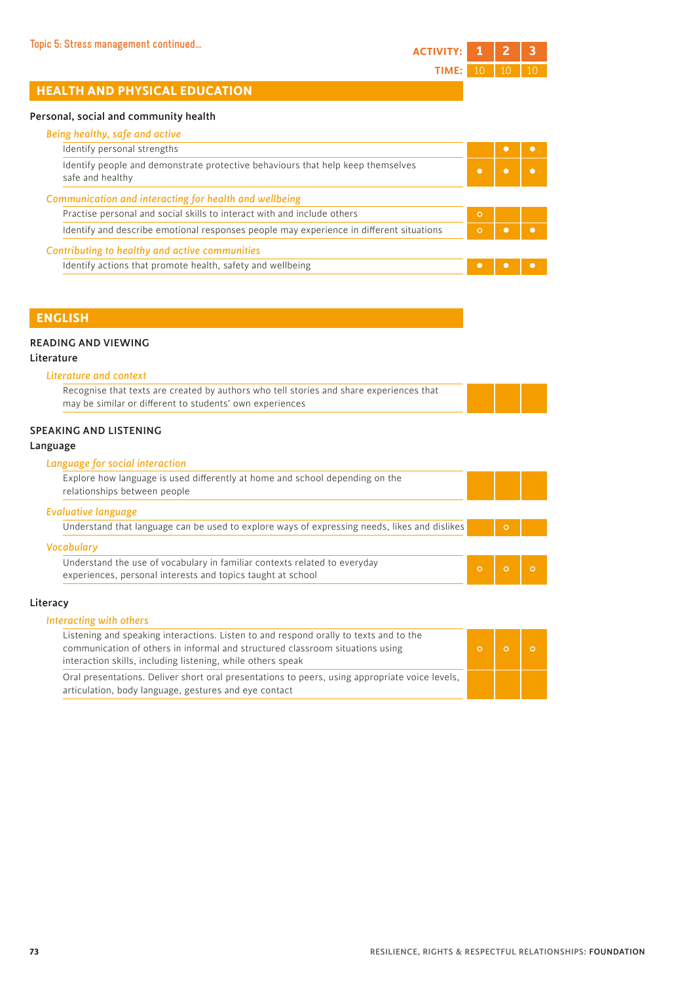## Personal, social and community health

| Being healthy, safe and active                                                                      |          |  |
|-----------------------------------------------------------------------------------------------------|----------|--|
| Identify personal strengths                                                                         |          |  |
| Identify people and demonstrate protective behaviours that help keep themselves<br>safe and healthy |          |  |
| Communication and interacting for health and wellbeing                                              |          |  |
|                                                                                                     |          |  |
| Practise personal and social skills to interact with and include others                             | $\Omega$ |  |
| Identify and describe emotional responses people may experience in different situations             | $\Omega$ |  |
| Contributing to healthy and active communities                                                      |          |  |

# **ENGLISH**

## READING AND VIEWING

## Literature

|  | Literature and context |  |
|--|------------------------|--|
|  |                        |  |

| Recognise that texts are created by authors who tell stories and share experiences that |
|-----------------------------------------------------------------------------------------|
| may be similar or different to students' own experiences                                |

# SPEAKING AND LISTENING

## Language

## *Language for social interaction*

| Explore how language is used differently at home and school depending on the<br>relationships between people                             |          |  |
|------------------------------------------------------------------------------------------------------------------------------------------|----------|--|
| <b>Evaluative language</b>                                                                                                               |          |  |
| Understand that language can be used to explore ways of expressing needs, likes and dislikes                                             | $\Omega$ |  |
| <b>Vocabulary</b>                                                                                                                        |          |  |
| Understand the use of vocabulary in familiar contexts related to everyday<br>experiences, personal interests and topics taught at school |          |  |

#### Literacy

| Interacting with others                                                                                                                                                                                                               |  |  |
|---------------------------------------------------------------------------------------------------------------------------------------------------------------------------------------------------------------------------------------|--|--|
| Listening and speaking interactions. Listen to and respond orally to texts and to the<br>communication of others in informal and structured classroom situations using<br>interaction skills, including listening, while others speak |  |  |
| Oral presentations. Deliver short oral presentations to peers, using appropriate voice levels,<br>articulation, body language, gestures and eye contact                                                                               |  |  |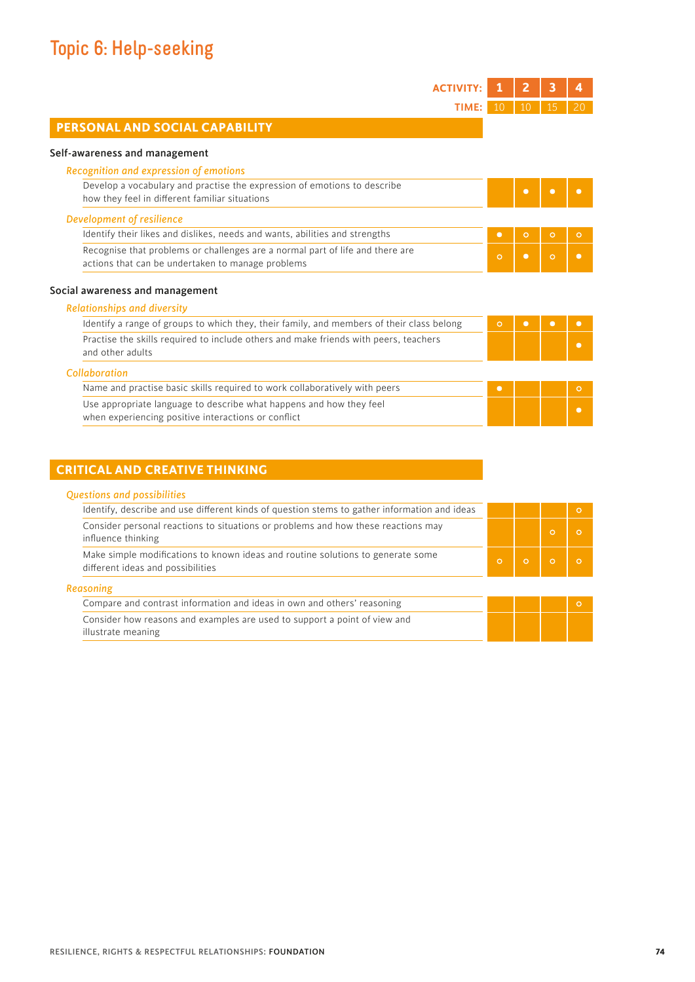I

| <b>ACTIVITY:</b>                                                                                                                   |           | 2         | 3         | 4         |
|------------------------------------------------------------------------------------------------------------------------------------|-----------|-----------|-----------|-----------|
| TIME:                                                                                                                              | 10        | 10        | 15        | 20        |
| PERSONAL AND SOCIAL CAPABILITY                                                                                                     |           |           |           |           |
| Self-awareness and management                                                                                                      |           |           |           |           |
| Recognition and expression of emotions                                                                                             |           |           |           |           |
| Develop a vocabulary and practise the expression of emotions to describe<br>how they feel in different familiar situations         |           | $\bullet$ | $\bullet$ | $\bullet$ |
| Development of resilience                                                                                                          |           |           |           |           |
| Identify their likes and dislikes, needs and wants, abilities and strengths                                                        | $\bullet$ | $\circ$   | $\circ$   | $\circ$   |
| Recognise that problems or challenges are a normal part of life and there are<br>actions that can be undertaken to manage problems | $\circ$   | $\bullet$ | $\circ$   | $\bullet$ |
|                                                                                                                                    |           |           |           |           |
| Social awareness and management                                                                                                    |           |           |           |           |
| <b>Relationships and diversity</b>                                                                                                 |           |           |           |           |
| Identify a range of groups to which they, their family, and members of their class belong                                          | $\circ$   | $\bullet$ | $\bullet$ | $\bullet$ |
| Practise the skills required to include others and make friends with peers, teachers<br>and other adults                           |           |           |           | $\bullet$ |
| Collaboration                                                                                                                      |           |           |           |           |
| Name and practise basic skills required to work collaboratively with peers                                                         | $\bullet$ |           |           | $\circ$   |

# **CRITICAL AND CREATIVE THINKING**

| <b>Questions and possibilities</b> |  |
|------------------------------------|--|
|------------------------------------|--|

| Identify, describe and use different kinds of question stems to gather information and ideas                         |         |  |  |
|----------------------------------------------------------------------------------------------------------------------|---------|--|--|
| Consider personal reactions to situations or problems and how these reactions may<br>influence thinking              |         |  |  |
| Make simple modifications to known ideas and routine solutions to generate some<br>different ideas and possibilities | $\circ$ |  |  |

*Reasoning*

| Compare and contrast information and ideas in own and others' reasoning   |  |  |
|---------------------------------------------------------------------------|--|--|
| Consider how reasons and examples are used to support a point of view and |  |  |
| illustrate meaning                                                        |  |  |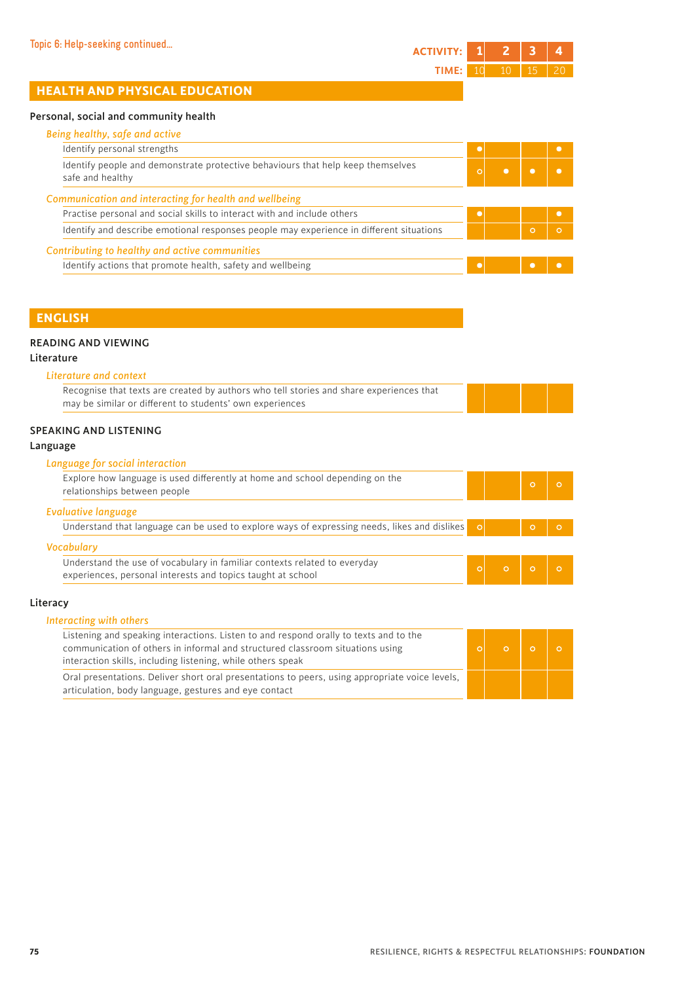## Personal, social and community health

| Being healthy, safe and active                                                                      |          |         |          |
|-----------------------------------------------------------------------------------------------------|----------|---------|----------|
| Identify personal strengths                                                                         |          |         |          |
| Identify people and demonstrate protective behaviours that help keep themselves<br>safe and healthy | $\Omega$ |         |          |
| Communication and interacting for health and wellbeing                                              |          |         |          |
| Practise personal and social skills to interact with and include others                             |          |         |          |
| Identify and describe emotional responses people may experience in different situations             |          | $\circ$ | $\Omega$ |
| Contributing to healthy and active communities                                                      |          |         |          |
| Identify actions that promote health, safety and wellbeing                                          |          |         |          |

# **ENGLISH**

### READING AND VIEWING

## Literature

| Literature and context                                                                  |
|-----------------------------------------------------------------------------------------|
| Recognise that texts are created by authors who tell stories and share experiences that |
| may be similar or different to students' own experiences                                |

### SPEAKING AND LISTENING

## Language

#### *Language for social interaction*

| Explore how language is used differently at home and school depending on the<br>relationships between people                             |  |  |
|------------------------------------------------------------------------------------------------------------------------------------------|--|--|
| <b>Evaluative language</b>                                                                                                               |  |  |
| Understand that language can be used to explore ways of expressing needs, likes and dislikes $\circ$                                     |  |  |
| <b>Vocabulary</b>                                                                                                                        |  |  |
| Understand the use of vocabulary in familiar contexts related to everyday<br>experiences, personal interests and topics taught at school |  |  |

#### Literacy

| Interacting with others<br>Listening and speaking interactions. Listen to and respond orally to texts and to the<br>communication of others in informal and structured classroom situations using<br>interaction skills, including listening, while others speak |  |  |
|------------------------------------------------------------------------------------------------------------------------------------------------------------------------------------------------------------------------------------------------------------------|--|--|
| Oral presentations. Deliver short oral presentations to peers, using appropriate voice levels,<br>articulation, body language, gestures and eye contact                                                                                                          |  |  |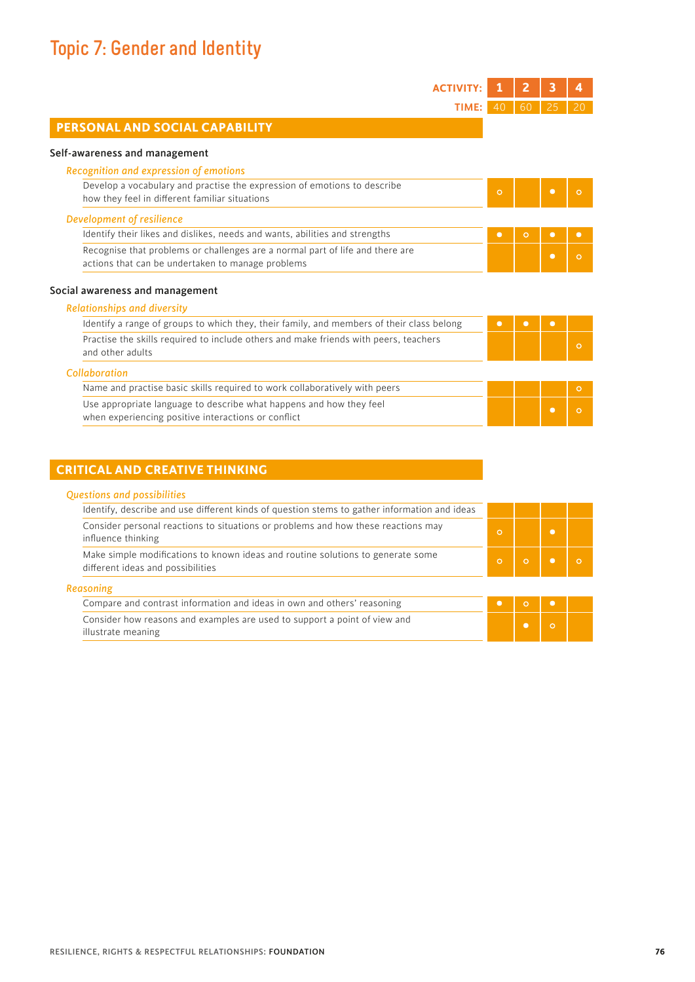# **Topic 7: Gender and Identity**

| <b>ACTIVITY:</b>                                                                                                                   |       |           | 2         | 3              |           |
|------------------------------------------------------------------------------------------------------------------------------------|-------|-----------|-----------|----------------|-----------|
|                                                                                                                                    | TIME: | 40        | 60        | 25             | 20        |
| PERSONAL AND SOCIAL CAPABILITY                                                                                                     |       |           |           |                |           |
| Self-awareness and management                                                                                                      |       |           |           |                |           |
| Recognition and expression of emotions                                                                                             |       |           |           |                |           |
| Develop a vocabulary and practise the expression of emotions to describe<br>how they feel in different familiar situations         |       | $\circ$   |           | $\bullet$      | $\circ$   |
| Development of resilience                                                                                                          |       |           |           |                |           |
| Identify their likes and dislikes, needs and wants, abilities and strengths                                                        |       | $\bullet$ | $\circ$   | $\bullet$      | $\bullet$ |
| Recognise that problems or challenges are a normal part of life and there are<br>actions that can be undertaken to manage problems |       |           |           | $\bullet$      | $\circ$   |
| Social awareness and management                                                                                                    |       |           |           |                |           |
| <b>Relationships and diversity</b>                                                                                                 |       |           |           |                |           |
| Identify a range of groups to which they, their family, and members of their class belong                                          |       | $\bullet$ | $\bullet$ | $\bullet$      |           |
| Practise the skills required to include others and make friends with peers, teachers<br>and other adults                           |       |           |           |                | $\circ$   |
| Collaboration                                                                                                                      |       |           |           |                |           |
| Name and practise basic skills required to work collaboratively with peers                                                         |       |           |           |                | $\circ$   |
| Use appropriate language to describe what happens and how they feel                                                                |       |           |           | $\blacksquare$ | $\cap$    |

when experiencing positive interactions or conflict

# **CRITICAL AND CREATIVE THINKING**

### *Questions and possibilities*

| Identify, describe and use different kinds of question stems to gather information and ideas                         |         |  |  |
|----------------------------------------------------------------------------------------------------------------------|---------|--|--|
| Consider personal reactions to situations or problems and how these reactions may<br>influence thinking              | $\circ$ |  |  |
| Make simple modifications to known ideas and routine solutions to generate some<br>different ideas and possibilities | $\circ$ |  |  |

#### *Reasoning*

Compare and contrast information and ideas in own and others' reasoning **• Consider how reasons and examples are used to support a point of view and illustrate meaning • Consider how reasons and examples are used to suppor** Consider how reasons and examples are used to support a point of view and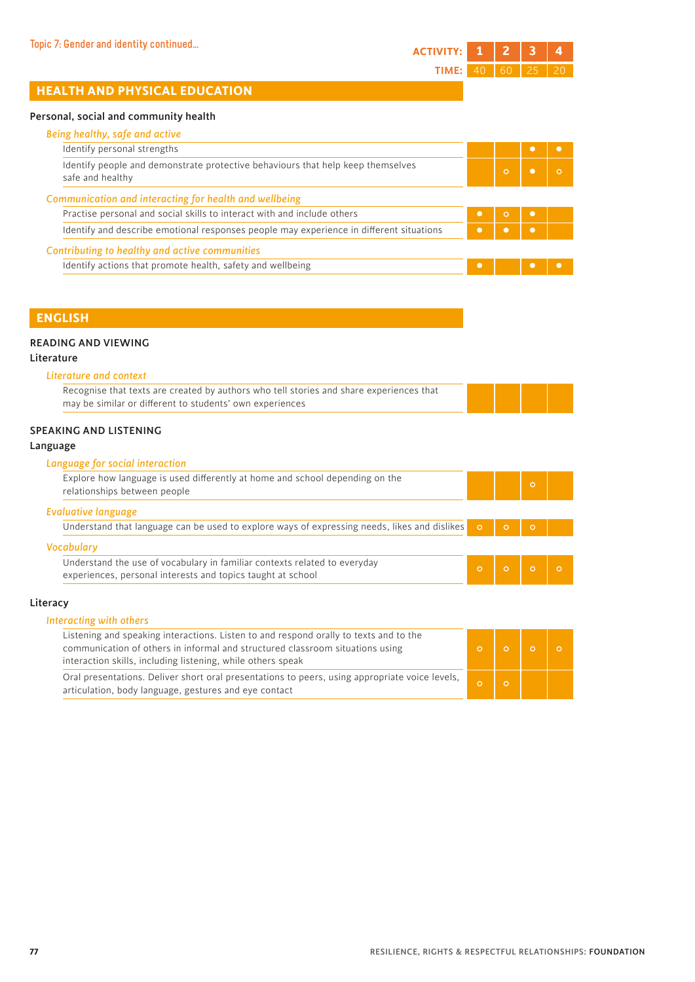## Personal, social and community health

| Identify personal strengths                                                                         |           |         |                |  |
|-----------------------------------------------------------------------------------------------------|-----------|---------|----------------|--|
| Identify people and demonstrate protective behaviours that help keep themselves<br>safe and healthy |           |         |                |  |
| Communication and interacting for health and wellbeing                                              |           |         |                |  |
| Practise personal and social skills to interact with and include others                             |           | $\circ$ | $\blacksquare$ |  |
| Identify and describe emotional responses people may experience in different situations             | o         |         |                |  |
| Contributing to healthy and active communities                                                      |           |         |                |  |
| Identify actions that promote health, safety and wellbeing                                          | $\bullet$ |         |                |  |

# **ENGLISH**

### READING AND VIEWING

## Literature

| Literature and context                                                                  |  |
|-----------------------------------------------------------------------------------------|--|
| Recognise that texts are created by authors who tell stories and share experiences that |  |
| may be similar or different to students' own experiences                                |  |

### SPEAKING AND LISTENING

## Language

### *Language for social interaction*

| Explore how language is used differently at home and school depending on the<br>relationships between people                             |  |  |
|------------------------------------------------------------------------------------------------------------------------------------------|--|--|
| <b>Evaluative language</b>                                                                                                               |  |  |
| Understand that language can be used to explore ways of expressing needs, likes and dislikes o                                           |  |  |
| <b>Vocabulary</b>                                                                                                                        |  |  |
| Understand the use of vocabulary in familiar contexts related to everyday<br>experiences, personal interests and topics taught at school |  |  |

#### Literacy

| Listening and speaking interactions. Listen to and respond orally to texts and to the<br>communication of others in informal and structured classroom situations using<br>interaction skills, including listening, while others speak |  |  |
|---------------------------------------------------------------------------------------------------------------------------------------------------------------------------------------------------------------------------------------|--|--|
| Oral presentations. Deliver short oral presentations to peers, using appropriate voice levels,<br>articulation, body language, gestures and eye contact                                                                               |  |  |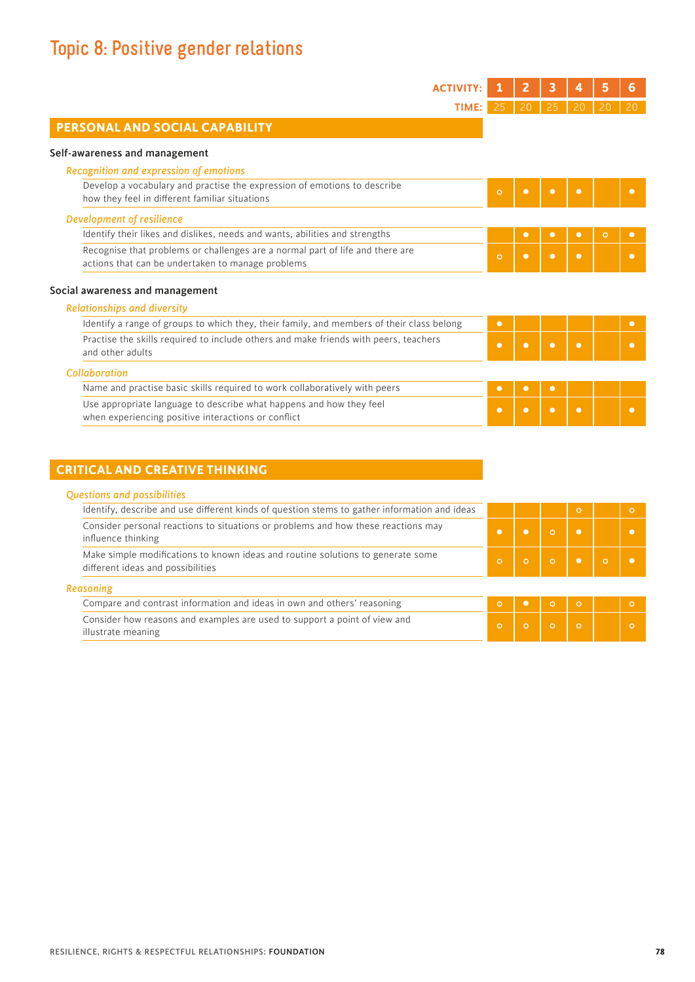# **Topic 8: Positive gender relations**

| <b>ACTIVITY:</b>                                                                                                                   |           | 2         | 3         | 4         | 5       | 6         |
|------------------------------------------------------------------------------------------------------------------------------------|-----------|-----------|-----------|-----------|---------|-----------|
| TIME:                                                                                                                              |           | 20        | 25        | 20        |         | 20        |
| PERSONAL AND SOCIAL CAPABILITY                                                                                                     |           |           |           |           |         |           |
| Self-awareness and management                                                                                                      |           |           |           |           |         |           |
| Recognition and expression of emotions                                                                                             |           |           |           |           |         |           |
| Develop a vocabulary and practise the expression of emotions to describe<br>how they feel in different familiar situations         | $\circ$   | $\bullet$ | $\bullet$ | $\bullet$ |         | $\bullet$ |
| Development of resilience                                                                                                          |           |           |           |           |         |           |
| Identify their likes and dislikes, needs and wants, abilities and strengths                                                        |           | $\bullet$ | $\bullet$ | $\bullet$ | $\circ$ | $\bullet$ |
| Recognise that problems or challenges are a normal part of life and there are<br>actions that can be undertaken to manage problems | $\circ$   | $\bullet$ | $\bullet$ | $\bullet$ |         | $\bullet$ |
| Social awareness and management                                                                                                    |           |           |           |           |         |           |
| <b>Relationships and diversity</b>                                                                                                 |           |           |           |           |         |           |
| Identify a range of groups to which they, their family, and members of their class belong                                          | $\bullet$ |           |           |           |         | $\bullet$ |
| Practise the skills required to include others and make friends with peers, teachers<br>and other adults                           | $\bullet$ | $\bullet$ | $\bullet$ | $\bullet$ |         | $\bullet$ |
| Collaboration                                                                                                                      |           |           |           |           |         |           |
| Name and practise basic skills required to work collaboratively with peers                                                         | $\bullet$ | $\bullet$ | $\bullet$ |           |         |           |
| Use appropriate language to describe what happens and how they feel<br>when experiencing positive interactions or conflict         | $\bullet$ | $\bullet$ | $\bullet$ | $\bullet$ |         | $\bullet$ |

# **CRITICAL AND CREATIVE THINKING**

| Identify, describe and use different kinds of question stems to gather information and ideas                         |  | $\circ$ |  |
|----------------------------------------------------------------------------------------------------------------------|--|---------|--|
| Consider personal reactions to situations or problems and how these reactions may<br>influence thinking              |  |         |  |
| Make simple modifications to known ideas and routine solutions to generate some<br>different ideas and possibilities |  |         |  |

| .                                                                         |  |  |  |
|---------------------------------------------------------------------------|--|--|--|
| Compare and contrast information and ideas in own and others' reasoning   |  |  |  |
| Consider how reasons and examples are used to support a point of view and |  |  |  |
| illustrate meaning                                                        |  |  |  |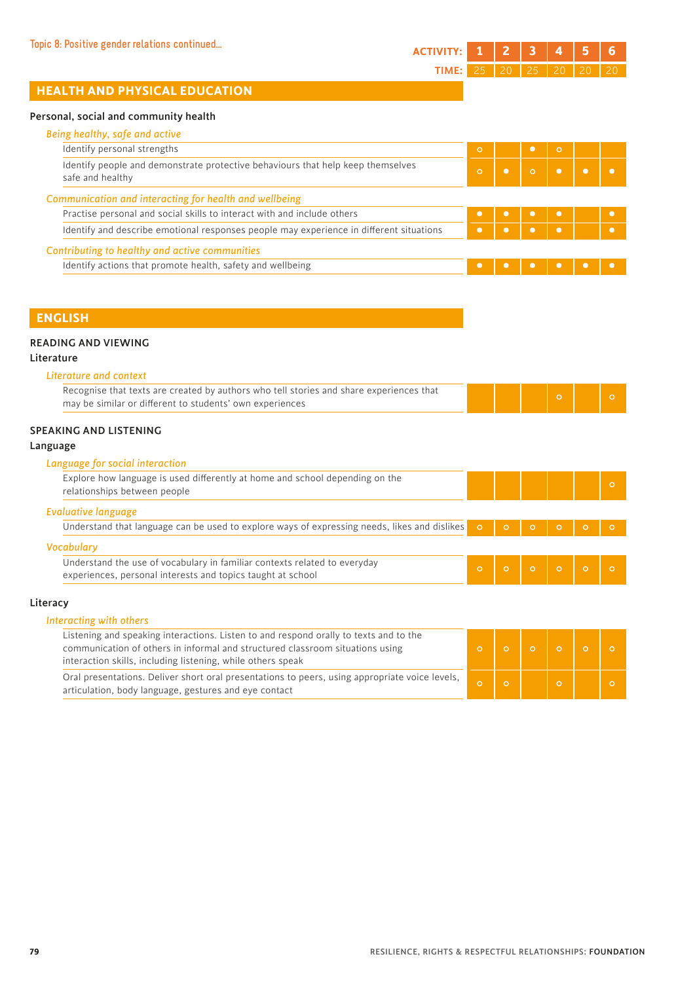# Personal, social and community health

| Identify personal strengths                                                                         | $\circ$  |         | $\circ$   |  |
|-----------------------------------------------------------------------------------------------------|----------|---------|-----------|--|
| Identify people and demonstrate protective behaviours that help keep themselves<br>safe and healthy | $\Omega$ | $\circ$ | $\bullet$ |  |
| Communication and interacting for health and wellbeing                                              |          |         |           |  |
| Practise personal and social skills to interact with and include others                             |          |         |           |  |
| Identify and describe emotional responses people may experience in different situations             |          |         |           |  |
| Contributing to healthy and active communities                                                      |          |         |           |  |
| Identify actions that promote health, safety and wellbeing                                          |          |         |           |  |

# **ENGLISH**

## READING AND VIEWING

## Literature

| Literature and context                                                                                                                              |         |         |         |         |         |          |
|-----------------------------------------------------------------------------------------------------------------------------------------------------|---------|---------|---------|---------|---------|----------|
| Recognise that texts are created by authors who tell stories and share experiences that<br>may be similar or different to students' own experiences |         |         |         | $\circ$ |         | $\circ$  |
| SPEAKING AND LISTENING                                                                                                                              |         |         |         |         |         |          |
| Language                                                                                                                                            |         |         |         |         |         |          |
| Language for social interaction                                                                                                                     |         |         |         |         |         |          |
| Explore how language is used differently at home and school depending on the<br>relationships between people                                        |         |         |         |         |         | $\circ$  |
| Evaluative language                                                                                                                                 |         |         |         |         |         |          |
| Understand that language can be used to explore ways of expressing needs, likes and dislikes                                                        | $\circ$ |         |         |         |         | $\circ$  |
| <b>Vocabulary</b>                                                                                                                                   |         |         |         |         |         |          |
| Understand the use of vocabulary in familiar contexts related to everyday<br>experiences, personal interests and topics taught at school            | $\circ$ | $\circ$ | $\circ$ | $\circ$ | $\circ$ | $\Omega$ |
| Literacy                                                                                                                                            |         |         |         |         |         |          |
| Interacting with others                                                                                                                             |         |         |         |         |         |          |
| المسافر المساوية والمنازعة والمستقبل والمساوية والمستقاد والمستحدث والمستحدث والمستقبل المستورة والمستحدثات                                         |         |         |         |         |         |          |

| Listening and speaking interactions. Listen to and respond orally to texts and to the<br>communication of others in informal and structured classroom situations using<br>interaction skills, including listening, while others speak |  |  |  |
|---------------------------------------------------------------------------------------------------------------------------------------------------------------------------------------------------------------------------------------|--|--|--|
| Oral presentations. Deliver short oral presentations to peers, using appropriate voice levels,<br>articulation, body language, gestures and eye contact                                                                               |  |  |  |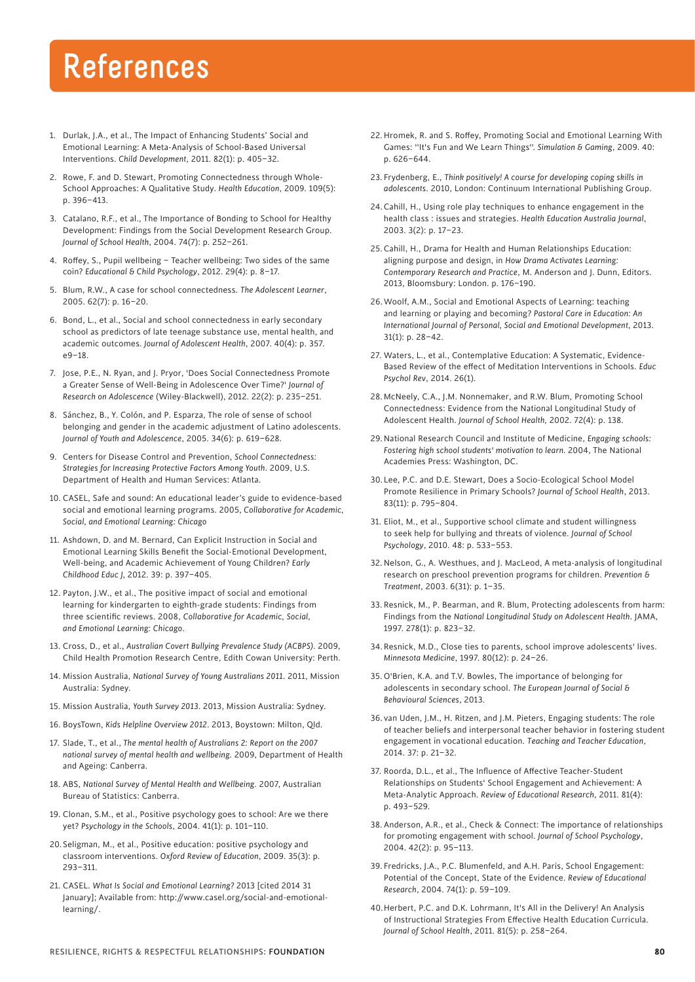# **References**

- 1. Durlak, J.A., et al., The Impact of Enhancing Students' Social and Emotional Learning: A Meta-Analysis of School-Based Universal Interventions. *Child Development*, 2011. 82(1): p. 405–32.
- 2. Rowe, F. and D. Stewart, Promoting Connectedness through Whole-School Approaches: A Qualitative Study. *Health Education*, 2009. 109(5): p. 396–413.
- 3. Catalano, R.F., et al., The Importance of Bonding to School for Healthy Development: Findings from the Social Development Research Group. *Journal of School Health*, 2004. 74(7): p. 252–261.
- 4. Roffey, S., Pupil wellbeing Teacher wellbeing: Two sides of the same coin? *Educational & Child Psychology*, 2012. 29(4): p. 8–17.
- 5. Blum, R.W., A case for school connectedness. *The Adolescent Learner*, 2005. 62(7): p. 16–20.
- 6. Bond, L., et al., Social and school connectedness in early secondary school as predictors of late teenage substance use, mental health, and academic outcomes. *Journal of Adolescent Health*, 2007. 40(4): p. 357. e9–18.
- 7. Jose, P.E., N. Ryan, and J. Pryor, 'Does Social Connectedness Promote a Greater Sense of Well-Being in Adolescence Over Time?' *Journal of Research on Adolescence* (Wiley-Blackwell), 2012. 22(2): p. 235–251.
- 8. Sánchez, B., Y. Colón, and P. Esparza, The role of sense of school belonging and gender in the academic adjustment of Latino adolescents. *Journal of Youth and Adolescence*, 2005. 34(6): p. 619–628.
- 9. Centers for Disease Control and Prevention, *School Connectedness: Strategies for Increasing Protective Factors Among Youth*. 2009, U.S. Department of Health and Human Services: Atlanta.
- 10. CASEL, Safe and sound: An educational leader's guide to evidence-based social and emotional learning programs. 2005, *Collaborative for Academic, Social, and Emotional Learning: Chicago*
- 11. Ashdown, D. and M. Bernard, Can Explicit Instruction in Social and Emotional Learning Skills Benefit the Social-Emotional Development, Well-being, and Academic Achievement of Young Children? *Early Childhood Educ J,* 2012. 39: p. 397–405.
- 12. Payton, J.W., et al., The positive impact of social and emotional learning for kindergarten to eighth-grade students: Findings from three scientific reviews. 2008, *Collaborative for Academic, Social, and Emotional Learning: Chicago*.
- 13. Cross, D., et al., *Australian Covert Bullying Prevalence Study (ACBPS)*. 2009, Child Health Promotion Research Centre, Edith Cowan University: Perth.
- 14. Mission Australia, *National Survey of Young Australians 2011*. 2011, Mission Australia: Sydney.
- 15. Mission Australia, *Youth Survey 2013*. 2013, Mission Australia: Sydney.
- 16. BoysTown, *Kids Helpline Overview 2012*. 2013, Boystown: Milton, Qld.
- 17. Slade, T., et al., *The mental health of Australians 2: Report on the 2007 national survey of mental health and wellbeing.* 2009, Department of Health and Ageing: Canberra.
- 18. ABS, *National Survey of Mental Health and Wellbeing*. 2007, Australian Bureau of Statistics: Canberra.
- 19. Clonan, S.M., et al., Positive psychology goes to school: Are we there yet? *Psychology in the Schools*, 2004. 41(1): p. 101–110.
- 20. Seligman, M., et al., Positive education: positive psychology and classroom interventions. *Oxford Review of Education*, 2009. 35(3): p. 293–311.
- 21. CASEL. *What Is Social and Emotional Learning?* 2013 [cited 2014 31 [January\]; Available from: http://www.casel.org/social-and-emotional](http://www.casel.org/social-and-emotional-learning/.22)learning/.
- [22.Hr](http://www.casel.org/social-and-emotional-learning/.22)omek, R. and S. Roffey, Promoting Social and Emotional Learning With Games: ''It's Fun and We Learn Things''. *Simulation & Gaming*, 2009. 40: p. 626–644.
- 23. Frydenberg, E., *Think positively! A course for developing coping skills in adolescents*. 2010, London: Continuum International Publishing Group.
- 24. Cahill, H., Using role play techniques to enhance engagement in the health class : issues and strategies. *Health Education Australia Journal*, 2003. 3(2): p. 17–23.
- 25. Cahill, H., Drama for Health and Human Relationships Education: aligning purpose and design, in *How Drama Activates Learning: Contemporary Research and Practice*, M. Anderson and J. Dunn, Editors. 2013, Bloomsbury: London. p. 176–190.
- 26.Woolf, A.M., Social and Emotional Aspects of Learning: teaching and learning or playing and becoming? *Pastoral Care in Education: An International Journal of Personal, Social and Emotional Development*, 2013. 31(1): p. 28–42.
- 27. Waters, L., et al., Contemplative Education: A Systematic, Evidence-Based Review of the effect of Meditation Interventions in Schools. *Educ Psychol Rev*, 2014. 26(1).
- 28.McNeely, C.A., J.M. Nonnemaker, and R.W. Blum, Promoting School Connectedness: Evidence from the National Longitudinal Study of Adolescent Health. *Journal of School Health,* 2002. 72(4): p. 138.
- 29. National Research Council and Institute of Medicine, *Engaging schools: Fostering high school students' motivation to learn.* 2004, The National Academies Press: Washington, DC.
- 30. Lee, P.C. and D.E. Stewart, Does a Socio-Ecological School Model Promote Resilience in Primary Schools? *Journal of School Health*, 2013. 83(11): p. 795–804.
- 31. Eliot, M., et al., Supportive school climate and student willingness to seek help for bullying and threats of violence. *Journal of School Psychology*, 2010. 48: p. 533–553.
- 32.Nelson, G., A. Westhues, and J. MacLeod, A meta-analysis of longitudinal research on preschool prevention programs for children. *Prevention & Treatment*, 2003. 6(31): p. 1–35.
- 33. Resnick, M., P. Bearman, and R. Blum, Protecting adolescents from harm: Findings from the *National Longitudinal Study on Adolescent Health*. JAMA, 1997. 278(1): p. 823–32.
- 34.Resnick, M.D., Close ties to parents, school improve adolescents' lives. *Minnesota Medicine*, 1997. 80(12): p. 24–26.
- 35.O'Brien, K.A. and T.V. Bowles, The importance of belonging for adolescents in secondary school. *The European Journal of Social & Behavioural Sciences*, 2013.
- 36. van Uden, J.M., H. Ritzen, and J.M. Pieters, Engaging students: The role of teacher beliefs and interpersonal teacher behavior in fostering student engagement in vocational education. *Teaching and Teacher Education*, 2014. 37: p. 21–32.
- 37. Roorda, D.L., et al., The Influence of Affective Teacher-Student Relationships on Students' School Engagement and Achievement: A Meta-Analytic Approach. *Review of Educational Research*, 2011. 81(4): p. 493–529.
- 38.Anderson, A.R., et al., Check & Connect: The importance of relationships for promoting engagement with school. *Journal of School Psychology*, 2004. 42(2): p. 95–113.
- 39. Fredricks, J.A., P.C. Blumenfeld, and A.H. Paris, School Engagement: Potential of the Concept, State of the Evidence. *Review of Educational Research*, 2004. 74(1): p. 59–109.
- 40.Herbert, P.C. and D.K. Lohrmann, It's All in the Delivery! An Analysis of Instructional Strategies From Effective Health Education Curricula. *Journal of School Health*, 2011. 81(5): p. 258–264.